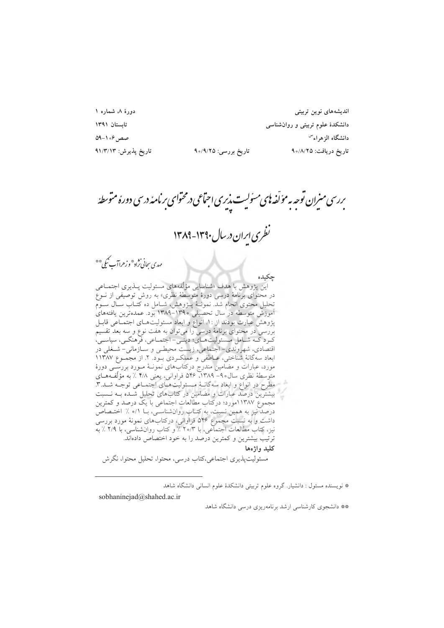دورهٔ ۸، شماره ۱ تابستان ١٣٩١  $09 - 1.8$ صص تاریخ پذیرش: ۹۱/۳/۱۳

اندیشەهای نوین تربیتی دانشکدهٔ علوم تربیتی و روانشناسی دانشگاه الزهراء<sup>س</sup> تاريخ دريافت: ٩٥/٨/٢٥

ىررسى مىيران توجه به مؤلّفه ناي مىئوليت پذيرى اجتماعى درمحتواى بر نامهٔ درسى دورهٔ متوسطهٔ

تارىخ بررسى: ٩،٥/٩/٢٥

.<br>نظری ایران در سال ۱۳۹۰-۱۳۸۹

مهدي سجاني نژاد\* و زهراآب کيمي \*\*

حكىدە این پژوهش با هدف «شناسایی مؤلّفههای مسئولیت پــذیری اجتمــاعی در محتوای برنامهٔ درسی دورهٔ متوسطهٔ نظری» به روش توصیفی از نــوع تحلیل محتوی انجام شدّ. نمونــهٔ پــژوهش، شــامل ده کتــاب ســال ســوم آموزش متوسطه در سال تحصیل<sub>م</sub> ۱۳۹۰–۱۳۸۹ بود. عمدهترین یافتههای پژوهش عبارت بودند از :۱. انواع و ابعاد مسئولیتهـای اجتمـاعی قابـل بررسی در محتوای برنامهٔ درسی را میتوان به هفت نوع و سه بعد تقسیم کـرد کــه شــامل مــسئوليتهــاي؛ دينــي- اجتمــاعي، فرهنگــي، سياســي، اقتصادی، شهروندی- اجتماعی، زیست محیطـی و ســازمانی- شــغلی در ابعاد سه گانهٔ شناختی، عـاطفی و عملکـردی بـود. ۲. از مجمـوع ۱۱۳۸۷ مورد، عبارات و مضامین مندرج درکتابهای نمونـهٔ مـورد بررسـِـی دورهٔ متوسطهٔ نظری سال۹- ۱۳۸۹، ۵۴۶ فراوانی، یعنی ۴/۸ ٪ به مؤلِّفههـای مطرح در انواع و ابعاد سهگانـهٔ مـسئولیتهـای اجتمـاعی توجـه شــد.۳. بیشترین درصد عبارات و مضامین در کتابهای تحلیل شـده بــه نــسبت مجموع ۱۱۳۸۷مورد؛ درکتاب مطالعات اجتماعی با یک درصد و کمترین درصد نیز به همین نسبت، به کتـاب روانشناسـی، بــا ۰/۱ ٪ اختــصاص داشت و به نسبت مجموع ۵۴۶ فراوانی، درکتاب های نمونهٔ مورد بررسی<br>داشت و به نسبت مجموع ۵۴۶ ۵۳ ٪ و کتاب روانشناسی، با ۲/۹ ٪ به ترتیب بیشترین و کمترین درصد را به خود اختصاص دادهاند. كليد واژەها مسئولیتپذیری اجتماعی،کتاب درسی، محتوا، تحلیل محتوا، نگرش

\* نویسنده مسئول : دانشیار. گروه علوم تربیتی دانشکدهٔ علوم انسانی دانشگاه شاهد

sobhaninejad@shahed.ac.ir

\*\* دانشجوی کارشناسی ارشد برنامهریزی درسی دانشگاه شاهد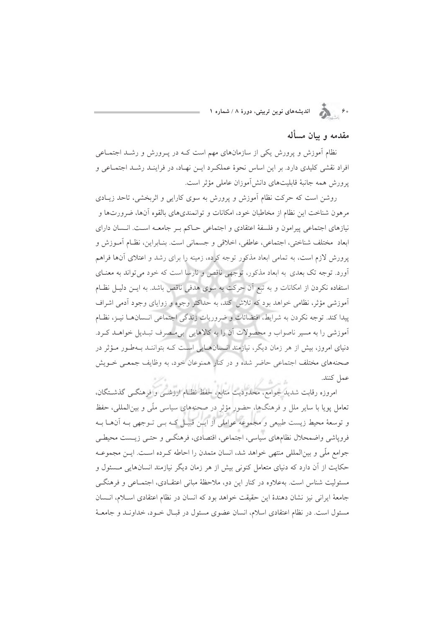#### مقدمه و سان مسأله

نظام أموزش و پرورش یکی از سازمانهای مهم است کـه در پــرورش و رشــد اجتمــاعی افراد نقشی کلیدی دارد. بر این اساس نحوهٔ عملکرد ایـن نهـاد، در فراینـد رشـد اجتمـاعی و پرورش همه جانبهٔ قابلیتهای دانشآموزان عاملی مؤثر است.

روشن است که حرکت نظام آموزش و پرورش به سوی کارایی و اثربخشی، تاحد زیبادی مرهون شناخت این نظام از مخاطبان خود، امکانات و توانمندیهای بالقوه آنها، ضرورتها و نیازهای اجتماعی پیرامون و فلسفهٔ اعتقادی و اجتماعی حـاکم بـر جامعـه اسـت. انـسان دارای ابعاد ً مختلف شناختي، اجتماعي، عاطفي، اخلاقي و جسماني است. بنــابراين، نظــام أمــوزش و پرورش لازم است، به تمامی ابعاد مذکور توجه کرده، زمینه را برای رشد و اعتلای آنها فراهم ۔<br>اورد. توجه تک بعدی به ابعاد مذکور، توجهی ناقص و نارسا است که خود می تواند به معنــای استفاده نکردن از امکانات و به تبع آن حرکت به سوی هدفی ناقص باشد. به ایـن دلیـل نظـام آموزشی مؤثر، نظامی خواهد بود که تلاش کند، به حداکثر وجوه و زوایای وجود آدمی اشراف پیدا کند. توجه نکردن به شرایط، اقتضائات و ضروریات زندگی اجتماعی انسانها نیـز، نظـام آموزشی را به مسیر ناصواب و محصولات آن را به کالاهایی بی مصرف تبـدیل خواهـد کـرد. دنیای امروز، بیش از هر زمان دیگر، نیازمند انـسانهـایی اسـت کـه بتواننـد بـهطـور مـؤثر در صحنههای مختلف اجتماعی حاضر شده و در کنار همنوعان خود، به وظایف جمعـی خــویش عمل كنند.

امروزه رقابت شدید جوامع، محدودیت منابع، حفظ نظـام ارزشــی و فرهنگــی گذشــتگان، تعامل پویا با سایر ملل و فرهنگها، حضور مؤثر در صحنههای سیاسی ملّی و بینالمللی، حفظ و توسعهٔ محیط زیست طبیعی و مجموعه عواملی از ایـن قبیـل کـه بـی تـوجهی بـه آنهـا بـه فروياشي واضمحلال نظامهاي سياسي، اجتماعي، اقتصادي، فرهنگبي و حتبي زيــست محيطبي جوامع ملَّى و بين|لمللي منتهى خواهد شد، انسان متمدن را احاطه كـرده اسـت. ايــن مجموعــه حکایت از آن دارد که دنیای متعامل کنونی بیش از هر زمان دیگر نیازمند انسانهایی مسئول و مسئولیت شناس است. بهعلاوه در کنار این دو، ملاحظهٔ مبانی اعتقـادی، اجتمـاعی و فرهنگـی جامعة ايراني نيز نشان دهندة اين حقيقت خواهد بود كه انسان در نظام اعتقادي اسللام، انـسان مسئول است. در نظام اعتقادی اسلام، انسان عضوی مسئول در قبـال خــود، خداونــد و جامعــهٔ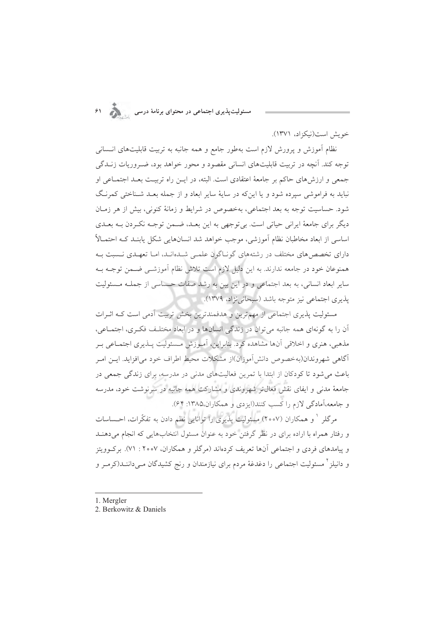مسئولیتپذیری اجتماعی در محتوای برنامهٔ درسی

خويش است(نيكزاد، ١٣٧١).

نظام أموزش و پرورش لازم است بهطور جامع و همه جانبه به تربیت قابلیتهای انـــــانی توجه کند. آنچه در تربیت قابلیتهای انسانی مقصود و محور خواهد بود، ضـروریات زنــدگی جمعی و ارزش های حاکم بر جامعهٔ اعتقادی است. البته، در ایــن راه تربیــت بعــد اجتمــاعی او نباید به فراموشی سیرده شود و یا این که در سایهٔ سایر ابعاد و از جمله بعـد شـناختی کمرنـگ شود. حساسیت توجه به بعد اجتماعی، بهخصوص در شرایط و زمانهٔ کنونی، بیش از هر زمـان دیگر برای جامعهٔ ایرانی حیاتی است. بی توجهی به این بعـد، ضـمن توجـه نکـردن بـه بعـدی اساسی از ابعاد مخاطبان نظام اَموزشی، موجب خواهد شد انسانهایی شکل یابنـد کــه احتمـالاً دارای تخصص های مختلف در رشتههای گونـاگون علمـی شـدهانـد، امـا تعهـدی نـسبت بـه همنوعان خود در جامعه ندارند. به این دلیل لازم است تلاش نظام آموزشــی ضــمن توجــه بــه سایر ابعاد انسانی، به بعد اجتماعی و در این بین به رشد صفات حساسی از جملـه مـسئولیت يذيري اجتماعي نيز متوجه باشد (سبحاني نژاد، ١٣٧٩).

مسئولیت پذیری اجتماعی از مهمترین و هدفمندترین بخش تربیت آدمی است کـه اثـرات آن را به گونهای همه جانبه می توان در زندگی انسانها و در ابعاد مختلـف فکـری، اجتمـاعی، مذهبي، هنري و اخلاقي آنها مشاهده كرد. بنابراين، آمـوزش مـسئوليت پــذيري اجتمــاعي بــر آگاهی شهروندان(بهخصوص دانش]موزان)از مشکلات محیط اطراف خود می|فزاید. ایــن امــر باعث می شود تا کودکان از ابتدا با تمرین فعالیتهای مدنی در مدرسه، برای زندگی جمعی در جامعهٔ مدنی و ایفای نقش فعال تر شهروندی و مشارکت همه جانبه در سرنوشت خود، مدرسه و جامعه،آمادگی لازم را کسب کنند(ایزدی و همکاران،۱۳۸۵: ۶۴).

مرگلر ` و همکاران (۲۰۰۷) مسئولیت پذیری را توانایی نظم دادن به تفکّرات، احـساسات و رفتار همراه با اراده برای در نظر گرفتن خود به عنوان مسئول انتخابهایی که انجام میدهنـد و پیامدهای فردی و اجتماعی آنها تعریف کردهاند (مرگلر و همکاران، ۲۰۰۷: ۷۱). برکوویتز و دانیلز<sup>۲</sup> مسئولیت اجتماعی را دغدغهٔ مردم برای نیازمندان و رنج کشیدگان مــیداننــد(کرمــر و

- 1. Mergler
- 2. Berkowitz & Daniels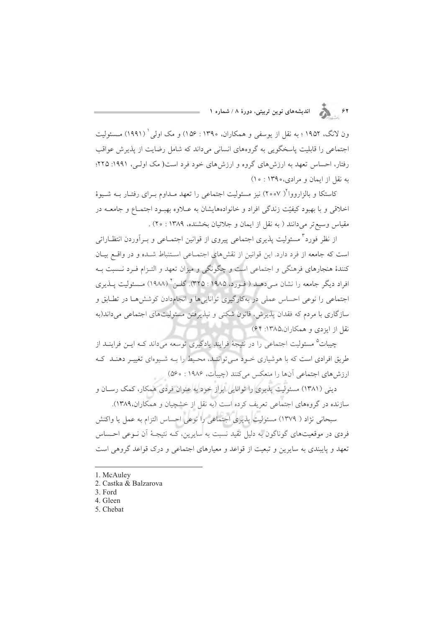$\sum_{i=1}^{n}$ اندیشههای نوین تربیتی، دورهٔ ۸ / شماره ۱

ون لانگ، ۱۹۵۲؛ به نقل از یوسفی و همکاران، ۱۳۹۰: ۱۵۶) و مک اولی ( (۱۹۹۱) مسئولیت اجتماعی را قابلیت پاسخگویی به گروههای انسانی میداند که شامل رضایت از پذیرش عواقب رفتار، احساس تعهد به ارزش های گروه و ارزش های خود فرد است( مک اولـی، ۱۹۹۱: ۲۲۵؛ به نقل از ایمان و مرادی،۱۳۹۰: ۱۰)

کاستکا و بالزارووا<sup>\</sup>( ۲۰۰۷) نیز مسئولیت اجتماعی را تعهد مـداوم بـرای رفتـار بــه شــیوهٔ اخلاقی و با بهبود کیفیّت زندگی افراد و خانوادههایشان به عـلاوه بهبـود اجتمـاع و جامعــه در مقياس وسيع تر مي دانند ( به نقل از ايمان و جلائيان بخشنده، ١٣٨٩ : ٢٥) .

از نظر فورد<sup>۳</sup> مسئولیت پذیری اجتماعی پیروی از قوانین اجتمـاعی و بــراَوردن انتظــاراتی است که جامعه از فرد دارد. این قوانین از نقشهای اجتماعی استنباط شـده و در واقع بیـان کنندهٔ هنجارهای فرهنگی و اجتماعی است و چگونگی و میزان تعهد و التـزام فـرد نــسبت بـه افراد دیگر جامعه را نشان مے دهــد ( فــورد، ۱۹۸۵ : ۳۲۵). گلــن<sup>۶</sup> (۱۹۸۸) مــسئولیت پــذیری اجتماعی را نوعی احساس عملی در بهکارگیری توانایی ها و انجامدادن کوشش هـا در تطـابق و سازگاري با مردم كه فقدان پذيرش، قانون شكني و نيذيرفتن مسئوليتهاي اجتماعي مي داند(به نقل از ایزدی و همکاران،۱۳۸۵: ۶۴)

چیبات<sup>۵</sup> مسئولیت اجتماعی را در نتیجهٔ فرایندِ یادگیری توسعه میداند کـه ایــن فراینــد از طریق افرادی است که با هوشیاری خـود مـی تواننـد، محـیط را بـه شـیوهای تغییـر دهنـد کـه ارزش های اجتماعی آنها را منعکس می کنند (چیبات، ۱۹۸۶ : ۵۶۰)

دینی (۱۳۸۱) مسئولیت پذیری را توانایی ابراز خود به عنوان فردی همکار، کمک رسـان و سازنده در گروههای اجتماعی تعریف کرده است (به نقل از خشچیان و همکاران.۱۳۸۹).

سبحاني نژاد ( ١٣٧٩) مسئوليت پذيري اجتماعي را نوعي احساس التزام به عمل يا واكنش فردی در موقعیتهای گوناگون به دلیل تقید نسبت به سایرین، کـه نتیجـهٔ آن نـوعی احـساس تعهد و پایبندی به سایرین و تبعیت از قواعد و معیارهای اجتماعی و درک قواعد گروهی است

<sup>1.</sup> McAuley

<sup>2.</sup> Castka & Balzarova

<sup>3.</sup> Ford

<sup>4.</sup> Gleen

<sup>5.</sup> Chebat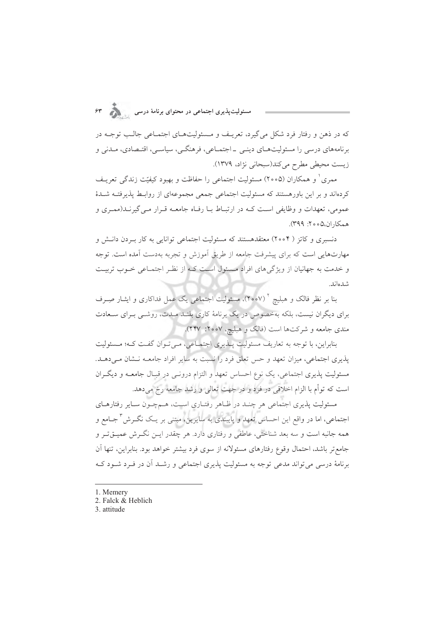که در ذهن و رفتار فرد شکل می گیرد، تعریـف و مـسئولیتهـای اجتمـاعی جالـب توجـه در برنامههای درسی را مسئولیتهـای دینـی ـ اجتمـاعی، فرهنگـی، سیاسـی، اقتـصادی، مـدنی و زيست محيطي مطرح مي كند(سبحاني نژاد، ١٣٧٩).

ممری ٰ و همکاران (۲۰۰۵) مسئولیت اجتماعی را حفاظت و بهبود کیفیّت زندگی تعریـف کردهاند و بر این باورهستند که مسئولیت اجتماعی جمعی مجموعهای از روابـط پذیرفتـه شــدهٔ عمومي، تعهدات و وظايفي است كـه در ارتبـاط بـا رفـاه جامعـه قـرار مـي گيرنــد(ممـري و همكاران،٥٥٥: ٣٩٩).

دنسبری و کاتز ( ۲۰۰۴) معتقدهستند که مسئولیت اجتماعی توانایی به کار بـردن دانـش و مهارتهایی است که برای پیشرفت جامعه از طریق آموزش و تجربه بهدست آمده است. توجه و خدمت به جهانیان از ویژگی های افراد مسئول است کـه از نظـر اجتمـاعی خـوب تربیـت شدەاند.

بنا بر نظر فالک و هبلیچ <sup>۲</sup> (۲۰۰۷)، مسئولیت اجتماعی یک عمل فداکاری و ایثـار صِــرف برای دیگران نیست، بلکه بهخصوص در یک برنامهٔ کاری بلنـد مـدت، روشـی بـرای سـعادت مندي جامعه و شركتها است (فالک و هبليچ، ۲۰۰۷: ۲۴۷).

بنابراین، با توجه به تعاریف مسئولیت پلذیری اجتمـاعی، مـیتوان گفـت کـه؛ مـسئولیت یذیری اجتماعی، میزان تعهد و حس تعلق فرد را نسبت به سایر افراد جامعـه نـشان مـی دهـد. مسئولیت پذیری اجتماعی، یک نوع احساس تعهد و التزام درونـی در قبـال جامعـه و دیگـران است که توأم با الزام اخلاقی در فرد و در جهت تعالی و رشد جامعه رخ میدهد.

مسئولیت پذیری اجتماعی هر چنـد در ظـاهر رفتـاری اسـت، هـمچـون سـایر رفتارهـای اجتماعی، اما در واقع این احساس تعهد و پایبندی به سایرین، مبتنی بر یـک نگــرش<sup>۳</sup> جــامع و همه جانبه است و سه بعد شناختی، عاطفی و رفتاری دارد. هر چقدر ایــن نگــرش عمیــقتــر و جامع تر باشد، احتمال وقوع رفتارهای مسئولانه از سوی فرد بیشتر خواهد بود. بنابراین، تنها آن برنامهٔ درسی می تواند مدعی توجه به مسئولیت پذیری اجتماعی و رشـد آن در فـرد شـود کـه

- 1. Memery
- 2. Falck & Heblich
- 3. attitude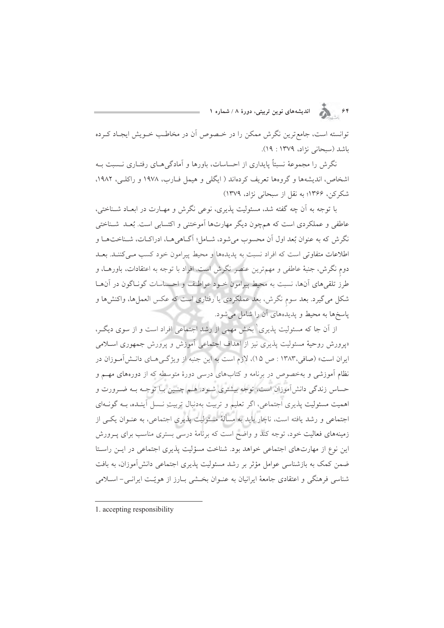۶۴<br>۶۴ هـ الله المديشههای نوین تربیتی، دورهٔ ۸ / شماره ۱

توانسته است، جامع ترین نگرش ممکن را در خـصوص آن در مخاطـب خــویش ایجـاد کــرده باشد (سبحانی نژاد، ۱۳۷۹ : ۱۹).

نگرش را مجموعهٔ نسبتاً پایداری از احساسات، باورها و آمادگی هـای رفتـاری نــسبت بــه اشخاص، اندیشهها و گروهها تعریف کردهاند ( ایگلی و هیمل فـارب، ۱۹۷۸ و راکلـی، ۱۹۸۲. شکرکن، ۱۳۶۶؛ به نقل از سبحانی نژاد، ۱۳۷۹)

با توجه به آن چه گفته شد، مسئولیت پذیری، نوعی نگرش و مهـارت در ابعـاد شـناختی، عاطفي و عملكردي است كه همچون ديگر مهارتها اَموختني و اكتسابي است. بُعـد شــناختي نگرش که به عنوان بُعد اول آن محسوب میشود، شـامل؛ آگـاهیِهـا، ادراکـات، شـناختهـا و اطلاعات متفاوتی است که افراد نسبت به پدیدهها و محیط پیرامون خود کسب مـیکننـد. بعـد دوم نگرش، جنبهٔ عاطفی و مهمترین عنصر نگرش است. افراد با توجه به اعتقادات، باورهــا، و طرز تلقی های آنها، نسبت به محیط پیرامون خـود عواطـف و احـساسات گونـاگون در آنهـا شکل میگیرد. بعد سوم نگرش، بعد عملکردی یا رفتاری است که عکس العملها، واکنشها و یاسخها به محیط و یدیدههای آن را شامل می شود.

از اّن جا که مسئولیت پذیری ٰ بخش مهمی از رشد اجتماعی افراد است و از سوی دیگـر، «پرورش روحیهٔ مسئولیت پذیری نیز از اهداف اجتماعی آموزش و پرورش جمهوری اسـلامی ایران است» (صافی،۱۳۸۳ : ص ۱۵)، لازم است به این جنبه از ویژگههای دانـشآمـوزان در نظام آموزشی و بهخصوص در برنامه و کتابهای درسی دورهٔ متوسطه که از دورههای مهم و حساس زندگی دانشآموزان است، توجه بیشتری شـود. هـم چنـین بـا توجـه بـه ضـرورت و اهمیت مسئولیت پذیری اجتماعی، اگر تعلیم و تربیت بهدنبال تربیتِ نـسل آینـده، بـه گونـهای اجتماعی و رشد یافته است، ناچار باید به مسألهٔ مسئولیت پذیری اجتماعی، به عنــوان یکــی از زمینههای فعالیت خود، توجه کند و واضح است که برنامهٔ درسی بستری مناسب برای پـرورش این نوع از مهارتهای اجتماعی خواهد بود. شناخت مسؤلیت پذیری اجتماعی در ایـن راسـتا ضمن کمک به بازشناسی عوامل مؤثر بر رشد مسئولیت پذیری اجتماعی دانش آموزان، به بافت شناسی فرهنگی و اعتقادی جامعهٔ ایرانیان به عنـوان بخـشی بـارز از هویّـت ایرانـی- اسـلامی

<sup>1.</sup> accepting responsibility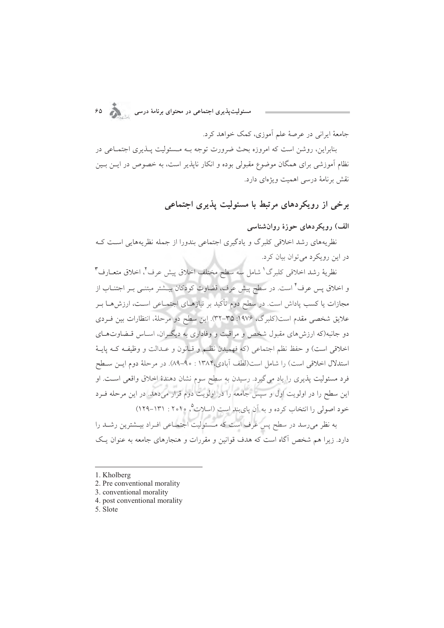.<br>مسئولیتپذیری اجتماعی در محتوای برنامهٔ درسی

جامعهٔ ایرانی در عرصهٔ علم آموزی، کمک خواهد کرد.

بنابراین، روشن است که امروزه بحث ضرورت توجه بـه مـسئولیت پـلـدیری اجتمـاعی در نظام آموزشی برای همگان موضوع مقبولی بوده و انکار ناپذیر است، به خصوص در ایــن بــین نقش برنامهٔ درسی اهمیت ویژهای دارد.

برخی از رویکردهای مرتبط با مسئولیت پذیری اجتماعی

الف) رویکردهای حوزهٔ روان شناسی

نظریههای رشد اخلاقی کلبرگ و یادگیری اجتماعی بندورا از جمله نظریههایی است ک در این رویکرد می توان بیان کرد.

نظرية رشد اخلاقي كلبرگ<sup>'</sup> شامل سه سطح مختلف اخلاق پيش عرف<sup>٢</sup>، اخلاق متعــارف<sup>٣</sup> و اخلاق پس عرف<sup>۴</sup> است. در سطح پیش عرف، قضاوت کودکان بیــشتر مبتنــی بــر اجتنــاب از مجازات یا کسب پاداش است. در سطح دوم تأکید بر نیازهـای اجتمـاعی اسـت، ارزش۱ـا بـر علايق شخصي مقدم است(كلبرگ، ۱۹۷۶: ۳۵–۳۲). اين سطح دو مرحلهٔ، انتظارات بين فـردي دو جانبه(که ارزش های مقبول شخص و مراقبت و وفاداری به دیگـران، اسـاس قـضاوتهـای اخلاقي است) و حفظ نظم اجتماعي (كه فهميدن نظـم و قـانون و عـدالت و وظيفـه كـه يايـهٔ استدلال اخلاقی است) را شامل است(لطف آبادی،۱۳۸۴ : ۹۰-۸۹). در مرحلهٔ دوم ایس سطح فرد مسئوليت پذيري را ياد مي گيرد. رسيدن به سطح سوم نشان دهندۀ اخلاق واقعي است. او این سطح را در اولویت اول و سپس جامعه را در اولویت دوم قرار میدهد. در این مرحله فـرد خود اصولی را انتخاب کرده و به آن پایبند است (اسلات ، ۲۰۱۰ - ۱۳۹-۱۲۹) .<br>به نظر میرسد در سطح پس عرف است که مـسئولیت اجتمـاعی افـراد بیــشترین رشــد را دارد. زیرا هم شخص آگاه است که هدف قوانین و مقررات و هنجارهای جامعه به عنوان یک

- 2. Pre conventional morality
- 3. conventional morality
- 4. post conventional morality
- 5. Slote

<sup>1.</sup> Kholberg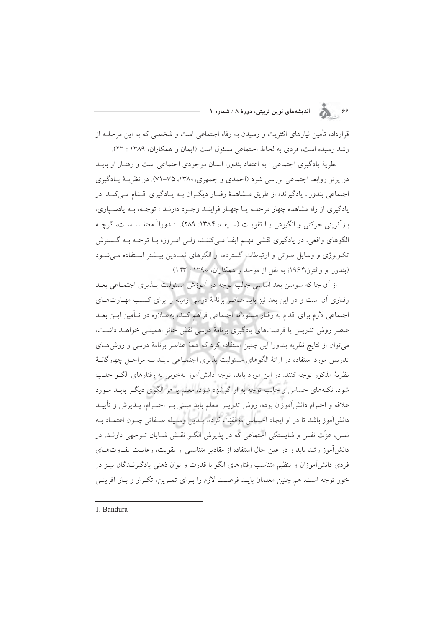۶۶ . ویکی اندیشههای نوین تربیتی، دورهٔ ۸ / شماره ۱

قرارداد، تأمین نیازهای اکثریت و رسیدن به رفاه اجتماعی است و شخصی که به این مرحلــه از رشد رسیده است، فردی به لحاظ اجتماعی مسئول است (ایمان و همکاران، ۱۳۸۹ : ۲۳).

نظريهٔ يادگيري اجتماعي : به اعتقاد بندورا انسان موجودي اجتماعي است و رفتـار او بايــد در پرتو روابط اجتماعی بررسی شود (احمدی و جمهری،۱۳۸۰، ۷۵–۷۱). در نظریـهٔ یـادگیری اجتماعی بندورا، یادگیرنده از طریق مــشاهدهٔ رفتـار دیگـران بــه پــادگیری اقــدام مــی کنــد. در یادگیری از راه مشاهده چهار مرحلـه یـا چهـار فراینـد وجـود دارنـد : توجـه، بـه یادسـیاری، بازآفريني حركتي و انگيزش پيا تقويت (سيف، ١٣٨۴: ٢٨٩). بنيدورا ' معتقيد است، گرچيه الگوهای واقعی، در یادگیری نقشی مهـم ایفـا مـیکننـد، ولـی امـروزه بـا توجـه بـه گـسترش تکنولوژی و وسایل صوتی و ارتباطات گسترده، از الگوهای نمـادین بیـشتر اسـتفاده مـیشـود (بندورا و والترز،۱۹۶۴؛ به نقل از موحد و همکاران، ۱۳۹۰: ۱۴۳).

از آن جا که سومین بعد اساسی جالب توجه در آموزش مسئولیت پــذیری اجتمــاعی بعــد رفتاری آن است و در این بعد نیز باید عناصر برنامهٔ درسی زمینه را برای کـسب مهــارتهــای اجتماعی لازم برای اقدام به رفتار مسئولانه اجتماعی فراهم کنند، بهعـلاوه در تـأمین ایـن بعـد عنصر روش تدریس یا فرصتهای یادگیری برنامهٔ درسی نقش حائز اهمیتـی خواهــد داشــت، می توان از نتایج نظریه بندورا این چنین استفاده کرد که همهٔ عناصر برنامهٔ درسی و روشهای تدریس مورد استفاده در ارائهٔ الگوهای مسئولیت پذیری اجتمـاعی بایـد بـه مراحـل چهارگانـهٔ نظريهٔ مذکور توجه کنند. در اين مورد بايد، توجه دانش آموز بهخوبي به رفتارهاي الگــو جلــب شود، نکتههای حساس و جالب توجه به او گوشزد شود، معلم یا هر الگوی دیگر بایــد مــورد علاقه و احترام دانش آموزان بوده، روش تدريس معلم بايد مبتنى بـر احتـرام، يــذيرش و تأييــد دانشآموز باشد تا در او ایجاد احساس مؤفقیّت کرده، بـدین وسـیله صـفاتی چـون اعتمـاد بـه نفس، عزّت نفس و شایستگی اجتماعی که در پذیرش الگـو نقـش شـایان تـوجهی دارنـد، در دانش آموز رشد پابد و در عین حال استفاده از مقادیر متناسبی از تقویت، رعایـت تفـاوتهـای فردی دانشآموزان و تنظیم متناسب رفتارهای الگو با قدرت و توان ذهنی یادگیرنـدگان نیـز در خور توجه است. هم چنین معلمان بایـد فرصـت لازم را بـرای تمـرین، تکـرار و بـاز آفرینـی

1. Bandura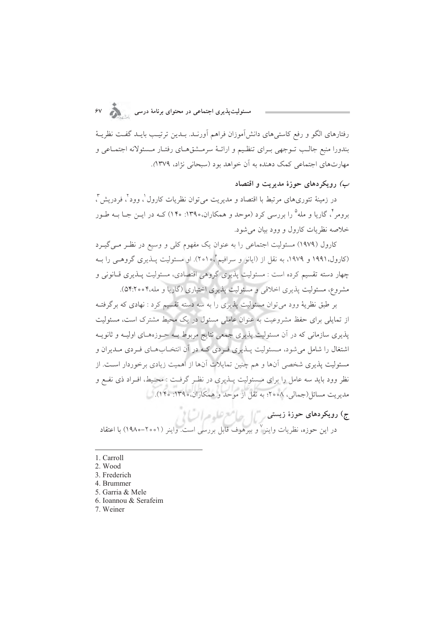.<br>مسئولیتپذیری اجتماعی در محتوای برنامهٔ درسی

رفتارهای الگو و رفع کاستیهای دانش آموزان فراهم آورنـد. بـدین ترتیـب بایـد گفـت نظریــهٔ بندورا منبع جالب تــوجهي بــراي تنظـيم و ارائــهٔ سرمــشقهــاي رفتــار مــسئولانه اجتمــاعي و مهارتهای اجتماعی کمک دهنده به آن خواهد بود (سبحانی نژاد، ۱۳۷۹).

ب) رویکردهای حوزهٔ مدیریت و اقتصاد

در زمینهٔ تئوریهای مرتبط با اقتصاد و مدیریت میتوان نظریات کارول ٰ، وود ٰ، فردریش ؒ، برومر<sup>۴</sup>، گاریا و مله<sup>۵</sup> را بررسی کرد (موحد و همکاران،۱۳۹۰: ۱۴۰) کـه در ایــن جــا بــه طــور خلاصه نظريات كارول و وود بيان مي شود.

کارول (۱۹۷۹) مسئولیت اجتماعی را به عنوان یک مفهوم کلی و وسیع در نظر می گیـرد (کارول،۱۹۹۱ و ۱۹۷۹، به نقل از (ایانو و سرافیم ،۱۰۵°). او مسئولیت پــٰدیری گروهــی را بــه چهار دسته تقسیم کرده است : مسئولیت پذیری گروهی اقتصادی، مسئولیت پــذیری قــانونی و مشروع، مسئولیت پذیری اخلاقی و مسئولیت پذیری اختیاری (گاریا و مله،۴۰۰°۵۴).

بر طبق نظریهٔ وود می توان مسئولیت پذیری را به سه دسته تقسیم کرد : نهادی که برگرفت از تمایلی برای حفظ مشروعیت به عنوان عاملی مسئول در یک محیط مشترک است، مسئولیت پذیری سازمانی که در آن مسئولیت پذیری جمعی نتایج مربوط بـه حـوزههـای اولیـه و ثانویـه اشتغال را شامل می شود، مـسئولیت پــذیری فــردی کــه در آن انتخــابهــای فــردی مــدیران و مسئولیت پذیری شخصی آنها و هم چنین تمایلات آنها از اهمیت زیادی برخوردار اسـت. از نظر وود باید سه عامل را برای مــسئولیت پــذیری در نظــر گرفــت : محــیط، افــراد ذی نفــع و مدیریت مسائل(جمالی، ۰۵۸ق؛ به نقل از موحد و همکاران،۱۳۹۰: ۱۴۰).

ج) **رویکردهای حوزهٔ زیستی**<br>در این حوزه، نظریات واینر<sup>۷</sup>و بیرهوف قابل بررسی است. واینر (۲۰۰۱–۱۹۸۰) با اعتقاد

- 1. Carroll
- 2. Wood
- 3. Frederich
- 4. Brummer
- 5. Garria & Mele
- 6. Ioannou & Serafeim
- 7. Weiner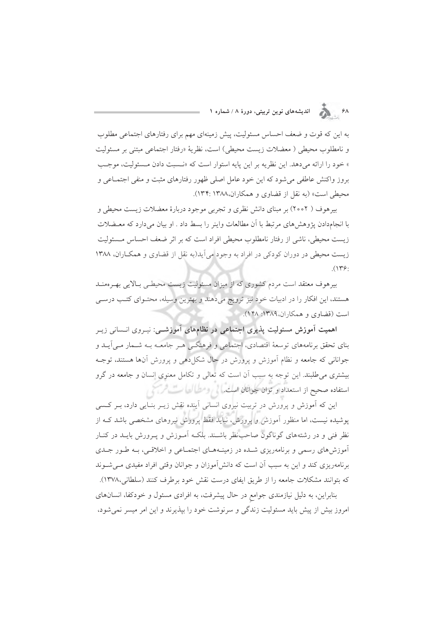۶۸ هـ انديشههای نوین تربیتی، دورهٔ ۸ / شماره ۱

به این که قوت و ضعف احساس مسئولیت، پیش زمینهای مهم برای رفتارهای اجتماعی مطلوب و نامطلوب محیطی ( معضلات زیست محیطی) است، نظریهٔ «رفتار اجتماعی مبتنی بر مسئولیت » خود را ارائه مي دهد. اين نظريه بر اين پايه استوار است كه «نـسبت دادن مـسئوليت، موجـب بروز واكنش عاطفي مي شود كه اين خود عامل اصلي ظهور رفتارهاي مثبت و منفى اجتمــاعي و محیطی است» (به نقل از قضاوی و همکاران،۱۳۸۸ :۱۳۴).

بیرهوف ( ۲۰۰۲) بر مبنای دانش نظری و تجربی موجود دربارهٔ معضلات زیست محیطی و با انجامدادن یژوهش های مرتبط با آن مطالعات واینر را بسط داد . او بیان میدارد که معـضلات زیست محیطی، ناشی از رفتار نامطلوب محیطی افراد است که بر اثر ضعف احساس مـسئولیت زیست محیطی در دوران کودکی در افراد به وجود می آید(به نقل از قضاوی و همکاران، ۱۳۸۸  $(149)$ 

بیرهوف معتقد است مردم کشوری که از میزان مسئولیت زیست محیطی بالایی بهـرهمنـد هستند، این افکار را در ادبیات خود نیز ترویج میدهند و بهترین وسیله، محتـوای کتـب درسـی است (قضاوي و همكاران،١٣٨٩: ١۴٨).

اهمیت آموزش مسئولیت پذیری اجتماعی در نظامهای آموزشــی: نیـروی انــسانی زیـر بنای تحقق برنامههای توسعهٔ اقتصادی، اجتماعی و فرهنگــی هــر جامعــه بــه شــمار مــی]یــد و جوانانی که جامعه و نظام آموزش و پرورش در حال شکل(هی و پرورش آنها هستند، توجـه بیشتری می طلبند. این توجه به سبب آن است که تعالی و تکامل معنوی انسان و جامعه در گرو استفاده صحیح از استعداد و توان جوانان است. ایم رومطرالها ست فرستی

این که آموزش و پرورش در تربیت نیروی انسانی آینده نقش زیــر بنــایی دارد، بــر کــسی پوشیده نیست، اما منظور آموزش و پرورش، نباید فقط پرورش نیروهای مشخصی باشد ک از نظر فنی و در رشتههای گوناگون صاحبنظر باشـند. بلکـه آمـوزش و پـرورش بایـد در کنـار آموزش های رسمی و برنامهریزی شـده در زمینـههـای اجتمـاعی و اخلاقـی، بـه طـور جـدی برنامهریزی کند و این به سبب آن است که دانش آموزان و جوانان وقتی افراد مفیدی مـی شـوند كه بتوانند مشكلات جامعه را از طريق ايفاي درست نقش خود برطرف كنند (سلطاني،١٣٧٨).

بنابراین، به دلیل نیازمندی جوامع در حال پیشرفت، به افرادی مسئول و خودکفا، انسانهای امروز بیش از پیش باید مسئولیت زندگی و سرنوشت خود را بپذیرند و این امر میسر نمیشود،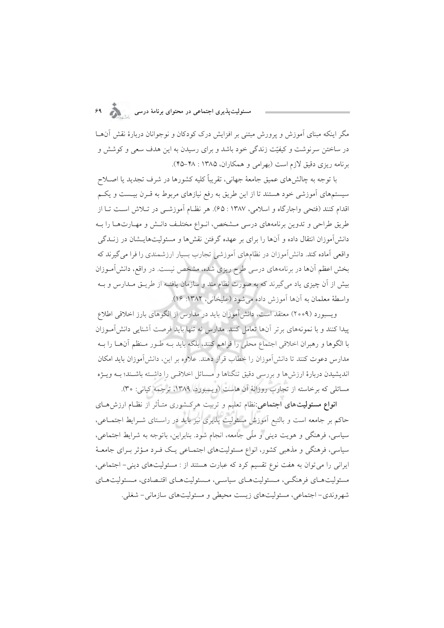# .<br>مسئولیتپذیری اجتماعی در محتوای برنامهٔ درسی مستقولیتپذیری

مگر اینکه مبنای آموزش و پرورش مبتنی بر افزایش درک کودکان و نوجوانان دربارهٔ نقش آن ما در ساختن سرنوشت و کیفیّت زندگی خود باشد و برای رسیدن به این هدف سعی و کوشش و برنامه ریزی دقیق لازم است (بهرامی و همکاران، ۱۳۸۵ : ۴۸-۴۵).

با توجه به چالش های عمیق جامعهٔ جهانی، تقریباً کلیه کشورها در شرف تجدید یا اصـلاح سیستمهای آموزشی خود هستند تا از این طریق به رفع نیازهای مربوط به قـرن بیـست و یکـم اقدام کنند (فتحی واجارگاه و اسلامی، ۱۳۸۷ : ۶۵). هر نظـام آموزشـی در تـلاش اسـت تـا از طریق طراحی و تدوین برنامههای درسی مـشخص، انـواع مختلـف دانـش و مهـارتهـا را بـه دانشآموزان انتقال داده و آنها را برای بر عهده گرفتن نقشها و مسئولیتهایـشان در زنــدگی واقعی آماده کند. دانشآموزان در نظامهای آموزشی تجارب بسیار ارزشمندی را فرا میگیرند که بخش اعظم آنها در برنامههای درسی طرح ریزی شده، مشخص نیست. در واقع، دانش آمـوزان بیش از آن چیزی یاد می گیرند که به صورت نظام مند و سازمان یافتـه از طریــق مــدارس و بــه واسطة معلمان به آنها آموزش داده می شود (علیخانی، ۱۳۸۲: ۱۶).

ویسبورد (۲۰۰۹) معتقد است، دانش آموزان باید در مدارس از الگوهای بارز اخلاقی اطلاع پیدا کنند و با نمونههای برتر آنها تعامل کنند. مدارس نه تنها باید فرصت آشنایی دانش آمـوزان با الگوها و رهبران اخلاقی اجتماع محلی را فراهم کنند، بلکه باید بـه طـور مـنظم آنهـا را بـه مدارس دعوت کنند تا دانش اَموزان را خطاب قرار دهند. علاوه بر این، دانش اَموزان باید امکان اندیشیدن دربارهٔ ارزش۵ا و بررسی دقیق تنگناها و مـسائل اخلاقـی را داشــته باشــند؛ بــه ویــژه مسائلي كه برخاسته از تجارب روزانهٔ آن هاست (ويسبورد، ۱۳۸۹، ترجمه كياني: ۳۰).

**انواع مسئولیتهای اجتماعی:**نظام تعلیم و تربیت هرکشوری متـأثر از نظـام ارزشهـای حاکم بر جامعه است و بالتبع آموزش مسئولیت پذیری نیز باید در راسـتای شــرایط اجتمــاعی، سیاسی، فرهنگی و هویت دینی و ملّی جامعه، انجام شود. بنابراین، باتوجه به شرایط اجتماعی، سیاسی، فرهنگی و مذهبی کشور، انواع مسئولیتهای اجتمـاعی یـک فـرد مـؤثر بـرای جامعـهٔ ایرانی را می توان به هفت نوع تقسیم کرد که عبارت هستند از : مسئولیتهای دینی- اجتماعی، مسئوليتهاي فرهنگي، مسئوليتهاي سياسي، مسئوليتهاي اقتصادي، مسئوليتهاي شهروندي– اجتماعي، مسئوليتهاي زيست محيطي و مسئوليتهاي سازماني– شغلي.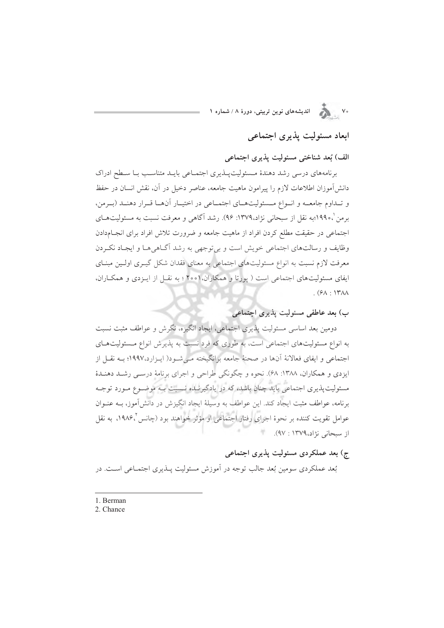## ابعاد مسئولیت پذیری اجتماعی

الف) بُعد شناختی مسئولیت پذیری اجتماعی

برنامههای درسی رشد دهندهٔ مسئولیت پلذیری اجتماعی بایـد متناسـب بـا سـطح ادراک دانشآموزان اطلاعات لازم را پیرامون ماهیت جامعه، عناصر دخیل در آن، نقش انسان در حفظ و تبداوم جامعه و انواع مسئولیتهای اجتماعی در اختیار آنها قرار دهند (برمن، برمن '،١٩٩٠؛به نقل از سبحاني نژاد،١٣٧٩: ٩۶). رشد آگاهي و معرفت نسبت به مسئوليتهـاي اجتماعی در حقیقت مطلع کردن افراد از ماهیت جامعه و ضرورت تلاش افراد برای انجـامدادن وظایف و رسالتهای اجتماعی خویش است و بی توجهی به رشد آگـاهی هـا و ایجـاد نكـردن معرفت لازم نسبت به انواع مسئولیتهای اجتماعی به معنای فقدان شکل گیـری اولـین مبنـای ایفای مسئولیتهای اجتماعی است ( یورتا و همکاران، ۲۰۰۱ ؛ به نقل از اینزدی و همکاران،  $(5A:14A)$ 

ب) بعد عاطفی مسئولیت پذیری اجتماعی

دومین بعد اساسی مسئولیت پذیری اجتماعی، ایجاد انگیزه، نگرش و عواطف مثبت نسبت به انواع مسئولیتهای اجتماعی است، به طوری که فرد نسبت به پذیرش انواع مسئولیتهای اجتماعی و ایفای فعالانهٔ آنها در صحنهٔ جامعه برانگیخته مـی شـود( ایـزارد،۱۹۹۷؛ بـه نقـل از ایزدی و همکاران، ۱۳۸۸: ۶۸). نحوه و چگونگی طراحی و اجرای برنامهٔ درسـی رشـد دهنـدهٔ مسئولیت پذیری اجتماعی باید چنان باشد، که در یادگیرنـده نـسبت بـه موضـوع مـورد توجـه برنامه، عواطف مثبت ایجاد کند. این عواطف به وسیلهٔ ایجاد انگیزش در دانش آموز، بــه عنــوان عوامل تقويت كننده بر نحوهٔ اجراي رفتار اجتماعي او مؤثر خواهند بود (چانس ١٩٨۶، به نقل از سبحانی نژاد،۱۳۷۹ : ۹۷).

ج) بعد عملکردی مسئولیت پذیری اجتماعی

بُعد عملکردی سومین بُعد جالب توجه در آموزش مسئولیت پــٰذیری اجتمــاعی اســت. در

1. Berman

2. Chance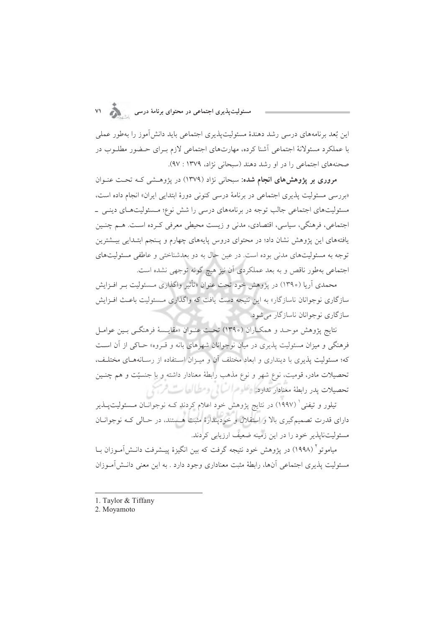.<br>مسئولیتپذیری اجتماعی در محتوای برنامهٔ درسی

این بُعد برنامههای درسی رشد دهندهٔ مسئولیتپذیری اجتماعی باید دانش آموز را بهطور عملی با عملکرد مسئولانهٔ اجتماعی أشنا کرده، مهارتهای اجتماعی لازم بـرای حـضور مطلــوب در صحنههای اجتماعی را در او رشد دهند (سبحانی نژاد، ۱۳۷۹ : ۹۷).

مروری بر پژوهش های انجام شده: سبحانی نژاد (۱۳۷۹) در پژوهشی کـه تحـت عنـوان «بررسی مسئولیت پذیری اجتماعی در برنامهٔ درسی کنونی دورهٔ ابتدایی ایران» انجام داده است، مسئولیتهای اجتماعی جالب توجه در برنامههای درسی را شش نوع؛ مـسئولیتهـای دینـی \_ اجتماعي، فرهنگي، سياسي، اقتصادي، مدني و زيست محيطي معرفي كـرده اسـت. هــم چنـين یافتههای این پژوهش نشان داد؛ در محتوای دروس پایههای چهارم و پـنجم ابتـدایی بیـشترین توجه به مسئولیتهای مدنی بوده است. در عین حال به دو بعدشناختی و عاطفی مسئولیتهای اجتماعی بهطور ناقص و به بعد عملکردی آن نیز هیچ گونه توجهی نشده است.

محمدی آریا (١٣٩٠) در یژوهش خود تحت عنوان «تأثیر واگذاری مـسئولیت بـر افـزایش سازگاری نوجوانان ناسازگار» به این نتیجه دست یافت که واگذاری مـسئولیت باعـث افـزایش ساز گاری نوجوانان ناسازگار می شود.

نتايج يژوهش موحـد و همكـاران (١٣٩٠) تحـت عنـوان «مقايـسهٔ فرهنگـي بـين عوامـل فرهنگی و میزان مسئولیت پذیری در میان نوجوانان شهرهای بانه و قـروه» حـاکی از آن اسـت که؛ مسئولیت پذیری با دینداری و ابعاد مختلف آن و میـزان اسـتفاده از رسـانههـای مختلـف، تحصیلات مادر، قومیت، نوع شهر و نوع مذهب رابطهٔ معنادار داشته و با جنسیّت و هم چنـین تحصيلات بدر رابطة معنادار ندارها وعلوم السالي ومطالعات فرسخي

تیلور و تیفنی ٔ (۱۹۹۷) در نتایج پژوهش خود اعلام کردند کــه نوجوانــان مــسئولیتـپــذیر دارای قدرت تصمیمگیری بالا و استقلال و خودپندارهٔ مثبت هستند، در حـالی کـه نوجوانــان مسئولیتنایذیر خود را در این زمینه ضعیف ارزیابی کردند.

میاموتو<sup>؟</sup> (۱۹۹۸) در یژوهش خود نتیجه گرفت که بین انگیزهٔ پیـشرفت دانـش/آمـوزان بــا مسئولیت پذیری اجتماعی آنها، رابطهٔ مثبت معناداری وجود دارد . به این معنی دانـش آمـوزان

1. Taylor & Tiffany

2. Moyamoto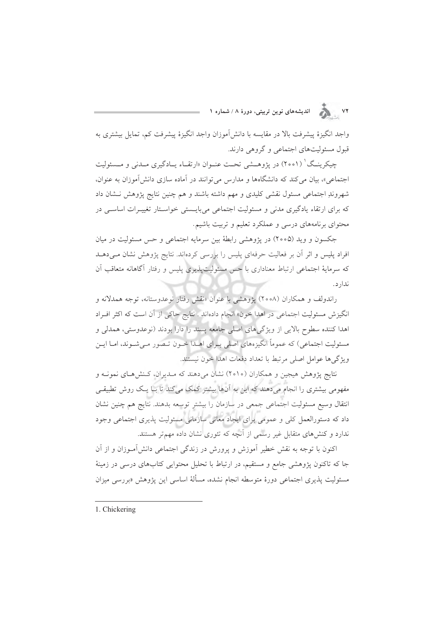۷۲ . . . . اندیشههای نوین تربیتی، دورهٔ ۸ / شماره ۱

واجد انگیزهٔ پیشرفت بالا در مقایسه با دانش آموزان واجد انگیزهٔ پیشرفت کم، تمایل بیشتری به قبول مسئولیتهای اجتماعی و گروهی دارند.

چیکرینـگ' (۲۰۰۱) در یژوهــشی تحـت عنـوان «ارتقــاء پــادگیری مــدنی و مــسئولیت اجتماعی»، بیان می کند که دانشگاهها و مدارس می توانند در آماده سازی دانش آموزان به عنوان، شهروندِ اجتماعی مسئول نقشی کلیدی و مهم داشته باشند و هم چنین نتایج پژوهش نـشان داد که برای ارتقاء یادگیری مدنی و مسئولیت اجتماعی میبایستی خواستار تغییـرات اساسـی در محتوای برنامههای درسی و عملکرد تعلیم و تربیت باشیم.

جکسون و وید (۲۰۰۵) در پژوهشی رابطهٔ بین سرمایه اجتماعی و حس مسئولیت در میان افراد پلیس و اثر آن بر فعالیت حرفهای پلیس را بررسی کردهاند. نتایج پژوهش نشان می دهـد که سرمایهٔ اجتماعی ارتباط معناداری با حس مسئولیتپذیری پلیس و رفتار آگاهانه متعاقب آن ندار د.

راندولف و همکاران (۲۰۰۸) یژوهشی با عنوان «نقش رفتار نوعدوستانه، توجه همدلانه و انگیزش مسئولیت اجتماعی در اهدا خون» انجام دادهاند . نتایج حاکی از آن است که اکثر افـراد اهدا کننده سطوح بالایی از ویژگیهای اصلی جامعه پسند را دارا بودند (نوعدوستی، همدلی و مسئولیت اجتماعی) که عموماً انگیزههای اصلی بـرای اهــدا خــون تــصور مــیشــوند، امــا ایــن ويژگىها عوامل اصلى مرتبط با تعداد دفعات اهدا خون نيستند.

نتايج پژوهش هيجين و همكاران (٢٥١٥) نشان مي دهند كه مـديران، كـنش هـاي نمونــه و مفهومی بیشتری را انجام میدهند که این به آنها بیشتر کمک میکند تا بـا یـک روش تطبیقـی انتقال وسيع مسئوليت اجتماعي جمعي در سازمان را بيشتر توسعه بدهند. نتايج هم چنين نشان داد که دستورالعمل کلی و عمومی برای ایجاد معانی سازمانی مسئولیت پذیری اجتماعی وجود ندارد و کنشهای متقابل غیر رسمی از آنچه که تئوری نشان داده مهمتر هستند.

اکنون با توجه به نقش خطیر آموزش و پرورش در زندگی اجتماعی دانش آمـوزان و از آن جا که تاکنون پژوهشی جامع و مستقیم، در ارتباط با تحلیل محتوایی کتابهای درسی در زمینهٔ مسئوليت يذيري اجتماعي دورهٔ متوسطه انجام نشده، مسألهٔ اساسي اين يژوهش «بررسي ميزان

1. Chickering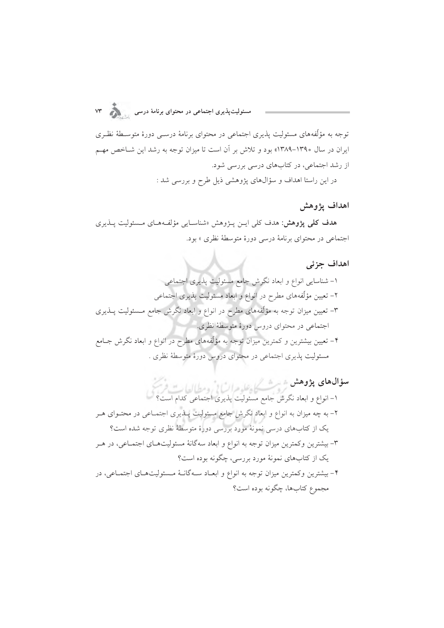.<br>مسئولیتپذیری اجتماعی در محتوای برنامهٔ درسی مستقولیتپذیری

توجه به مؤلَّفههای مسئولیت پذیری اجتماعی در محتوای برنامهٔ درســی دورهٔ متوسـطهٔ نظـری ایران در سال ۱۳۹۰–۱۳۸۹» بود و تلاش بر آن است تا میزان توجه به رشد این شـاخص مهـم از رشد اجتماعی، در کتابهای درسی بررسی شود.

در این راستا اهداف و سؤالهای پژوهشی ذیل طرح و بررسی شد :

#### اهداف يژوهش

ه**دف کلی پژوهش**: هدف کلی ایــن پــژوهش «شناســایی مؤلفــههــای مــسئولیت پــذیری اجتماعی در محتوای برنامهٔ درسی دورهٔ متوسطهٔ نظری » بود.

#### اهداف جزئى

**سؤال@ای پژوهش**<br>۱– انواع و ابعاد نگرش جامع مسئولیت پذیری اجتماعی کدام است؟

۲– به چه میزان به انواع و ابعاد نگرش جامع مسئولیت پــذیری اجتمــاعی در محتــوای هــر یک از کتابهای درسی نمونهٔ مورد بررسی دورهٔ متوسطهٔ نظری توجه شده است؟ ۳- بیشترین وکمترین میزان توجه به انواع و ابعاد سهگانهٔ مسئولیتهـای اجتمـاعی، در هــر یک از کتابهای نمونهٔ مورد بررسی، چگونه بوده است؟ ۴- بیشترین وکمترین میزان توجه به انواع و ابعـاد سـهگانـهٔ مـسئولیتهـای اجتمـاعی، در مجموع كتابها، چگونه بوده است؟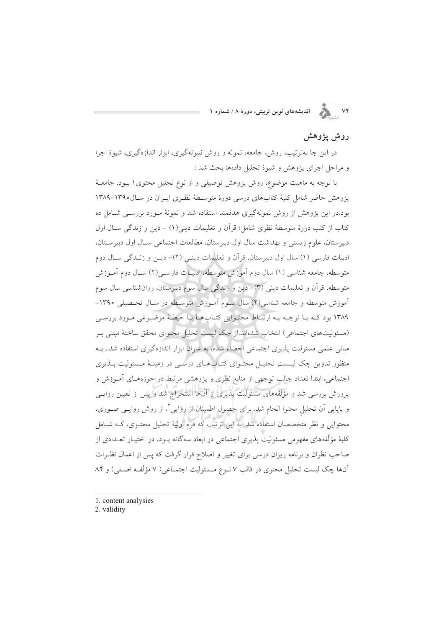۷۴ هـ انديشههای نوين تربيتی، دورهٔ ۸ / شماره ۱

### روش يژوهش

در این جا بهترتیب، روش، جامعه، نمونه و روش نمونهگیری، ابزار اندازهگیری، شیوهٔ اجرا و مراحل اجراي پژوهش و شيوهٔ تحليل دادهها بحث شد :

با توجه به ماهیت موضوع، روش پژوهش توصیفی و از نوع تحلیل محتوی ۱ بـود. جامعـهٔ پژوهش حاضر شامل کلیهٔ کتابهای درسی دورهٔ متوسطهٔ نظری ایـران در سـال۱۳۹۰–۱۳۸۹ بود.در این پژوهش از روش نمونهگیری هدفمند استفاده شد و نمونهٔ مـورد بررسـی شـامل ده كتاب از كتب دورهٔ متوسطهٔ نظري شامل؛ قرآن و تعليمات ديني(١) – دين و زندگي ســال اول دبیرستان، علوم زیستی و بهداشت سال اول دبیرستان، مطالعات اجتماعی سال اول دبیرستان، ادبيات فارسي (١) سال اول دبيرستان، قرآن و تعليمات دينـي (٢)- ديـن و زنـدگي سـال دوم متوسطه، جامعه شناسی (۱) سال دوم آموزش متوسطه، ادبیـات فارسـی(۲) سـال دوم آمــوزش متوسطه، قرآن و تعلیمات دینی (۳)– دین و زندگی سال سوم دبیرستان، روانشناسی سال سوم آموزش متوسطه و جامعه شناسی(۲) سال سـوم آمـوزش متوسـطه در سـال تحـصيلي ۱۳۹۰– ۱۳۸۹ بود که با توجه به ارتباط محتوایی کتابها با حیطهٔ موضوعی مورد بررسی (مسئولیتهای اجتماعی) انتخاب شدهاند.از چک لیست تحلیل محتوای محقق ساختهٔ مبتنی بـر مبانی علمی مسئولیت پذیری اجتماعی احصاء شده، به عنوان ابزار اندازهگیری استفاده شد.. بـه منظور تدوین چک لیستِ تحلیل محتـوای کتـابهـای درسـی در زمینـهٔ مـسئولیت پــذیری اجتماعی، ابتدا تعداد جالب توجهی از منابع نظری و پژوهشی مرتبط در حوزههـای آمـوزش و پرورش بررسی شد و مؤلّفههای مسئولیت پذیری از آنها استخراج شد و پس از تعیین روایـی و پایایی آن تحلیل محتوا انجام شد. برای حصول اطمینان از روایی'، از روش روایـی صـوری، محتوایی و نظر متخصصان استفاده شد. به این ترتیب که فرم اولیهٔ تحلیل محتـوی، کــه شــامل کلیهٔ مؤلّفههای مفهومی مسئولیت پذیری اجتماعی در ابعاد سهگانه بـود، در اختیـار تعـدادی از صاحب نظران و برنامه ریزان درسی برای تغییر و اصلاح قرار گرفت که پس از اعمال نظـرات آنها چک لیست تحلیل محتوی در قالب ۷ نـوع مـسئولیت اجتمـاعی( ۷ مؤلّفـه اصـلی) و ۸۴

1. content analysies

2. validity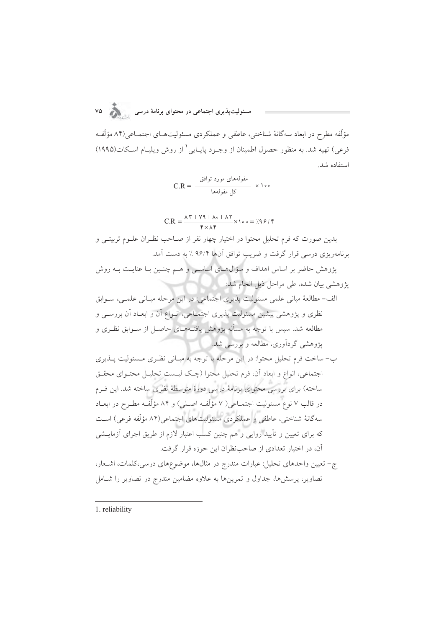.<br>مسئولیتپذیری اجتماعی در محتوای برنامهٔ درسی

مؤلِّفه مطرح در ابعاد سه گانهٔ شناختی، عاطفی و عملکردی مسئولیتهـای اجتمـاعی(۸۴ مؤلِّفـه فرعي) تهيه شد. به منظور حصول اطمينان از وجــود پايــايي ٰ از روش ويليــام اســكات(١٩٩٥) استفاده شد.

$$
C.R = \frac{C}{\sqrt{C}} = \frac{C}{\sqrt{C}}
$$

$$
C.R = \frac{\lambda \, \texttt{Y} + \texttt{Y} \texttt{Q} + \lambda \circ + \lambda \, \texttt{Y}}{\texttt{Y} \times \lambda \, \texttt{Y}} \times \texttt{Y} \circ \circ = \texttt{X} \, \texttt{Y} \, \texttt{Y} \, \texttt{Y}
$$

بدین صورت که فرم تحلیل محتوا در اختیار چهار نفر از صـاحب نظـران علــوم تربیتــی و برنامهریزی درسی قرار گرفت و ضریب توافق آنها ۹۶/۴ ٪ به دست آمد.

پژوهش حاضر بر اساس اهداف و سؤال۵حای اساسـی و هـم چنـین بـا عنایـت بـه روش یژوهشی بیان شده، طی مراحل ذیل انجام شد:

ب- ساخت فرم تحلیل محتوا: در این مرحله با توجه به مبـانی نظـری مـسئولیت پــذیری اجتماعی، انواع و ابعاد آن، فرم تحلیل محتوا (چـک لیـست تحلیــل محتــوای محقــق ساخته) برای بررسی محتوای برنامهٔ درسی دورهٔ متوسطهٔ نظری ساخته شد. این فـرم در قالب ۷ نوع مسئولیت اجتمــاعی( ۷ مؤلّفــه اصــلی) و ۸۴ مؤلّفــه مطــرح در ابعــاد سهگانهٔ شناختی، عاطفی و عملکردی مسئولیتهای اجتماعی(۸۴ مؤلّفه فرعی) است که برای تعیین و تأیید روایی و هم چنین کسب اعتبار لازم از طریق اجرای آزمایــشی أن، در اختيار تعدادي از صاحبنظران اين حوزه قرار گرفت.

ج– تعیین واحدهای تحلیل: عبارات مندرج در مثالها، موضوعهای درسی،کلمات، اشـعار، تصاویر، پرسشها، جداول و تمرینها به علاوه مضامین مندرج در تصاویر را شـامل

1. reliability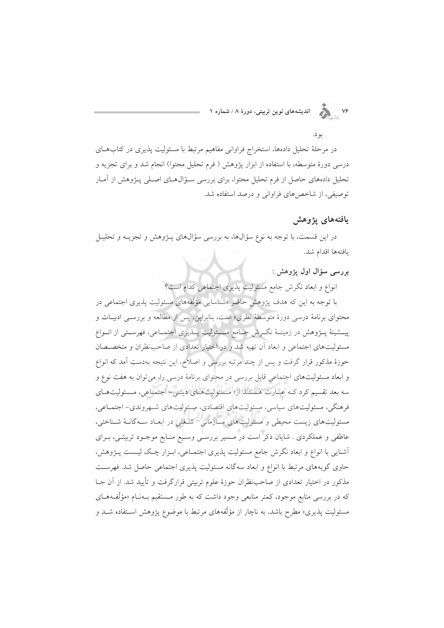۷۶ هـ انديشههای نوین تربیتی، دورهٔ ۸ / شماره ۱

ىو د.

در مرحلهٔ تحلیل دادهها، استخراج فراوانی مفاهیم مرتبط با مسئولیت پذیری در کتابهـای درسی دورهٔ متوسطه، با استفاده از ابزار یژوهش ( فرم تحلیل محتوا) انجام شد و برای تجزیه و تحلیل دادههای حاصل از فرم تحلیل محتول برای بررسی سـؤالهـای اصـلی پـژوهش از آمـار توصیفی، از شاخص های فراوانی و درصد استفاده شد.

#### يافتههاى يژوهش

در این قسمت، با توجه به نوع سؤالها، به بررسی سؤالهای پــژوهش و تجزیــه و تحلیــل يافتهها اقدام شد.

بررسي سؤال اول یژوهش :

انواع و ابعاد نگرش جامع مسئولیت پذیری اجتماعی کدام است؟

با توجه به این که هدف پژوهش حاضر «شناسایی مؤلّفههای مسئولیت پذیری اجتماعی در محتوای برنامهٔ درسی دورهٔ متوسطهٔ نظری» است، بنابراین، پس از مطالعه و بررسـی ادبیـات و پیــشینهٔ پـــژوهش در زمینــهٔ نگــرش جــامع مــسئولیت پـــذیری اجتمــاعی، فهرســتی از انــواع مسئولیتهای اجتماعی و ابعاد آن تهیه شد و در اختیار تعدادی از صاحب نظران و متخصصان حوزهٔ مذکور قرار گرفت و پس از چند مرتبه بررسی و اصلاح، این نتیجه بهدست آمد که انواع و ابعاد مسئولیتهای اجتماعی قابل بررسی در محتوای برنامهٔ درسی را، میتوان به هفت نوع و سه بعد تقسیم کرد کـه عبـارت هـستند از؛ مـسئولیتهـای دینـی- اجتمـاعی، مـسئولیتهـای فرهنگی، مسئولیتهای سیاسی، مسئولیتهای اقتصادی، مسئولیتهای شهروندی- اجتماعی، مسئولیتهای زیست محیطی و مسئولیتهای سازمانی–شغلی در ابعـاد سـهگانـهٔ شـناختی، عاطفی و عملکردی . شایان ذکر است در مسیر بررستی وسیع منـابع موجـود تربیتـی، بـرای آشنایی با انواع و ابعاد نگرش جامع مسئولیت پذیری اجتمـاعی، ابـزار چـک لیـست پــژوهش، حاوی گویههای مرتبط با انواع و ابعاد سهگانه مسئولیت پذیری اجتماعی حاصل شد. فهرست مذکور در اختیار تعدادی از صاحب ظران حوزهٔ علوم تربیتی قرارگرفت و تأیید شد. از آن جـا که در بررسی منابع موجود، کمتر منابعی وجود داشت که به طور مـستقیم بـهنــام «مؤلِّفـههــای مسئولیت پذیری» مطرح باشد، به ناچار از مؤلّفههای مرتبط با موضوع پژوهش اسـتفاده شــد و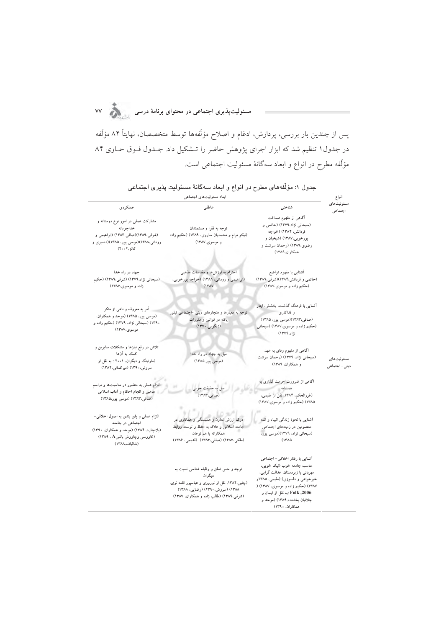مسئولیت $\mu$ یری اجتماعی در محتوای برنامهٔ درسی

پس از چندین بار بررسی، پردازش، ادغام و اصلاح مؤلّفهها توسط متخصصان، نهایتاً ۸۴ مؤلّفه در جدول۱ تنظیم شد که ابزار اجرای پژوهش حاضر را تــشکیل داد. جــدول فــوق حــاوی ۸۴ مؤلَّفه مطرح در انواع و ابعاد سهگانهٔ مسئولیت اجتماعی است.

|                                                                                                                                                        | ابعاد مسئولیتهای اجتماعی                                                                                                                                                      |                                                                                                                                                                                                                                                                       | انواع                        |
|--------------------------------------------------------------------------------------------------------------------------------------------------------|-------------------------------------------------------------------------------------------------------------------------------------------------------------------------------|-----------------------------------------------------------------------------------------------------------------------------------------------------------------------------------------------------------------------------------------------------------------------|------------------------------|
| عملكردي                                                                                                                                                | عاطفى                                                                                                                                                                         | شناختي                                                                                                                                                                                                                                                                | مسئوليتهاى<br>اجتماعي        |
| مشارکت عملی در امور نوع دوستانه و<br>خداجويانه<br>(شرفی،۱۳۸۹)(صافی،۱۳۸۳) (ابراهیمی و<br>رودانی،۱۳۸۸)(موسی پور، ۱۳۸۵)(دنسبری و<br>کاتز،۴۰ ه ۲۰)         | توجه به فقرا و مستمندان<br>(نیکو مرام و محمدیان ساروی، ۱۳۸۹) (حکیم زاده<br>و موسوی،۱۳۸۷)                                                                                      | أگاهی از مفهوم صداقت<br>(سبحانی نژاد،۱۳۷۹) (حاتمی و<br>فردانش، ۱۳۸۴) (خواجه<br>پورخویی،۱۳۸۷) (شیخیان و<br>رضوی،۱۳۸۹) (رحمان سرشت و<br>همكاران،١٣٨٩)                                                                                                                   |                              |
| جهاد در راه خدا<br>(سبحانی نژاد،۱۳۷۹) (شرفی،۱۳۸۹) (حکیم<br>زاده و موسوى،١٣٨٧)                                                                          | احترام به ارزشها و مقدسات مذهبی<br>(ابراهیمی و رودانی، ۱۳۸۸) (خواجه پورخویی،<br>(17A)                                                                                         | أشنايي با مفهوم تواضع<br>(حاتمی و فردانش،۱۳۸۴)(شرفی،۱۳۸۹)<br>(حکیم زاده و موسوی،۱۳۸۷)                                                                                                                                                                                 |                              |
| آمر به معروف و ناهی از منکر<br>(موسى پور، ١٣٨٥) (موحد و همكاران،<br>۱۳۹۰) (سبحانی نژاد، ۱۳۷۹) (حکیم زاده و<br>موسوى،١٣٨٧)                              | توجه به معیارها و هنجارهای دینی -اجتماعی تبلور<br>يافته در قوانين و مقررات<br>(زنگویی،۱۳۷۰)                                                                                   | آشنایی با فرهنگ گذشت، بخشش، ایثار<br>و فداکاری<br>(صافی،۱۳۸۳)(موسی پور، ۱۳۸۵)<br>(حکیم زاده و موسوی،۱۳۸۷) (سبحانی<br>ئژاد، ۱۳۷۹)                                                                                                                                      |                              |
| تلاش در رفع نیازها و مشکلات سایرین و<br>كمک به آنها<br>(مارتینگ و دیگران، ۲۰۰۱ ؛ به نقل از<br>سروش،۱۳۹۰) (میرکمالی،۱۳۸۲)                               | میل به جهاد در راه خدا<br>(موسى پور،١٣٨٥)                                                                                                                                     | آگاهی از مفهوم وفای به عهد<br>(سبحانی نژاد، ۱۳۷۹) (رحمان سرشت<br>و همکاران، ۱۳۸۹)                                                                                                                                                                                     | مسئوليتهاى<br>دینی - اجتماعی |
| التزام عملی به حضور در مناسبتها و مراسم<br>مذهبی و انجام احکام و آداب اسلامی<br>(صافی،۱۳۸۳) (موسی پور،۱۳۸۵)                                            | میل به حقیقت جوببی<br>(صافی،۱۳۸۳)                                                                                                                                             | آگاهی از ضرورت حرمت گذاری به<br>همسايه والمستحصل<br>(غررالحکم، ۱۳۸۴، نقل از مقیمی،<br>۱۳۸۵) (حکیم زاده و موسوی،۱۳۸۷)                                                                                                                                                  |                              |
| التزام عملی و پای بندی به اصول اخلاقی-<br>اجتماعی در جامعه<br>(بلانچارد، ۱۳۸۴) (موحد و همکاران، ۱۳۹۰)<br>(کاووسی وچاووش باشی4 ، ۱۳۸۹)<br>(شالباف،۱۳۸۸) | درک ارزش تعاون و همبستگی و همکاری در<br>جامعه اسلامی و علاقه به حفظ و توسعه روابط<br>همکارانه با هم نوعان<br>(ملكى،١٣٨٧) (صافى،١٣٨٣) (قديمي، ١٣٨۶)                            | آشنایی با نحوهٔ زندگی انبیاء و ائمه<br>معصومین در زمینههای اجتماعی<br>(سبحانی نژاد، ۱۳۷۹)(موسی پور،<br>۱۳۸۵)                                                                                                                                                          |                              |
|                                                                                                                                                        | توجه و حس تعلق و وظیفه شناسی نسبت به<br>ديگران<br>(چلبی،۱۳۸۴، نقل از نوروزی و عباسپور قلعه نوی.<br>۱۳۸۸) (سروش،۱۳۹۰) (رضایی، ۱۳۸۸)<br>(شرفی،۱۳۸۹) (طالب زاده و همکاران، ۱۳۸۷) | آشنایی با رفتار اخلاقی- اجتماعی<br>مناسب جامعه خوب (نیک خویبی،<br>مهربانی با زیردستان، عدالت گرایی،<br>خیرخواهی و دلسوزی) (مقیمی، ۱۳۸۵و<br>۱۳۸۷) (حکیم زاده و موسوی، ۱۳۸۷) (<br>Polk ,2006. Folk ؛به نقل از ایمان و<br>جلائيان بخشنده،١٣٨٩) (موحد و<br>همكاران، ١٣٩٠) |                              |

جدول ۱: مؤلَّفههای مطرح در انواع و ابعاد سهگانهٔ مسئولیت پذیری اجتماعی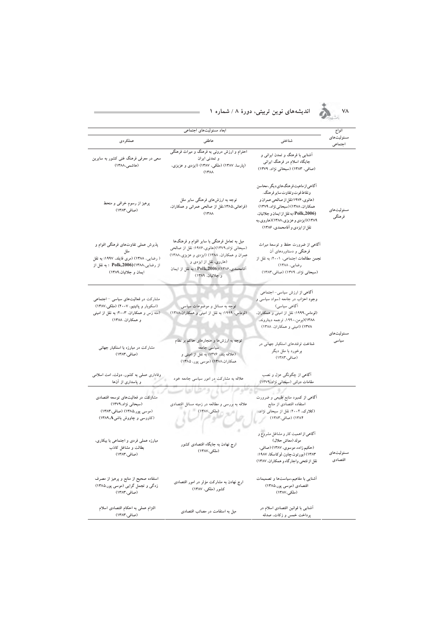#### ۷۸ **. پسته ای اندیشههای نوین تربیتی، دورهٔ ۸ / شماره ۱**

|                                                                                                                                                 | ابعاد مسئولیتهای اجتماعی                                                                                                                                                                                                               |                                                                                                                                                                                                                                                                  | انواع                 |
|-------------------------------------------------------------------------------------------------------------------------------------------------|----------------------------------------------------------------------------------------------------------------------------------------------------------------------------------------------------------------------------------------|------------------------------------------------------------------------------------------------------------------------------------------------------------------------------------------------------------------------------------------------------------------|-----------------------|
| عملكردي                                                                                                                                         | عاطفى                                                                                                                                                                                                                                  | شناختى                                                                                                                                                                                                                                                           | مسئوليتهاى<br>اجتماعي |
| سعی در معرفی فرهنگ غنی کشور به سایرین<br>(هاشمی،۱۳۸۸)                                                                                           | احترام و ارزش درونی به فرهنگ و میراث فرهنگی<br>و تمدنی ایران<br>(پارسا، ۱۳۸۷) (ملکی، ۱۳۸۷) (ایزدی و عزیزی،<br>(14A)                                                                                                                    | آشنایی با فرهنگ و تمدن ایرانی و<br>جایگاه اسلام در فرهنگ ایرانی<br>(صافی، ۱۳۸۳) (سبحانی نژاد، ۱۳۷۹)                                                                                                                                                              |                       |
| پرهيز از رسوم خرافي و منحط<br>(صافى،١٣٨٣)                                                                                                       | توجه به ارزشهای فرهنگی سایر ملل<br>(فراهانی،۱۳۸۵،نقل از صالحی عمرانی و همکاران،<br>(14A)                                                                                                                                               | آگاهی از ماهیت فرهنگ های دیگر، محاسن<br>ونقاط قوت وتفاوت ساير فرهنگ.<br>(هانوي، ۱۹۷۶:نقل از صالحي عمران و<br>همکاران، ۱۳۸۸) (سبحانی نژاد، ۱۳۷۹)<br>(Polk,2006؛به نقل از ایمان و جلائیان،<br>۱۳۸۹)(ایزدی و عزیزی،۱۳۸۸)(هاروی،به<br>نقل از ایزدی و آقامحمدی، ۱۳۸۶) | مسئوليتهاى<br>فرهنگي  |
| پذیرش عملی تفاوتهای فرهنگی اقوام و<br>( رضایی، ۱۳۸۸) (مری فایلد، ۱۹۹۷؛ به نقل<br>از رضایی،۱۳۸۸)(Polk,2006  ؛ به نقل از<br>ايمان و جلائيان.۱۳۸۹) | میل به تعامل فرهنگی با سایر اقوام و فرهنگها<br>(سبحانی نژاد،۱۳۷۹)(هانوی،۱۹۷۶؛ نقل از صالحی<br>عمران و همکاران، ۱۳۸۸) (ایزدی و عزیزی،۱۳۸۸)<br>(هاروی، نقل از ایزدی و<br>آقامحمدی، ۱۳۸۶)(Polk,2006 ؛ به نقل از ایمان<br>و جلائيان. ۱۳۸۹) | آگاهی از ضرورت حفظ و توسعهٔ میراث<br>فرهنگی و دستاوردهای آن<br>نجمن مطالعات اجتماعی، ۲۰۰۱؛ به نقل از<br>رضایی، ۱۳۸۸)<br>(سبحانی نژاد، ۱۳۷۹) (صافی،۱۳۸۳)                                                                                                          |                       |
| مشارکت در فعالیتهای سیاسی – اجتماعی<br>(اسکوبار و پاتینیو، ۲۰۰۷) (ملکی،۱۳۸۷)<br>(منه زس و همکاران، ۲۰۰۳؛ به نقل از امینی<br>و همکاران، ۱۳۸۸)    | توجه به مسائل و موضوعات سیاسی<br>(لوماس، ۱۹۹۹؛ به نقل از امینی و همکاران،۱۳۸۸)                                                                                                                                                         | آگاهی از ارزش سیاسی- اجتماعی<br>وجود احزاب در جامعه (سواد سیاسی و<br>آگاهی سیاسی)<br>(لوماس،١٩٩٩؛ نقل از اميني و همكاران،<br>۱۳۸۸)(برمن،۱۹۹۰، ترجمه دیناروند.<br>١٣٧٨) (امينی و همكاران، ١٣٨٨)                                                                   |                       |
| مشارکت در مبارزه با استکبار جهانی<br>(صافى،١٣٨٣)                                                                                                | توجه به ارزشها و هنجارهای حاکم بر نظام<br>سیاسی جامعه<br>(علاقه بند، ۱۳۷۶؛ به نقل از امینی و<br>همکاران.۱۳۸۸) (موسی پور، ۱۳۸۵)                                                                                                         | شناخت ترفندهای استکبار جهانی در<br>برخورد با ملل دیگر<br>(صافى،١٣٨٣)                                                                                                                                                                                             | مسئوليتهاى<br>سياسى   |
| وفاداری عملی به کشور، دولت، امت اسلامی<br>و پاسداری از آنها                                                                                     | علاقه به مشارکت در امور سیاسی جامعه خود                                                                                                                                                                                                | آگاهی از چگونگی عزل و نصب<br>مقامات دولتی (سبحانی نژاد.۱۳۷۹)                                                                                                                                                                                                     |                       |
| مشارکت در فعالیتهای توسعه اقتصادی<br>(سبحانی نژاد،۱۳۷۹)<br>(موسى پور،١٣٨۵) (صافى،١٣٨٣)<br>(کاووسی و چاووش باشی∆۱۳۸۹)                            | علاقه به بررسی و مطالعه در زمینه مسائل اقتصادی<br>( املکی،۱۳۸۷)                                                                                                                                                                        | آگاهی از کمبود منابع طبیعی و ضرورت<br>استفاده اقتصادی از منابع<br>(کلارک، ۲۰۰۴؛ نقل از سبحانی نژاد،<br>۱۳۸۴) (صافی،۱۳۸۳)                                                                                                                                         |                       |
| مبارزه عملی فردی و اجتماعی با بیکاری،<br>بطالت و مشاغل کاذب<br>(صافى،١٣٨٣)                                                                      | ارج نهادن به جایگاه اقتصادی کشور<br>(ملکی،۱۳۸۷)                                                                                                                                                                                        | آگاهی از اهمیت کار و مشاغل مشروع و<br>مولد (معاش حلال)<br>(حکیم زاده، موسوی، ۱۳۸۷) (صافی،<br>۱۳۸۳) (بورتون،چاوز، لوکاسکا، ۱۹۸۷؛<br>نقل از فتحی واجار کاه و همکاران، ۱۳۸۷)                                                                                        | مسئوليتهاى<br>اقتصادي |
| استفاده صحیح از منابع و پرهیز از مصرف<br>زدگی و تجمل گرایی (موسی پور،۱۳۸۵)<br>(صافی،۱۳۸۳)                                                       | ارج نهادن به مشارکت مؤثر در امور اقتصادی<br>کشور (ملکی، ۱۳۸۷)                                                                                                                                                                          | أشنایی با مفاهیم،سیاستها و تصمیمات<br>اقتصادی (موسی پور،۱۳۸۵)<br>(ملكمي،١٣٨٧)                                                                                                                                                                                    |                       |
| التزام عملى به احكام اقتصادى اسلام<br>(صافی،۱۳۸۳)                                                                                               | میل به استقامت در مصائب اقتصادی                                                                                                                                                                                                        | آشنایی با قوانین اقتصادی اسلام در<br>پرداخت خمس و زکات، صدقه                                                                                                                                                                                                     |                       |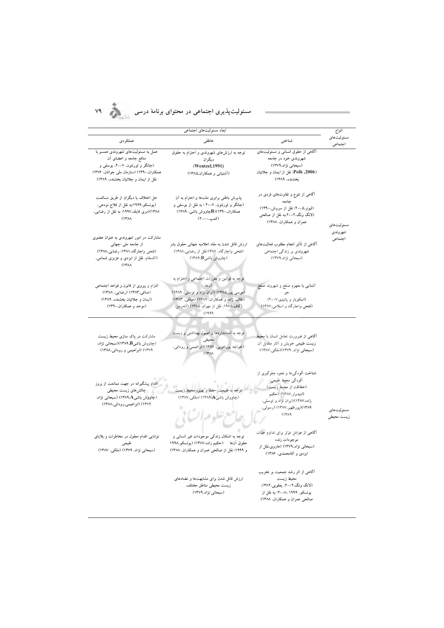# **X4** مسئولت بذری احتماعی در محتوای برنامهٔ درسی

|                                                                                                                                                                                   | ابعاد مسئوليتهاى اجتماعي                                                                                                                                                                  |                                                                                                                                                                                 | انواع                    |
|-----------------------------------------------------------------------------------------------------------------------------------------------------------------------------------|-------------------------------------------------------------------------------------------------------------------------------------------------------------------------------------------|---------------------------------------------------------------------------------------------------------------------------------------------------------------------------------|--------------------------|
| عملكردى                                                                                                                                                                           | عاطفى                                                                                                                                                                                     | شناختى                                                                                                                                                                          | مسئوليتهاى<br>اجتماعي    |
| عمل به مسئولیتهای شهروندی همسو با<br>منافع جامعه و اعضای آن<br>(جانگر و ثورنتون، ۲۰۰۷، یوسفی و<br>همکاران.1۳۹۰) (سازمان ملی جوانان. ۱۳۷۶؛<br>نقل از ایمان و جلائیان بخشنده، ۱۳۸۹) | توجه به ارزشهای شهروندی و احترام به حقوق<br>دیگر ان<br>(Wentzel, 1991)<br>(آشتیانی و همکاران،۱۳۸۵)                                                                                        | آگاهی از حقوق انسانی و مسئولیتهای<br>شهروندی خود در جامعه<br>(سیحانی نژاد،۱۳۷۹)<br>Polk ,2006): نقل از ایمان و جلائیان<br>بخشنده، ۱۳۸۹)                                         |                          |
| حل اختلاف با دیگران از طریق مسالمت<br>(یونسکو،۱۹۹۹؛به نقل از فلاح نودهی،<br>۱۳۸۸)(مری فایلد،۱۹۹۷؛ به نقل از رضایی،<br>(14A)                                                       | پذیرش باطنی برابری ملتها و احترام به آن<br>(جائگر و ثورنتون، ۲۰۰۷ ؛ به نقل از یوسفی و<br>همکاران.۴۹۰(B)(P۱۳۹) اووش باشی، ۱۳۸۹)<br>(کمپ، ۲۰۰۰)                                             | آگاهی از تنوع و تفاوتهای فردی در<br>جامعه<br>(ليونر،۵۰۰؟؛ نقل از سروش،۱۳۹۰)<br>(لانگ ونگ،۲۰۰۲،به نقل از صالحی<br>عمران و همکاران، ۱۳۸۸)                                         | مسئوليتهاى               |
| مشارکت در امور شهروندی به عنوان عضوی<br>از جامعه ملي-جهاني<br>(فتحي واجاركاه، ١٣٨١؛ رضايي،١٣٨٨)<br>(اکسفام، نقل از ایزدی و عزیزی شمامی،<br>(14A)                                  | ارزش قائل شدن به مفاد اعلامیه جهانی حقوق بشر<br>(فتحی واجارگاه، ۱۳۸۱:نقل از رضایی،۱۳۸۸)<br>(چاووش باشیB،۱۳۸۹)                                                                             | أگاهی از تأثیر انجام مطلوب فعالیتهای<br>شهروندي بر زندگي اجتماعي<br>(سیحانی نژاد،۱۳۷۹)                                                                                          | شهروندي<br>اجتماعي       |
| التزام و پیروی از قانون و قواعد اجتماعی<br>(صافی،۱۳۸۳) (رضایی، ۱۳۸۸)<br>(ایمان و جلائیان بخشنده، ۱۳۸۹)<br>(موحد و همکاران،۱۳۹۰)                                                   | توجه به قوانین و مقررات اجتماعی و احترام به<br>آن ها<br>(موسى پور،١٣٨٥) (ايران نژاد و توسلى، ١٣٨٩)<br>(طالب زاده و همکاران، ۱۳۸۷) (صافی، ۱۳۸۳)<br>(گاف،۱۹۷۵، نقل از مهرام، ۱۳۸۵) (آندرمن، | أشنايى با مفهوم صلح و شهروند صلح<br>جو<br>(اسکوبار و پاتینیو،۲۰۰۷)<br>(فتحی واجارگاه و اسلامی،۱۳۸۷)                                                                             |                          |
| مشارکت در پاک سازی محیط زیست<br>(چاووش باشی&۱۳۸۹)(سبحانی نژاد.<br>۱۳۷۹) (ابراهیمی و رودانی،۱۳۸۸)                                                                                  | توجه به استانداردها و اصول بهداشتی و زیست<br>محيطى<br>(خواجه پورخویی، ۱۳۸۷)(ابراهیمی و رودانی،<br>(14M)                                                                                   | آگاهی از ضرورت تعامل انسان با محیط<br>زیست طبیعی خویش و أثار متقابل أن<br>(سېحانی نژاد، ۱۳۷۹)(ملکی،۱۳۸۷)                                                                        |                          |
| اقدام پیشگیرانه در جهت ممانعت از بروز<br>چالشهای زیست محیطی<br>(چاووش باشی4، ۱۳۸۹) (سبحانی نژاد.<br>۱۳۷۹) (ابراهیمی،رودانی،۱۳۸۸)                                                  | .<br>توجه به طبیعت، حفظ و بهبود محیط زیه<br>(چاووش باشی4،۱۳۸۹) (ملکی،۱۳۸۷)                                                                                                                | شناخت آلودگیها و نحوه جلوگیری از<br>ألودگي محيط طبيعي<br>(حفاظت از محیط زیست)<br>(امیدوار،۱۳۸۷) (حکیم<br>زاده،۱۳۸۷)(ایران نژاد و توسلی،<br>١٣٨٩)(پورظهير،١٣٨٧) (رسولي،<br>(14A) | مسئوليتهاى<br>زيست محيطى |
| توانایی اقدام معقول در مخاطرات و بلایای<br>طبیعی<br>(سبحانی نژاد، ۱۳۷۹) (ملکی، ۱۳۸۷)                                                                                              | توجه به اشکال زندگی موجودات غیر انسانی و<br>حقوق آن٥ها     (حکیم زاده،١٣٨٧) (يونسکو،١٩٩٨<br>و ۱۹۹۹؛ نقل از صالحی عمران و همکاران. ۱۳۸۸)                                                   | أگاهی از عوامل مؤثر برای تداوم حیات<br>موجودات زنده<br>(سبحانی نژاد،۱۳۷۹) (هاروی،نقل از<br>ایزدی و آقامحمدی، ۱۳۸۶)                                                              |                          |
|                                                                                                                                                                                   | ارزش قائل شدن برای مشابهتها و تضادهای<br>زيست محيطى مناطق مختلف<br>(سبحانی نژاد،۱۳۷۹)                                                                                                     | آگاهی از اثر رشد جمعیت بر تخریب<br>محيط زيست<br>(لانگ ونگ،۲۰۰۲، یعقوبی،۱۳۸۲.<br>یونسکو، ۱۹۹۹، ۲۰۰۸، ۹۹ نقل از<br>صالحی عمران و همکاران، ۱۳۸۸)                                   |                          |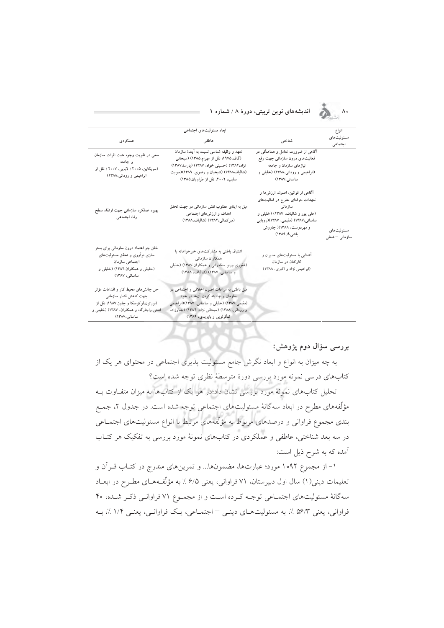#### اندیشههای نوین تربیتی، دورهٔ ۸ / شماره ۱



# کنگرلویی و بایزیدی، ۱۳۸۹)

#### بررسی سؤال دوم پژوهش:

 $\Lambda \circ$ 

به چه میزان به انواع و ابعاد نگرش جامع مسئولیت پذیری اجتماعی در محتوای هر یک از كتابهاي درسي نمونه مورد بررسي دورة متوسطة نظري توجه شده است؟

ساسانى،١٣٨٧)

تحلیل کتابهای نمونهٔ مورد بررسی نشان داد؛در هر یک از کتابها به میزان متفـاوت بــه مؤلَّفههای مطرح در ابعاد سهگانهٔ مسئولیتهای اجتماعی توجه شده است. در جدول ۲، جمـع بندی مجموع فراوانی و درصدهای مربوط به مؤلَّفههای مرتبط با انواع مسئولیتهای اجتمـاعی در سه بعد شناختی، عاطفی و عملکردی در کتابهای نمونهٔ مورد بررسی به تفکیک هر کتــاب آمده که به شرح ذیل است:

۱– از مجموع ۱۰۹۲ مورد؛ عبارتها، مضمونها... و تمرینهای مندرج در کتـاب قـرآن و تعليمات ديني(١) سال اول دبيرستان، ٧١ فراواني، يعني ۶/۵٪ به مؤلِّفههـاي مطـرح در ابعـاد سه گانهٔ مسئولیتهای اجتماعی توجـه کـرده اسـت و از مجمـوع ۷۱ فراوانـی ذکـر شـده، ۴۰ فراواني، يعني ۵۶/۳ ٪، به مسئوليتهاي دينبي – اجتمـاعي، يـک فراوانـي، يعنـي ۱/۴ ٪، بـه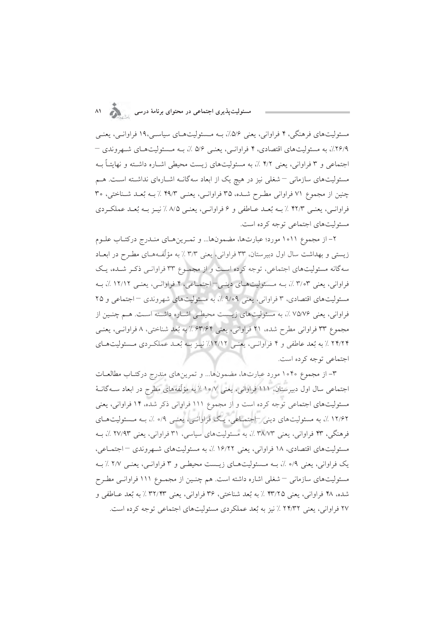مسئوليتهاي فرهنگي، ۴ فراواني، يعني ۵/۶٪، بـه مـسئوليتهـاي سياسـي،١٩ فراوانـي، يعنـي ۲۶/۹٪، به مسئولیتهای اقتصادی، ۴ فراوانسی، یعنسی ۵/۶ ٪، بـه مـسئولیتهـای شـهروندی – اجتماعی و ۳ فراوانی، یعنی ۴/۲ ٪، به مسئولیتهای زیست محیطی اشـاره داشـته و نهایتـاً بـه مسئولیتهای سازمانی – شغلی نیز در هیچ یک از ابعاد سهگانـه اشـارهای نداشـته اسـت. هـم چنین از مجموع ۷۱ فراوانی مطرح شده، ۳۵ فراوانبی، یعنبی ۴۹/۳ ٪ بـه بُعـد شـناختی، ۳۰ فراوانسي، يعنبي ۴۲/۳ ٪ بـه بُعـد عــاطفي و ۶ فراوانسي، يعنبي ۸/۵ ٪ نيـز بـه بُعـد عملكـردي مسئوليتهاي اجتماعي توجه كرده است.

۲– از مجموع ۱۰۱۱ مورد؛ عبارتها، مضمونها... و تمـرينهـاي منـدرج دركتـاب علـوم زیستی و بهداشت سال اول دبیرستان، ۳۳ فراوانی، یعنی ۳/۳ ٪ به مؤلَّفههـای مطـرح در ابعـاد سه گانه مسئولیتهای اجتماعی، توجه کرده است و از مجموع ۳۳ فراوانبی ذکر شده، یک فراواني، يعني ٣،٣٧٪، بـه مـسئوليتهـاي دينـي – اجتمـاعي، ۴ فراوانـي، يعنـي ١٢/١٢٪، بـه مسئولیتهای اقتصادی، ۳ فراوانی، یعنی ۹/۰۹٪، به مسئولیتهای شهروندی – اجتماعی و ۲۵ فراوانی، یعنی ۷۵/۷۶٪، به مسئولیتهای زیـست محیطـی اشـاره داشـته اسـت. هـم چنـین از مجموع ٣٣ فراواني مطرح شده، ٢١ فراواني، يعني ۶۳/۶۴ ٪ به بُعد شناختي، ٨ فراوانسي، يعنـي ۲۴/۲۴ ٪ به بُعد عاطفي و ۴ فراوانسي، يعنـي ۱۲/۱۲٪ نيـز بـه بُعـد عملكـردي مـسئوليتهـاي اجتماعي توجه كرده است.

۳– از مجموع ۱۰۴۰ مورد عبارتها، مضمونها... و تمرینهای مندرج درکتـاب مطالعـات اجتماعی سال اول دبیرستان، ۱۱۱ فراوانی، یعنی ۱۰/۷٪ به مؤلّفههای مطرح در ابعاد سـهگانـهٔ مسئولیتهای اجتماعی توجه کرده است و از مجموع ۱۱۱ فراوانی ذکر شده، ۱۴ فراوانی، یعنی ۱۲/۶۲ ٪، به مسئولیتهای دینی –اجتماعی، یـک فراوانـی، یعنـی ۰/۹ ٪، بــه مـسئولیتهـای فرهنگی، ۴۳ فراوانی، یعنی ۳۸/۷۳ ٪، به مسئولیتهای سیاسی، ۳۱ فراوانی، یعنی ۲۷/۹۳ ٪، بـه مسئولیتهای اقتصادی، ۱۸ فراوانی، یعنی ۱۶/۲۲ ٪، به مسئولیتهای شبهروندی –اجتماعی، یک فراوانی، یعنی ۹/۰ ٪، بـه مـسئولیتهـای زیـست محیطـی و ۳ فراوانـی، یعنـی ۲/۷ ٪ بـه مسئولیتهای سازمانی – شغلی اشاره داشته است. هم چنـین از مجمـوع ۱۱۱ فراوانـی مطـرح شده، ۴۸ فراواني، يعني ۴۳/۲۵ ٪ به بُعد شناختي، ۳۶ فراواني، يعني ۳۲/۴۳ ٪ به بُعد عـاطفي و ۲۷ فراوانی، یعنی ۲۴/۳۲ ٪ نیز به بُعد عملکردی مسئولیتهای اجتماعی توجه کرده است.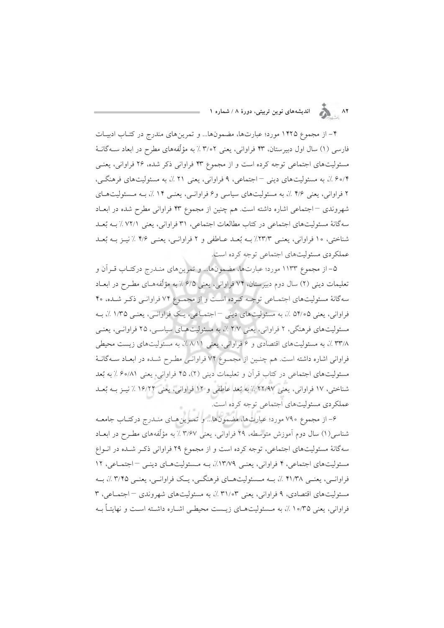## ۸۲ هـ انديشههای نوين تربيتی، دورهٔ ۸ / شماره ۱

۴– از مجموع ۱۴۲۵ مورد؛ عبارتها، مضمونها... و تمرینهای مندرج در کتـاب ادبیـات فارسی (۱) سال اول دبیرستان، ۴۳ فراوانی، یعنی ۳/۰۲٪ به مؤلَّفههای مطرح در ابعاد ســهگانــهٔ مسئولیتهای اجتماعی توجه کرده است و از مجموع ۴۳ فراوانی ذکر شده، ۲۶ فراوانی، یعنبی ۰/ ۶۰/۴ ق. به مسئولیتهای دینی – اجتماعی، ۹ فراوانی، یعنی ۲۱ ٪، به مسئولیتهای فرهنگی، ۲ فراوانی، یعنی ۴/۶ ٪، به مسئولیتهای سیاسی و ۶ فراوانسی، یعنسی ۱۴ ٪، بـه مـسئولیتهـای شهروندی –اجتماعی اشاره داشته است. هم چنین از مجموع ۴۳ فراوانی مطرح شده در ابعـاد سه گانهٔ مسئولیتهای اجتماعی در کتاب مطالعات اجتماعی، ۳۱ فراوانی، یعنی ۷۲/۱ ٪ بـه بُعـد شناختی، ۱۰ فراوانی، یعنسی ۲۳/۳٪ بـه بُعـد عـاطفی و ۲ فراوانـی، یعنـی ۴/۶ ٪ نیـز بـه بُعـد عملکردی مسئولیتهای اجتماعی توجه کرده است.

۵- از مجموع ۱۱۳۳ مورد؛ عبارتها، مضمونها... و تمرینهای منـدرج درکتـاب قـراَن و تعلیمات دینی (۲) سال دوم دبیرستان، ۷۴ فراوانی، یعنی ۶/۵ ٪ به مؤلّفههـای مطـرح در ابعـاد سه گانهٔ مسئولیتهای اجتماعی توجـه کـرده است و از مجمـوع ۷۴ فراوانـی ذکـر شـده، ۴۰ فراواني، يعني ۵۴/۰۵ ٪، به مسئوليتهاي ديني –اجتمـاعي، يـک فراوانـي، يعنـي ۱/۳۵ ٪، بـه مسئولیتهای فرهنگی، ۲ فراوانی، یعنی ۲/۷ ٪، به مسئولیتهای سیاسی، ۲۵ فراوانـی، یعنـی ۳۳/۸٪، به مسئولیتهای اقتصادی و ۶ فراوانی، یعنی ۸/۱۱٪، به مسئولیتهای زیست محیطی فراوانی اشاره داشته است. هم چنین از مجموع ۷۴ فراوانبی مطرح شده در ابعـاد سـهگانـهٔ مسئولیتهای اجتماعی در کتاب قرآن و تعلیمات دینی (۲)، ۴۵ فراوانی، یعنی ۶۰/۸۱ ٪ به بُعد شناختی، ۱۷ فراوانی، یعنی ۲۲/۹۷ ٪ به بُعد عاطفی و ۱۲ فراوانی، یعنی ۱۶/۲۲ ٪ نیـز بـه بُعـد عملکر دی مسئولیتهای اجتماعی توجه کرده است.

۶– از مجموع ۷۹۰ مورد؛ عبارتها، مضمونها... و تمـرينهـاي منـدرج دركتـاب جامعـه شناسی(۱) سال دوم آموزش متوسطه، ۲۹ فراوانی، یعنی ۳/۶۷٪ به مؤلّفههای مطـرح در ابعــاد سه گانهٔ مسئولیتهای اجتماعی، توجه کرده است و از مجموع ۲۹ فراوانی ذکـر شـده در انـواع مسئولیتهای اجتماعی، ۴ فراوانی، یعنبی ۱۳/۷۹٪، به مسئولیتهای دینبی - اجتماعی، ۱۲ فراوانسي، یعنبي ۴۱/۳۸ ٪، بسه مسئولیتهسای فرهنگسي، پيک فراوانسي، یعنبي ۳/۴۵٪، بسه مسئولیتهای اقتصادی، ۹ فراوانی، یعنی ۳۱/۰۳٪، به مسئولیتهای شهروندی – اجتمـاعی، ۳ فراوانی، یعنی ۱۰/۳۵ ٪، به مـسئولیتهـای زیـست محیطـی اشـاره داشـته اسـت و نهایتـاً بــه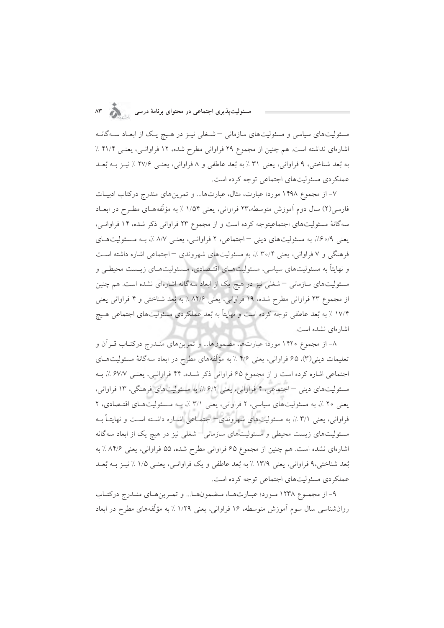#### مسئولیت $\mu$ ندیری اجتماعی در محتوای برنامهٔ درسی  $\wedge^{\omega}$

مسئولیتهای سیاسی و مسئولیتهای سازمانی – شـغلی نیـز در هـیچ یـک از ابعـاد سـهگانـه اشارهای نداشته است. هم چنین از مجموع ۲۹ فراوانی مطرح شده، ۱۲ فراوانـی، یعنـی ۴۱/۴ ٪ به بُعد شناختی، ۹ فراوانی، یعنی ۳۱٪ به بُعد عاطفی و ۸ فراوانی، یعنبی ۲۷/۶٪ نیبز بـه بُعـد عملکر دی مسئولیتهای اجتماعی توجه کرده است.

۷– از مجموع ۱۴۹۸ مورد؛ عبارت، مثال، عبارتها... و تمرین های مندرج درکتاب ادبیـات فارسی(۲) سال دوم آموزش متوسطه،۲۳ فراوانی، یعنی ۱/۵۴ ٪ به مؤلّفههـای مطـرح در ابعـاد سه گانهٔ مسئولیتهای اجتماعیتوجه کرده است و از مجموع ۲۳ فراوانی ذکر شده، ۱۴ فراوانبی، یعنی ۶۰/۹٪، به مسئولیتهای دینی - اجتماعی، ۲ فراوانبی، یعنبی ۸/۷٪، بـه مسئولیتهای فرهنگی و ۷ فراوانی، یعنی ۳۰/۴ ٪، به مسئولیتهای شهروندی – اجتماعی اشاره داشته است و نهایتاً به مسئولیتهای سیاسی، مسئولیتهای اقتـصادی، مـسئولیتهـای زیـست محیطـی و مسئولیتهای سازمانی – شغلی نیز در هیچ یک از ابعاد سهگانه اشارهای نشده است. هم چنین از مجموع ۲۳ فراوانی مطرح شده، ۱۹ فراوانی، یعنی ۸۲/۶ ٪ به بُعد شناختی و ۴ فراوانی یعنی ۱۷/۴ ٪ به بُعد عاطفي توجه كرده است و نهايتاً به بُعد عملكردي مسئوليتهاي اجتماعي هـيج اشارهای نشده است.

٨– از مجموع ١۴٢٠ مورد؛ عبارتها، مضمونها... و تمرينهاي منـدرج دركتـاب قـراَن و تعلیمات دینی(۳)، ۶۵ فراوانی، یعنی ۴/۶ ٪ به مؤلّفههای مطرح در ابعاد سه گانهٔ مسئولیتهـای اجتماعی اشاره کرده است و از مجموع ۶۵ فراوانی ذکر شده، ۴۴ فراوانبی، یعنبی ۶۷/۷ ٪، بـه مسئولیتهای دینی –اجتماعی، ۴ فراوانی، یعنی ۶/۲ ٪، به مسئولیتهای فرهنگی، ۱۳ فراوانی، یعنی ۲۰٪، به مسئولیتهای سیاسی، ۲ فراوانی، یعنی ۳/۱٪، به مسئولیتهای اقتصادی، ۲ فراوانی، یعنی ۳/۱٪، به مسئولیتهای شهروندی–اجتماعی اشباره داشته است و نهایتـاً بـه مسئولیتهای زیست محیطی و مسئولیتهای سازمانی–شغلی نیز در هیچ یک از ابعاد سهگانه اشارهای نشده است. هم چنین از مجموع ۶۵ فراوانی مطرح شده، ۵۵ فراوانی، یعنی ۸۴/۶٪ به بُعد شناختی،۹ فراوانی، یعنی ۱۳/۹ ٪ به بُعد عاطفی و یک فراوانـی، یعنـی ۱/۵ ٪ نیـز بــه بُعــد عملکردی مسئولیتهای اجتماعی توجه کرده است.

۹– از مجموع ۱۲۳۸ مورد؛ عبـارتهـا، مـضمونهـا... و تمـرينهـاي منـدرج دركتـاب روانشناسی سال سوم اَموزش متوسطه، ۱۶ فراوانی، یعنی ۱/۲۹ ٪ به مؤلّفههای مطرح در ابعاد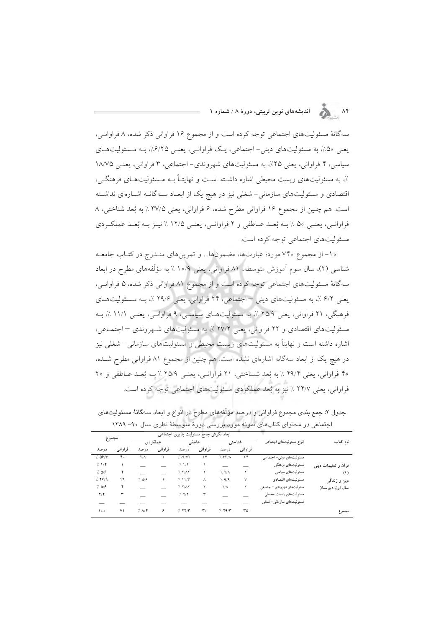۸۴ هـ انديشههای نوین تربیتی، دورهٔ ۸ / شماره ۱

سه گانهٔ مسئولیتهای اجتماعی توجه کرده است و از مجموع ۱۶ فراوانی ذکر شده، ۸ فراوانبی، یعنی ۵۰٪، به مسئولیتهای دینی- اجتماعی، یک فراوانسی، یعنسی ۶/۲۵٪، بـه مـسئولیتهـای سیاسی، ۴ فراوانی، یعنی ۲۵٪، به مسئولیتهای شهروندی– اجتماعی، ۳ فراوانی، یعنبی ۱۸/۷۵ ٪، به مسئولیتهای زیست محیطی اشاره داشته است و نهایتـاً بـه مـسئولیتهـای فرهنگـی، اقتصادی و مسئولیتهای سازمانی- شغلی نیز در هیچ یک از ابعـاد سـهگانـه اشـارهای نداشـته است. هم چنین از مجموع ۱۶ فراوانی مطرح شده، ۶ فراوانی، یعنی ۳۷/۵ ٪ به بُعد شناختی، ۸ فراوانسي، يعنسي ۵۰ ٪ بـه بُعـد عـاطفي و ۲ فراوانسي، يعنسي ۱۲/۵ ٪ نيـز بـه بُعـد عملكـردي مسئوليتهاي اجتماعي توجه كرده است.

۱۰– از مجموع ۷۴۰ مورد؛ عبارتها، مضمونها... و تمرینهای منـدرج در کتـاب جامعـه شناسی (۲)، سال سوم آموزش متوسطه، ۸۱ فراوانی، یعنی ۱۰/۹٪ به مؤلّفههای مطرح در ابعاد سه گانهٔ مسئولیتهای اجتماعی توجه کرده است و از مجموع ۸۱ فراوانی ذکر شده، ۵ فراوانـی، يعني ۶/۲٪، به مسئوليتهاي ديني –اجتماعي، ۲۴ فراواني، يعني ۲۹/۶٪، بـه مـسئوليتهـاي فرهنگی، ۲۱ فراوانی، یعنی ۲۵/۹ ٪، به مسئولیتهـای سیاسـی، ۹ فراوانـی، یعنـی ۱۱/۱ ٪، بـه مسئولیتهای اقتصادی و ۲۲ فراوانی، یعنی ۲۷/۲ ٪، به مسئولیتهای شهروندی - اجتماعی، اشاره داشته است و نهایتاً به مسئولیتهای زیست محیطی و مسئولیتهای سازمانی–شغلی نیز در هیچ یک از ابعاد سهگانه اشارهای نشده است. هم چنین از مجموع ۸۱ فراوانی مطرح شـده، ۴۰ فراواني، يعني ۴۹/۴ ٪ به بُعد شناختي، ۲۱ فراوانيي، يعني ۲۵/۹ ٪ بـه بُعـد عـاطفي و ۲۰ فراوانی، یعنی ۲۴/۷ ٪ نیز به بُعد عملکردی مسئولیتهای اجتماعی توجه کرده است.

|                            |                             |                 | آبعاد نگرش جامع مسئولیت پذیری اجتماعی |         |             |          |             |                  |        |
|----------------------------|-----------------------------|-----------------|---------------------------------------|---------|-------------|----------|-------------|------------------|--------|
| نام کتاب                   | انواع مسئوليتهاى اجتماعى    | عاطفى<br>شناختى |                                       | عملكردي |             |          | مجموع       |                  |        |
|                            |                             | فراوانبي        | درصد                                  | فراواني | درصد        | فراوانبي | درصد        | فراوانبي         | درصد   |
|                            | مسئولیتهای دینی- اجتماعی    | ۲۴              | 7.777/A                               | ۱۴      | 7.19/VT     |          | $Y/\Lambda$ | $\mathfrak{r}$ . | 7.09/  |
| قرآن و تعلیمات دینمی       | مسئوليتهاي فرهنگي           |                 |                                       |         | 7.1         |          |             |                  | 7.17   |
| (1)                        | مسئوليتهاى سياسى            |                 | 7.77A                                 |         | 7.77        |          |             | ۴                | 7.09   |
| دین <i>و</i> زن <i>دگی</i> | مسئوليتهاى اقتصادي          | ٧               | 7.9/9                                 | ٨       | 7.11/T      | ۴        | 7.09        | ۱۹               | 7.79/9 |
| سال اول دبیر ستان          | مسئولیتهای شهروندی -اجتماعی | ۲               | $Y/\Lambda$                           | ۲       | 7.77        |          |             | ۴                | 7.09   |
|                            | مسئولیتهای زیست محیطی       |                 |                                       | ٣       | $7.$ $4/7$  |          |             | ٣                | Y/Y    |
|                            | مسئولیتهای سازمانی- شغلی    |                 |                                       |         |             |          |             |                  |        |
| مجموع                      |                             | ٣۵              | 7.49/                                 | ۳.      | $7.$ $47/7$ | ۶        | 7. A/F      | ۷١               | ه ه ۱  |

جدول ۲: جمع بندی مجموع فراوانی و درصد مؤلّفههای مطرح در انواع و ابعاد سهگانهٔ مسئولیتهای اجتماعی در محتوای کتابهای نمونه مورد بررسی دورهٔ متوسطهٔ نظری سال ۹۰– ۱۳۸۹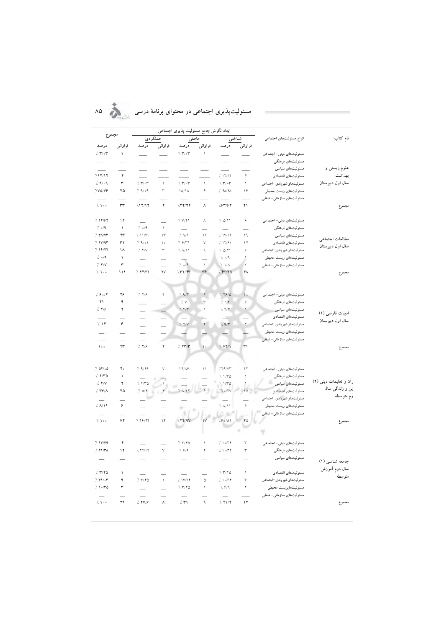ん あ

|  |  |  | مسئولیتپذیری اجتماعی در محتوای برنامهٔ درسی |  |
|--|--|--|---------------------------------------------|--|
|  |  |  |                                             |  |

|                           |                          | نگرش جامع مسئولیت پذیری            |                                                                                                                                                                                                                                |                                 |                           |                                               |                          |                               |                          |
|---------------------------|--------------------------|------------------------------------|--------------------------------------------------------------------------------------------------------------------------------------------------------------------------------------------------------------------------------|---------------------------------|---------------------------|-----------------------------------------------|--------------------------|-------------------------------|--------------------------|
| ىجموع                     |                          | عملكردي                            |                                                                                                                                                                                                                                |                                 | عاطفي<br>شناختی           |                                               | انواع مسئوليتهاى اجتماعي | نام کتاب                      |                          |
| درصد                      | فراوانى                  | درصد                               | فراوانبي                                                                                                                                                                                                                       | درصد                            | فراوانى                   | درصد                                          | فراوانى                  |                               |                          |
| 7.707                     | $\sqrt{2}$               | $\overline{\phantom{a}}$           |                                                                                                                                                                                                                                | $\frac{1}{2}$ , $\frac{1}{2}$   | $\backslash$              |                                               |                          | مسئولیتهای دینی- اجتماعی      |                          |
|                           |                          |                                    |                                                                                                                                                                                                                                |                                 |                           | $\frac{1}{1}$                                 | $\frac{1}{1}$            | مسئولیتهای فرهنگی             |                          |
|                           |                          |                                    |                                                                                                                                                                                                                                | $\overline{\phantom{0}}$        |                           |                                               |                          | مسئولیتهای سیاسی              | علوم زيستې و             |
| 717/17                    | ۴                        |                                    |                                                                                                                                                                                                                                |                                 |                           | 7.111                                         | ۴                        | مسئوليتهاى اقتصادي            | بهداشت                   |
| 7.9/09                    | ٣                        | $\gamma$ . $\mathbf{r}/\mathbf{r}$ | $\bar{\mathcal{N}}$                                                                                                                                                                                                            | 7.707                           | $\mathcal{N}$             | $\gamma$ . $\mathbf{r}/\mathbf{r}$            | $\backslash$             | مسئوليت هاى شهروندى -اجتماعي  | سال اول دبیرستان         |
| <b>VO/V9</b>              | ٢Δ                       | 7.9/09                             | ٣                                                                                                                                                                                                                              | $\lambda/\lambda$               | ۶                         | $7.$ FA/FA                                    | ۱۶                       | مسئولیتهای زیست محیطی         |                          |
|                           |                          |                                    |                                                                                                                                                                                                                                |                                 |                           |                                               |                          | مسئولیتهای سازمانی- شغلی      |                          |
| 7.100                     | $\tau\tau$               | 717/17                             | ۴                                                                                                                                                                                                                              | 1.77/74                         | ٨                         | 7.84/84                                       | ۲۱                       |                               | مجموع                    |
|                           |                          |                                    |                                                                                                                                                                                                                                |                                 |                           |                                               |                          |                               |                          |
| 7.11797                   | $\setminus \mathfrak{f}$ |                                    |                                                                                                                                                                                                                                | $\frac{1}{2}$ V/٢١              | Λ                         | 7.041                                         | ۶                        | مسئولیتهای دینی- اجتماعی      |                          |
| $\frac{1}{2}$ o/9         | $\bar{ }$                | $\frac{1}{2}$ o/9                  | $\lambda$                                                                                                                                                                                                                      | $\equiv$                        |                           | $\equiv$                                      |                          | مسئوليتهاي فرهنگي             |                          |
| 7.71/17                   | ۴۳                       | 7.11/V1                            | $\Upsilon$                                                                                                                                                                                                                     | 7.9/9                           | ۱۱                        | 7.1V/17                                       | ۱۹                       | مسئولیتهای سیاسی              | مطالعات اجتماعي          |
| 7.70/97                   | ٣١                       | 7.9/01                             | $\backslash$ $\circ$                                                                                                                                                                                                           | 7.971                           | V                         | 7.1191                                        | $\gamma$                 | مسئوليتهاى اقتصادي            | سال اول دبیرستان         |
| 7.19/77                   | ۱۸                       | 7.7/                               | ٣                                                                                                                                                                                                                              | $\lambda/\lambda$               | ٩                         | 7.044                                         | ۶                        | مسئوليت هاى شهروندى -اجتماعي  |                          |
| $\frac{1}{2}$ o/9         | $\backslash$             |                                    | $\overline{\phantom{0}}$                                                                                                                                                                                                       | $\mathcal{N}_{\mathrm{m}}$      |                           | $\gamma_{\rm c}$ $_{\rm o/}$                  | ١                        | مسئوليتهاى زيست محيطى         |                          |
| 7.7/V                     | ٣                        | L.                                 |                                                                                                                                                                                                                                | $\frac{1}{2}$ o/9               | $\backslash$              | $\gamma'$ //<br>A                             | ۲                        | مسئولیتهای سازمانی- شغلی      |                          |
| 7.100                     | 111                      | $/$ $YY/YY$                        | ۲V                                                                                                                                                                                                                             | 7.7777                          | ٣۶                        | 7.84770                                       | ۴٨                       |                               | لجموع                    |
|                           |                          |                                    |                                                                                                                                                                                                                                |                                 |                           |                                               |                          |                               |                          |
|                           |                          |                                    |                                                                                                                                                                                                                                |                                 |                           |                                               |                          |                               |                          |
| 7.804                     | ۲۶                       | $\gamma$ $\gamma$                  | ٢                                                                                                                                                                                                                              | 7.97                            | ۴                         | 1.4910                                        | ٢٥                       | مسئولیتهای دینی- اجتماعی      |                          |
| ٢١                        | ٩                        |                                    |                                                                                                                                                                                                                                | $\gamma_{\rm c}$ v              | ٣                         | 7.14                                          | ۶                        | مسئوليتهاي فرهنگي             |                          |
| $7.$ ۴/۶                  | ۲                        |                                    |                                                                                                                                                                                                                                | 1.77                            | $\backslash$              | 7.77                                          | ١                        | مسئولیتهای سیاسی              | ادبیات فارسی (١)         |
|                           |                          | $\overline{\phantom{0}}$           |                                                                                                                                                                                                                                |                                 |                           | Цý,                                           |                          | مسئوليتهاى اقتصادى            | سال اول دبیرستان         |
| 7.14                      | ۶                        | $\overline{\phantom{0}}$           |                                                                                                                                                                                                                                | $7.$ $4/1$                      | $\Upsilon$                | 7.97                                          | $\check{\mathsf{r}}$     | مسئوليت هاى شهروندى -اجتماعي  |                          |
| $\equiv$                  | $\overline{\phantom{a}}$ |                                    |                                                                                                                                                                                                                                |                                 |                           |                                               |                          | مسئولیتهای زیست محیطی         |                          |
|                           | $\overline{\phantom{0}}$ | $\overline{\phantom{0}}$           |                                                                                                                                                                                                                                |                                 |                           |                                               |                          | مسئولیتهای سازمانی- شغلی      |                          |
| $\lambda \circ \circ$     | ۴٣                       | 7.49                               | $\Upsilon$                                                                                                                                                                                                                     | 7.747                           | $\mathcal{L}$             | 7.97/1                                        | ٣١                       |                               | مجموع                    |
|                           |                          |                                    |                                                                                                                                                                                                                                |                                 |                           |                                               |                          |                               |                          |
|                           | $\mathfrak{r}$ .         |                                    |                                                                                                                                                                                                                                |                                 |                           |                                               |                          |                               |                          |
| 7.0900                    |                          | 7.979                              | $\vee$                                                                                                                                                                                                                         | $\Upsilon$ $\Upsilon/\Lambda$ ۶ | $\backslash$ $\backslash$ | 7.79/T                                        | ٢٢                       | مسئولیتهای دینی- اجتماعی      |                          |
| 7.170                     | ١                        | $\overline{\phantom{0}}$           |                                                                                                                                                                                                                                | $\overline{\phantom{0}}$        |                           | 7.170                                         | $\lambda$                | مسئولیتهای فرهنگی             | ِ اَن و تعلیمات دینی (۲) |
| 7.7/V                     | ۲                        | 7.1/TQ                             |                                                                                                                                                                                                                                |                                 |                           | 7.170                                         | $\backslash$             | مسئولیتهای سیاسی              | ین و زندگی سال           |
| 7.77/1                    | ۲۵                       | 7.04                               |                                                                                                                                                                                                                                | 7. A/11                         |                           | /70/7V                                        |                          | مسئوليتهاى اقتصادي            | وم متوسطه                |
| $\overline{a}$<br>7. A/11 | ۶                        | m,                                 |                                                                                                                                                                                                                                |                                 |                           | 7. A/11                                       | ۶                        | مسئوليت هاي شهر وندى -اجتماعي |                          |
|                           |                          | $\equiv$                           | and the contract of the contract of the contract of the contract of the contract of the contract of the contract of the contract of the contract of the contract of the contract of the contract of the contract of the contra | $y\right)^{n}$                  |                           | D-8                                           |                          | مسئوليتهاى زيست محيطى         |                          |
| $\equiv$<br>7.100         | ٧۴                       | 1.19/77                            | $\mathcal{N}$                                                                                                                                                                                                                  | 7.77/9V                         |                           | 7.90/11                                       |                          | مسئولیتهای سازمانی- شغلی      |                          |
|                           |                          |                                    |                                                                                                                                                                                                                                |                                 |                           |                                               |                          |                               | مجموع                    |
|                           |                          |                                    |                                                                                                                                                                                                                                |                                 |                           |                                               |                          |                               |                          |
| 7.17/4                    | ۴                        |                                    |                                                                                                                                                                                                                                | 7.770                           | $\sqrt{2}$                | 7.1074                                        | ٣                        | مسئولیتهای دینی- اجتماعی      |                          |
| $/$ $*$ $\sqrt{r}$        | $\mathbf{y}$             | 7.7719                             | $\lor$                                                                                                                                                                                                                         | 7.94                            | ۲                         | 7.1074                                        | ٣                        | مسئولیتهای فرهنگی             |                          |
| $\equiv$                  |                          |                                    |                                                                                                                                                                                                                                |                                 |                           | $\equiv$                                      |                          | مسئولیتهای سیاسی              |                          |
|                           |                          |                                    |                                                                                                                                                                                                                                | $\overline{\phantom{0}}$        |                           |                                               |                          |                               | جامعه شناسی (۱)          |
| 7.770                     | ١                        |                                    |                                                                                                                                                                                                                                |                                 |                           | $\frac{1}{2}$ , $\frac{1}{2}$ , $\frac{1}{2}$ | ١                        | مسئوليتهاى اقتصادي            | سال دوم اَموزش           |
| $7.71/\sigma$             | ٩                        | 7.770                              | $\mathcal{N}$                                                                                                                                                                                                                  | 7. 1V/ Y                        | ۵                         | 7.1074                                        | ٣                        | مسئوليت هاى شهروندى -اجتماعي  | متوسطه                   |
| 7.1070                    | ٣                        | $\equiv$                           | $\overline{\phantom{0}}$                                                                                                                                                                                                       | 7.770                           | $\backslash$              | 7.94                                          | ۲                        | مسئوليتهايزيست محيطى          |                          |
| $\equiv$                  |                          |                                    |                                                                                                                                                                                                                                |                                 |                           |                                               |                          | مسئولیتهای سازمانی– شغلی      |                          |
| 7.100                     | ۲۹                       | 7.799                              | $\boldsymbol{\wedge}$                                                                                                                                                                                                          | $\gamma$ . ۳۱                   | ٩                         | $7.$ ۴۱/۴                                     | ۱۲                       |                               | مجموع                    |
|                           |                          |                                    |                                                                                                                                                                                                                                |                                 |                           |                                               |                          |                               |                          |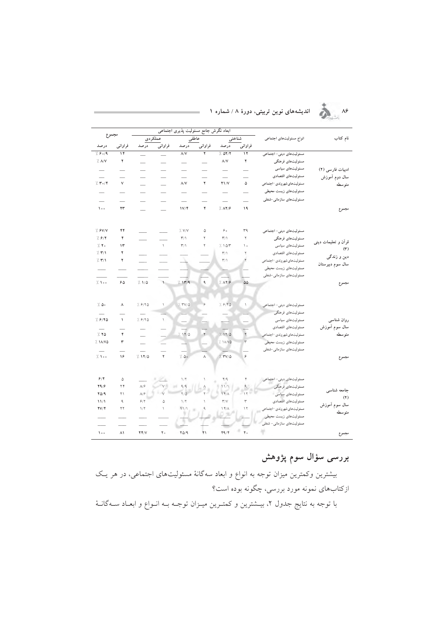

# 

|                                                        |                          |                           | اجتماعي                  | شوليت يذيرى                    |                          | آبعاد نگرش جامع                          |                          |                                               |                     |
|--------------------------------------------------------|--------------------------|---------------------------|--------------------------|--------------------------------|--------------------------|------------------------------------------|--------------------------|-----------------------------------------------|---------------------|
|                                                        |                          |                           | عملكردي                  | عاطفي                          |                          |                                          | شناختى                   | انواع مسئوليتهاى اجتماعي                      | نام کتاب            |
| درصد                                                   | فراوانى                  | درصد                      | فراوانبي                 | درصد                           | فراوانى                  | درصد                                     | فراوانى                  |                                               |                     |
| 7.804                                                  | ۱۴                       |                           | $\overline{\phantom{0}}$ | $\Lambda/V$                    | ۲                        | 7.07/7                                   | ۱۲                       | مسئولیتهای دینی- اجتماعی                      |                     |
| $\frac{1}{2}$ . $\Lambda$ /V                           | ۲                        |                           |                          | -                              |                          | $\Lambda/\mathsf{V}$                     | ۲                        | مسئولیتهای فرهنگی                             |                     |
|                                                        | -                        | $\overline{\phantom{0}}$  |                          | $\overline{\phantom{a}}$       |                          |                                          | -                        | مسئولیتهای سیاسی                              | ادبیات فارسی (۲)    |
|                                                        | -                        | -                         | $\overline{\phantom{0}}$ |                                |                          |                                          |                          | مسئوليتهاى اقتصادى                            | سال دوم آموزش       |
| 7.70                                                   | ٧                        | $\overline{\phantom{a}}$  | $\overline{\phantom{0}}$ | $\Lambda/V$                    | ۲                        | Y1/V                                     | ۵                        | مسئوليت هاى شهروندى -اجتماعي                  | متوسطه              |
| $\overline{\phantom{0}}$                               | -                        | $\overline{\phantom{0}}$  | $\overline{\phantom{0}}$ |                                | -                        |                                          | -                        | مسئوليتهاي زيست محيطي                         |                     |
| $\overline{\phantom{0}}$                               | $\overline{\phantom{0}}$ | $\overline{\phantom{0}}$  | $\overline{\phantom{0}}$ | $\overline{\phantom{0}}$       | $\overline{\phantom{0}}$ | $\overline{\phantom{0}}$                 | $\overline{\phantom{0}}$ | مسئولیتهای سازمانی-شغلی                       |                     |
| $\mathcal{L}$                                          | ۲۳                       |                           |                          | 1V/f                           | ۴                        | 7.19                                     | ۱۹                       |                                               |                     |
|                                                        |                          | $\overline{\phantom{a}}$  | $\overline{\phantom{0}}$ |                                |                          |                                          |                          |                                               | مجموع               |
| 7.9V/V                                                 | ۴۴                       |                           |                          | $\gamma$ . $V/V$               | ۵                        | $\varphi$ .                              | ٣٩                       | مسئولیتهای دینی- اجتماعی                      |                     |
| 7.91                                                   | ۴                        |                           | $\overline{\phantom{a}}$ | $\mathbf{r}/\mathbf{v}$        | ٢                        | $\mathsf{r}_\text{/}\mathsf{r}_\text{/}$ | ٢                        | مسئولیتهای فرهنگی                             |                     |
| $\gamma$ .                                             | ۱۳                       |                           | $\mathcal{N}$            | $\mathsf{r}/\mathsf{N}$        | ٢                        | 7.107                                    | ۱۰                       | مسئولیتهای سیاسی                              | قرآن و تعلیمات دینی |
| 7.771                                                  | ۲                        |                           |                          |                                |                          | $\Upsilon/\Upsilon$                      | ٢                        | مسئوليتهاى اقتصادى                            | (1)                 |
| 7.771                                                  | ۲                        |                           |                          |                                |                          | $\Upsilon/\Upsilon$                      |                          | مسئوليت هاى شهروندى -اجتماعي                  | دين و زندگې         |
|                                                        |                          |                           |                          |                                |                          |                                          |                          | مسئوليت هاى زيست محيطى                        | سال سوم دبیرستان    |
| $\sim$                                                 |                          |                           |                          |                                |                          |                                          |                          | مسئولیتهای سازمانی-شغلی                       |                     |
| 7.100                                                  | ۶۵                       | 7.1/0                     | $\mathbf{1}$             | 7.117/9                        | ٩                        | 7. A <b>F</b> / <b>F</b>                 | $\Delta \Delta$          |                                               | مجموع               |
| $\frac{1}{2}$ . $\Delta$ .<br>$\overline{\phantom{0}}$ | ٨                        | 7.918                     | ١                        | 7.700                          | ۶                        | 7.918                                    | ١                        | مسئولیتهای دینی- اجتماعی<br>مسئوليتهاي فرهنگي |                     |
| 7. 6780                                                | $\sqrt{2}$               | 7.918                     | $\mathcal{L}$            |                                |                          |                                          |                          | مسئولیتهای سیاسی                              | روان شناسى          |
| $\equiv$                                               | ÷.                       |                           |                          |                                |                          |                                          |                          | مسئوليتهاى اقتصادى                            | سال سوم أموزش       |
| 7.70                                                   | ۴                        | $\overline{\phantom{0}}$  |                          | 7.1170                         | $\Upsilon$               | 7.1970                                   | $\mathbf{r}$             | مسئوليت هاى شهروندى -اجتماعي                  | متوسطه              |
| / 11/VQ                                                | ٣                        | $\overline{\phantom{0}}$  |                          |                                |                          | 7.1A/VQ                                  | $\mathbf{\breve{r}}$     | مسئوليت هاى زيست محيطى                        |                     |
|                                                        |                          | $\overline{\phantom{a}}$  |                          |                                |                          |                                          |                          | مسئولیتهای سازمانی-شغلی                       |                     |
| 7.100                                                  | ۱۶                       | 7.1170                    | ۲                        | $\frac{1}{2}$ . $\Delta \circ$ | $\wedge$                 | $1.7V/\Delta$                            | ۶                        |                                               | مجموع               |
| 9/7                                                    | ۵                        |                           | 4<br>$\alpha$            | $1/\Upsilon$                   | $\backslash$             | $\Psi/\mathfrak{q}$                      |                          | مسئولیتهای دینی- اجتماعی                      |                     |
| Y9/9                                                   | ۲۴                       | $\Lambda/\hat{\tau}$      | V                        | 9/9                            |                          | 11/1                                     |                          | مسئولیتهای فرهنگی                             |                     |
| $Y\Delta/9$                                            | ۲۱                       | $\Lambda/\hat{r}$         | $\mathbf{v}$             | $\frac{1}{2}$                  |                          | $\sqrt{r}/\Lambda$                       | $\gamma$                 | مسئولیتهای سیاسی                              | جامعه شناسى         |
| 11/1                                                   | ٩                        | $\mathcal{S}/\mathcal{Y}$ | ۵                        | $\mathcal{N}$                  | $\backslash$             | $\mathsf{r}/\mathsf{V}$                  | ٣                        | مسئوليتهاى اقتصادى                            | (7)                 |
| $\mathbf{Y} \mathbf{V} / \mathbf{Y}$                   | ۲۲                       | $1/\Upsilon$              | $\backslash$             | 11/1                           | ٩                        | $\Upsilon$                               | ۱۲                       | مسئوليت هاي شهر وندى -اجتماعي                 | سال سوم آموزش       |
|                                                        |                          |                           |                          |                                |                          |                                          |                          | مسئولیتهای زیست محیطی                         | متوسطه              |
|                                                        |                          |                           |                          |                                |                          |                                          |                          | مسئولیتهای سازمانی- شغلی                      |                     |
| $\mathcal{L}$                                          | ۸١                       | YY/V                      | $\mathbf Y$ .            | $Y\Delta/9$                    | ۲۱                       | 49/                                      | $\mathfrak{r}$ .         |                                               | مجموع               |

## بررسی سؤال سوم پژوهش

بیشترین وکمترین میزان توجه به انواع و ابعاد سهگانهٔ مسئولیتهای اجتماعی، در هر یـک ازکتابهای نمونه مورد بررسی، چگونه بوده است؟

با توجه به نتایج جدول ۲، بیــشترین و کمتــرین میــزان توجــه بــه انــواع و ابعــاد ســهگانــهٔ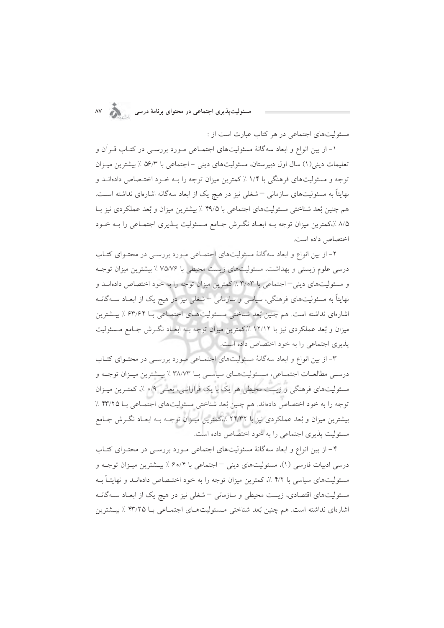.<br>مسئولیتپذیری اجتماعی در محتوای برنامهٔ درسی

مسئولیتهای اجتماعی در هر کتاب عبارت است از :

۱– از بین انواع و ابعاد سه گانهٔ مسئولیتهای اجتمـاعی مـورد بررسـی در کتـاب قـراَن و تعلیمات دینی(۱) سال اول دبیرستان، مسئولیتهای دینی – اجتماعی با ۵۶/۳ ٪ بیشترین میـزان توجه و مسئولیتهای فرهنگی با ۱/۴ ٪ کمترین میزان توجه را بـه خـود اختـصاص دادهانــد و نهایتاً به مسئولیتهای سازمانی <sup>—</sup> شغلی نیز در هیچ یک از ابعاد سهگانه اشارهای نداشته است. هم چنین بُعد شناختی مسئولیتهای اجتماعی با ۴۹/۵ ٪ بیشترین میزان و بُعد عملکردی نیز بـا ۸/۵ ٪،کمترین میزان توجه بـه ابعـاد نگـرش جـامع مـسئولیت پـذیری اجتمـاعی را بـه خـود اختصاص داده است.

۲- از بین انواع و ابعاد سهگانهٔ مسئولیتهای اجتمـاعی مـورد بررسـی در محتـوای کتـاب درسی علوم زیستی و بهداشت، مسئولیتهای زیست محیطی با ۷۵/۷۶٪ بیشترین میزان توجـه و مسئولیتهای دینی – اجتماعی با ۳/۰۳٪ کمترین میزان توجه را به خود اختصاص دادهانــد و نهایتاً به مسئولیتهای فرهنگی، سیاسی و سازمانی <sup>—</sup>شغلی نیز در هیچ یک از ابعـاد ســهگانــه اشارهای نداشته است. هم چنین بُعد شناختی مــسئولیتهــای اجتمــاعی بــا ۶۳/۶۴ ٪ بیــشترین میزان و بُعد عملکردی نیز با ۱۲/۱۲ ٪،کمترین میزان توجه بــه ابعــاد نگــرش جــامع مــسئولیت یذیری اجتماعی را به خود اختصاص داده است.

۳- از بین انواع و ابعاد سهگانهٔ مسئولیتهای اجتمـاعی مـورد بررسـی در محتـوای کتـاب درسـي مطالعـات اجتمـاعي، مـسئوليتهـاي سياسـي بــا ٣٨/٧٣ ٪ بيــشترين ميــزان توجــه و مسئولیتهای فرهنگی و زیست محیطی هر یک با یک فراوانسی، یعنسی ۰/۹ ٪، کمتـرین میــزان توجه را به خود اختصاص دادهاند. هم چنین بُعد شناختی مسئولیتهای اجتماعی با ۴۳/۲۵ ٪ بیشترین میزان و بُعد عملکردی نیز با ۲۴/۳۲ ٪،کمترین میـزان توجـه بـه ابعـاد نگـرش جـامع مسئوليت پذيري اجتماعي را به خود اختصاص داده است.

۴– از بین انواع و ابعاد سهگانهٔ مسئولیتهای اجتماعی مـورد بررســی در محتـوای کتـاب درسی ادبیات فارسی (۱)، مسئولیتهای دینی – اجتماعی با ۶۰/۴٪ بیــشترین میــزان توجــه و مسئولیتهای سیاسی با ۴/۲٪، کمترین میزان توجه را به خود اختـصاص دادهانــد و نهایتــاً بــه مسئولیتهای اقتصادی، زیست محیطی و سازمانی <sup>—</sup> شغلی نیز در هیچ یک از ابعـاد ســهگانــه اشارهاي نداشته است. هم چنين بُعد شناختي مـسئوليتهـاي اجتمـاعي بـا ۴۳/۲۵ ٪ بيــشترين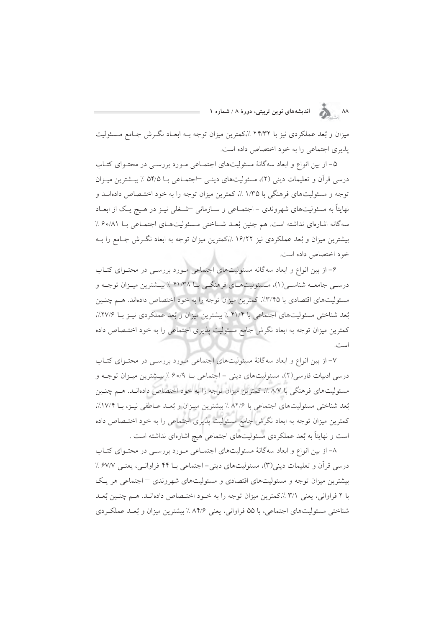۸۸ هجر اندیشههای نوین تربیتی، دورهٔ ۸ / شماره ۱

میزان و بُعد عملکردی نیز با ۲۴/۳۲ ٪،کمترین میزان توجه بـه ابعـاد نگـرش جـامع مـسئولیت پذیری اجتماعی را به خود اختصاص داده است.

۵– از بین انواع و ابعاد سهگانهٔ مسئولیتهای اجتمـاعی مـورد بررسـی در محتـوای کتـاب درسی قرآن و تعلیمات دینی (۲)، مسئولیتهای دینے ⊣جتمـاعی بـا ۵۴/۵ ٪ بیـشترین میـزان توجه و مسئولیتهای فرهنگی با ۱/۳۵٪، کمترین میزان توجه را به خود اختـصاص دادهانــد و نهایتاً به مسئولیتهای شهروندی – اجتمـاعی و سـازمانی <sup>–</sup>شـغلی نیـز در هـیچ یـک از ابعـاد سه گانه اشارهای نداشته است. هم چنین بُعـد شـناختی مـسئولیتهـای اجتمـاعی بـا ۸۱/۰۶٪ بیشترین میزان و بُعد عملکردی نیز ۱۶/۲۲ ٪،کمترین میزان توجه به ابعاد نگـرش جـامع را بـه خود اختصاص داده است.

۶– از بین انواع و ابعاد سهگانه مسئولیتهای اجتماعی مـورد بررسـی در محتـوای کتـاب درسـي جامعــه شناسـي(١)، مــسئوليتهــاي فرهنگــي بــا ۴۱/۳۸ ٪ بيــشترين ميــزان توجــه و مسئولیتهای اقتصادی با ۳/۴۵٪، کمترین میزان توجه را به خود اختصاص دادهاند. هـم چنـین بُعد شناختی مسئولیتهای اجتماعی با ۴۱/۴ ٪ بیشترین میزان و بُعد عملکردی نیـز بـا ۲۷/۶٪، كمترين ميزان توجه به ابعاد نگرش جامع مسئوليت يذيري اجتماعي را به خود اختـصاص داده است.

۷– از بین انواع و ابعاد سه گانهٔ مسئولیتهای اجتماعی مورد بررسبی در محتـوای کتـاب درسی ادبیات فارسی(۲)، مسئولیتهای دینی – اجتماعی بــا ۶۰/۹٪ بیــشترین میــزان توجــه و مسئولیتهای فرهنگی با ۸/۷٪، کمترین میزان توجه را به خود اختصاص دادهانـد. هـم چنـین بُعد شناختی مسئولیتهای اجتماعی با ۸۲/۶ ٪ بیشترین میـزان و بُعـد عـاطفی نیـز، بـا ۱۷/۴٪، کمترین میزان توجه به ابعاد نگرش جامع مسئولیت پذیری اجتماعی را به خود اختـصاص داده است و نهایتاً به بُعد عملکردی مسئولیتهای اجتماعی هیچ اشارهای نداشته است .

۸– از بین انواع و ابعاد سهگانهٔ مسئولیتهای اجتمـاعی مـورد بررسـی در محتـوای کتـاب درسی قرآن و تعلیمات دینی (۳)، مسئولیتهای دینی- اجتماعی بــا ۴۴ فراوانــی، یعنــی ۶۷/۷ ٪ بیشترین میزان توجه و مسئولیتهای اقتصادی و مسئولیتهای شهروندی – اجتماعی هر یک با ۲ فراوانی، یعنی ۳/۱٪،کمترین میزان توجه را به خـود اختـصاص دادهانـد. هـم چنـین بُعـد شناختی مسئولیتهای اجتماعی، با ۵۵ فراوانی، یعنی ۸۴٫۶ ٪ بیشترین میزان و بُعـد عملکـردی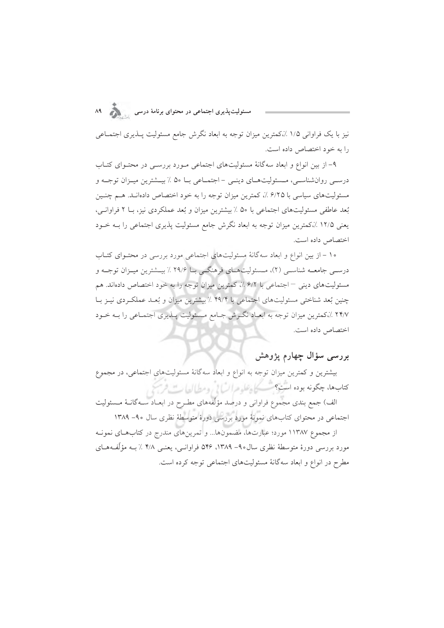نیز با یک فراوانی ۱/۵ ٪،کمترین میزان توجه به ابعاد نگرش جامع مسئولیت پــذیری اجتمــاعی را به خود اختصاص داده است.

۹– از بین انواع و ابعاد سهگانهٔ مسئولیتهای اجتماعی مـورد بررسـی در محتـوای کتـاب درسـبي روانشناسـبي، مـسئوليتهـاي دينـبي - اجتمـاعي بـا ۵۰ ٪ بيــشترين ميـزان توجــه و مسئولیتهای سیاسی با ۶/۲۵٪، کمترین میزان توجه را به خود اختصاص دادهانـد. هـم چنـین بُعد عاطفي مسئوليتهاي اجتماعي با ۵۰ ٪ بيشترين ميزان و بُعد عملكردي نيز، بــا ۲ فراوانــي، یعنی ۱۲/۵ ٪،کمترین میزان توجه به ابعاد نگرش جامع مسئولیت پذیری اجتماعی را بـه خـود اختصاص داده است.

۱۰ – از بین انواع و ابعاد سهگانهٔ مسئولیتهای اجتماعی مورد بررسی در محتـوای کتـاب درسمي جامعـه شناسـي (٢)، مـسئوليتهـاي فرهنگـي بـا ٢٩/۶ ٪ بيــشترين ميـزان توجـه و مسئولیتهای دینی – اجتماعی با ۶/۲٪، کمترین میزان توجه را به خود اختصاص دادهاند. هم چنین بُعد شناختی مسئولیتهای اجتماعی با ۴۹/۴٪ بیشترین میزان و بُعـد عملکـردی نیـز بـا ۲۴/۷ ٪،کمترین میزان توجه به ابعـاد نگـرش جـامع مـسئولیت پــذیری اجتمـاعی را بــه خــود اختصاص داده است.

#### بررسی سؤال چهارم پژوهش

بیشترین و کمترین میزان توجه به انواع و ابعاد سهگانهٔ مسئولیتهای اجتماعی، در مجموع کتابها، چگونه بوده است؟ تکسیکی علوم انسانی ومطالعات فرسخ

الف) جمع بندی مجموع فراوانی و درصد مؤلّفههای مطـرح در ابعــاد ســهگانــهٔ مـــــئولیت اجتماعی در محتوای کتابهای نمونهٔ مورد بررسی دورهٔ متوسطهٔ نظری سال ۹۰- ۱۳۸۹

از مجموع ۱۱۳۸۷ مورد؛ عبارتها، مضمونها... و تمرينهاي مندرج در كتابهاي نمونـه مورد بررسی دورهٔ متوسطهٔ نظری سال۱۳۸۹–۱۳۸۹، ۵۴۶ فراوانسی، یعنسی ۴/۸ ٪ بـه مؤلِّفههـای مطرح در انواع و ابعاد سهگانهٔ مسئولیتهای اجتماعی توجه کرده است.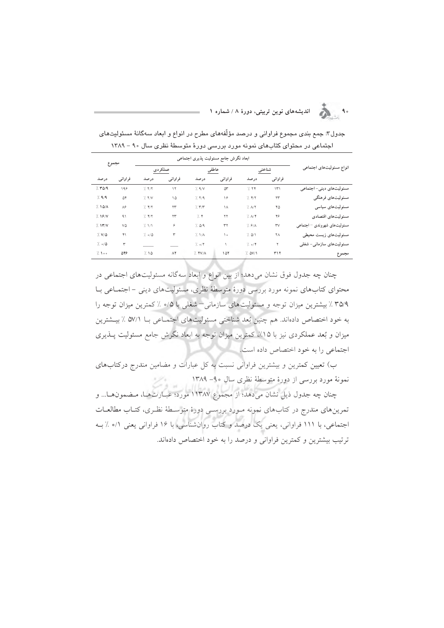$\sum_{i=1}^{n}$ اندیشههای نوین تربیتی، دورهٔ ۸ / شماره ۱

| مجموع             |             |                             | ابعاد نگرش جامع مسئولیت پذیری اجتماعی |                           |            |                                  |            |                              |
|-------------------|-------------|-----------------------------|---------------------------------------|---------------------------|------------|----------------------------------|------------|------------------------------|
|                   |             |                             | عملكردى                               | عاطفى                     |            |                                  | شناختى     | انواع مسئوليتهاى اجتماعى     |
| درصد              | فراوانبي    | درصد                        | فراواني                               | درصد                      | فراوانبي   | درصد                             | فراواني    |                              |
| 7.704             | 198         | 7.77                        | $\mathcal{N}$                         | $\frac{1}{2}$ $9/V$       | దా         | 7.74                             | $\Upsilon$ | مسئولیتهای دینی- اجتماعی     |
| 7.9/9             | ۵۴          | 7.7/                        | ۱۵                                    | 7.779                     | ۱۶         | $7.$ $4/7$                       | $\tau\tau$ | مسئوليتهاي فرهنگي            |
| 7.10/A            | $\Lambda$ ۶ | $\frac{1}{2}$ $\frac{1}{2}$ | ۲۳                                    | $\gamma$ $\tau/\tau$      | $\lambda$  | $\frac{1}{2}$ $\Lambda$ /٢       | ۴۵         | مسئولیتهای سیاسی             |
| 7.19/N            | 91          | $\frac{1}{2}$ $\frac{1}{2}$ | ۲۳                                    | $\gamma$ $\ast$           | ٢٢         | $\lambda$ $\lambda$ /۴           | ۴۶         | مسئوليتهاى اقتصادى           |
| 7.147V            | ٧۵          | 7.1/1                       | ۶                                     | $\frac{1}{2}$ $\Delta$ /9 | $\tau\tau$ | 7.9/1                            | rv         | مسئولیتهای شهروندی – اجتماعی |
| $7. V/\Delta$     | ۴۱          | $\frac{1}{2}$ o/0           | ٣                                     | 7.1/A                     | ۱.         | 7.01                             | ۲۸         | مسئولیتهای زیست محیطی        |
| $\frac{1}{2}$ o/0 | ٣           |                             |                                       | $\frac{7}{1}$ o/          |            | $\frac{1}{2}$ o/f                | ٢          | مسئولیتهای سازمانی- شغلی     |
| 1.100             | ۵۴۶         | 7.10                        | $\Lambda$ Y                           | $\frac{1}{2}$ YV/A        | ۱۵۲        | $\frac{1}{2}$ $\Delta V/\Lambda$ | ۳۱۲        | مجموع                        |

جدول۳: جمع بندی مجموع فراوانی و درصد مؤلّفههای مطرح در انواع و ابعاد سهگانهٔ مسئولیتهای اجتماعی در محتوای کتابهای نمونه مورد بررسی دورهٔ متوسطهٔ نظری سال ۹۰ – ۱۳۸۹

چنان چه جدول فوق نشان میدهد؛ از بین انواع و ابعاد سهگانه مسئولیتهای اجتماعی در محتوای کتابهای نمونه مورد بررسی دورهٔ متوسطهٔ نظری، مسئولیتهای دینی – اجتمـاعی بـا ٣٥/٩٪ بیشترین میزان توجه و مسئولیتهای سازمانی- شغلی با ٠/٥٪ کمترین میزان توجه را به خود اختصاص دادهاند. هم چنین بُعد شناختی مسئولیتهای اجتمـاعی بــا ۵۷/۱ ٪ بیــشترین میزان و بُعد عملکردی نیز با ۱۵٪، کمترین میزان توجه به ابعاد نگرش جامع مسئولیت پــذیری اجتماعی را به خود اختصاص داده است.

ب) تعیین کمترین و بیشترین فراوانی نسبت به کل عبارات و مضامین مندرج درکتابهای نمونهٔ مورد بررسی از دورهٔ متوسطهٔ نظری سال ۹۰– ۱۳۸۹

چنان چه جدول ذیل نشان میدهد؛ از مجموع ۱۱۳۸۷ مورد؛ عبـارتهـا، مـضمونهـا... و تمرینهای مندرج در کتابهای نمونه مـورد بررسـی دورهٔ متوسـطهٔ نظـری، کتـاب مطالعـات اجتماعی، با ۱۱۱ فراوانی، یعنی یک درصد و کتاب روانشناسی، با ۱۶ فراوانی یعنی ۰/۱ ٪ بـه ترتيب بيشترين وكمترين فراواني و درصد را به خود اختصاص دادهاند.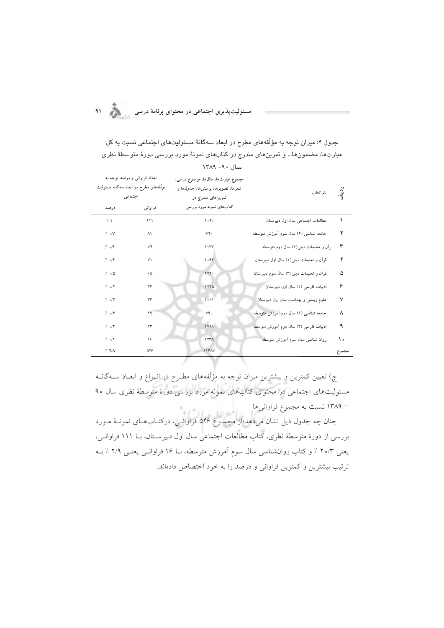.<br>مسئولیتپذیری اجتماعی در محتوای برنامهٔ درسی مستقولیتپذیری ا

جدول ۴: میزان توجه به مؤلّفههای مطرح در ابعاد سهگانهٔ مسئولیتهای اجتماعی نسبت به کل عبارتها، مضمونها... و تمرینهای مندرج در کتابهای نمونهٔ مورد بررسی دورهٔ متوسطهٔ نظری سال ٩٠- ١٣٨٩

| تعداد فراوانی و درصد توجه به<br>مولَّفههای مطرح در ابعاد سهگانه مسئولیت<br>اجتماعى<br>فراواني<br>درصد |     | مجموع عبارتها، مثالها، موضوع درسی،<br>شعرها، تصويرها، پرسشها، جدولها و<br>تمرینهای مندرج در<br>کتابهای نمونه مورد بررسی | نام کتاب                                | ر<br>نه. |
|-------------------------------------------------------------------------------------------------------|-----|-------------------------------------------------------------------------------------------------------------------------|-----------------------------------------|----------|
| $\frac{1}{2}$                                                                                         | 111 | 100                                                                                                                     |                                         | ١        |
|                                                                                                       |     |                                                                                                                         | مطالعات اجتماعى سال اول دبيرستان        |          |
| $\frac{7}{2}$ o/V                                                                                     | ۸١  | $V\mathfrak{F}$ .                                                                                                       | جامعه شناسی (۲) سال سوم اموزش متوسطه    | ۲        |
| $7. \circ 79$                                                                                         | ۷۴  | 11177                                                                                                                   | رآن و تعلیمات دینی(۲) سال دوم متوسطه    | ٣        |
| $7. \circ 79$                                                                                         | ۷١  | 1.97                                                                                                                    | قرآن و تعلیمات دینی(۱) سال اول دبیرستان | ۴        |
| $7. \circ 70$                                                                                         | ۶۵  | 1440                                                                                                                    | قران و تعلیمات دینی(۳) سال سوم دبیرستان | ۵        |
| 7.07                                                                                                  | ۴۳  | 1570                                                                                                                    | ادبیات فارسی (۱) سال اول دبیرستان       | ۶        |
| $\frac{7}{2}$ o/ $\tau$                                                                               | ٣٣  | 1011                                                                                                                    | علوم زیستی و بهداشت سال اول دبیرستان    | ٧        |
| $\frac{1}{2}$ o/                                                                                      | ۳۹  | V9.                                                                                                                     | جامعه شناسی (۱) سال دوم آموزش متوسطه    | ٨        |
| $7. \circ 7$                                                                                          | ۲۳  | 1FAA                                                                                                                    | ادبیات فارسی (۲) سال دوم آموزش متوسطه   | ٩        |
| $\frac{7}{2}$ o/1                                                                                     | 16  | <b><i>ITTA</i></b>                                                                                                      | روان شناسی سال سوم اموزش متوسطه         | ه ۱      |
| $7.$ $47$                                                                                             | ۵۴۶ | <b>11۳AV</b>                                                                                                            |                                         | مجموع    |

ج) تعیین کمترین و بیشترین میزان توجه به مؤلّفههای مطـرح در انـواع و ابعـاد ســهگانــه مسئولیتهای اجتماعی در محتوای کتابهای نمونه مورد بررسی دورهٔ متوسطهٔ نظری سال ۹۰ – ۱۳۸۹ نسبت به مجموع فراوانیها

مسیست به سیستملی عزارتمی.<br>چنان چه جدول ذیل نشان می(هد؛از مجموع ۵۴۶ فراوانسی، درکتـابهـای نمونــهٔ مــورد بررسی از دورهٔ متوسطهٔ نظری، کتاب مطالعات اجتماعی سال اول دبیرسـتان، بــا ۱۱۱ فراوانـی، یعنی ۲۰/۳ ٪ و کتاب روان شناسی سال سوم آموزش متوسطه، بــا ۱۶ فراوانـبی یعنـبی ۲/۹ ٪ بــه ترتيب بيشترين وكمترين فراواني و درصد را به خود اختصاص دادهاند.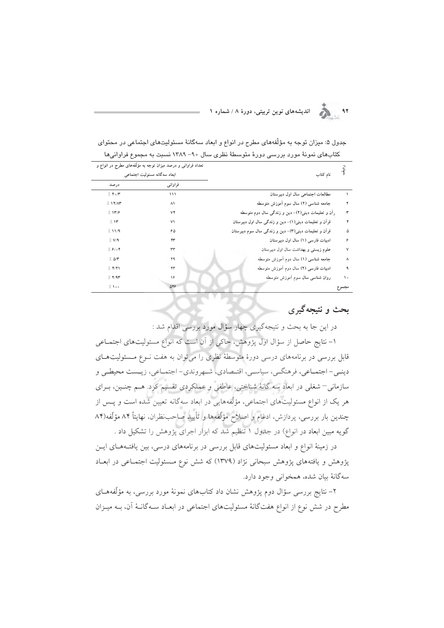۹۲ هـ انديشههای نوین تربیتی، دورهٔ ۸ / شماره ۱

|                          |                                                                                              | خنابهای نمونه مورد بررسی دوره منوسطه نظری سال ۲۰− ۱۱۸۲ نسبت به مجموع فراوانیها |               |
|--------------------------|----------------------------------------------------------------------------------------------|--------------------------------------------------------------------------------|---------------|
|                          | تعداد فراوانی و درصد میزان توجه به مؤلّفههای مطرح در انواع و<br>ابعاد سهگانه مسئولیت اجتماعی | نام کتاب                                                                       | ر<br>-ٻو.     |
| درصد                     | فراواني                                                                                      |                                                                                |               |
| 7.70                     | 111                                                                                          | مطالعات اجتماعی سال اول دبیرستان                                               |               |
| 7.14/17                  | $\wedge$                                                                                     | جامعه شناسی (۲) سال سوم اَموزش متوسطه                                          |               |
| 7.147                    | ٧۴                                                                                           | راَن و تعلیمات دینی(۲)– دین و زندگی سال دوم متوسطه                             | ٣             |
| 7.15                     | V <sub>1</sub>                                                                               | قرآن و تعلیمات دینی(١)- دین و زندگی سال اول دبیرستان                           | ۴             |
| 7.11/9                   | 60                                                                                           | قرآن و تعلیمات دینی(۳)- دین و زندگی سال سوم دبیرستان                           | ۵             |
| $\frac{7}{2}$ V/9        | ۴۳                                                                                           | ادبیات فارسی (١) سال اول دبیر ستان                                             | ۶             |
| 7.8108                   | rr                                                                                           | علوم زیستی و بهداشت سال اول دبیرستان                                           | ٧             |
| $\%$ $\Delta/\mathbf{r}$ | ۳۹                                                                                           | جامعه شناسی (۱) سال دوم آموزش متوسطه                                           | ٨             |
| $7.$ $Y/Y$               | ۲۳                                                                                           | ادبیات فارسی (۲) سال دوم آموزش متوسطه                                          | ٩             |
| 7.77                     | ۱۶                                                                                           | روان شناسی سال سوم آموزش متوسطه                                                | $\mathcal{L}$ |
| 1.100                    | 548                                                                                          |                                                                                | مجموع         |

جدول ۵: میزان توجه به مؤلَّفههای مطرح در انواع و ابعاد سهگانهٔ مسئولیتهای اجتماعی در محتوای  $1.3413$  $\mathbf{1} \times \mathbf{1}$   $\mathbf{1} \times \mathbf{1}$   $\mathbf{1} \times \mathbf{1}$   $\mathbf{1} \times \mathbf{1}$   $\mathbf{1} \times \mathbf{1}$  $\frac{1}{2}$ 

### بحث و نتبجه گېرې

در این جا به بحث و نتیجهگیری چهار سؤال مورد بررسی اقدام شد :

۱– نتایج حاصل از سؤال اول پژوهش، حاکی از آن است که انواع مسئولیتهای اجتمــاعی قابل بررسی در برنامههای درسی دورهٔ متوسطهٔ نظری را می توان به هفت نـوع مـسئولیتهـای دينـي- اجتمـاعي، فرهنگـي، سياسـي، اقتـصادي، شـهروندي- اجتمـاعي، زيـست محيطـي و سازمانی–شغلی در ابعاد سه گانهٔ شناختی، عاطفی و عملکردی تقسیم کرد. هـم چنـین، بـرای هر یک از انواع مسئولیتهای اجتماعی، مؤلّفههایی در ابعاد سهگانه تعیین شده است و پــس از چندین بار بررسی، پردازش، ادغام و اصلاح مؤلّفهها و تأیید صاحب نظران، نهایتاً ۸۴ مؤلّفه(۸۴ گویه مبین ابعاد در انواع) در جدول ۱ تنظیم شد که ابزار اجرای پژوهش را تشکیل داد .

در زمینهٔ انواع و ابعاد مسئولیتهای قابل بررسی در برنامههای درسی، بین یافتـههـای ایــن یژوهش و یافتههای پژوهش سبحانی نژاد (۱۳۷۹) که شش نوع مـسئولیت اجتمـاعی در ابعـاد سهگانهٔ بیان شده، همخوانی وجود دارد.

۲– نتایج بررسی سؤال دوم پژوهش نشان داد کتابهای نمونهٔ مورد بررسی، به مؤلّفههــای مطرح در شش نوع از انواع هفتگانهٔ مسئولیتهای اجتماعی در ابعـاد سـهگانـهٔ آن، بــه میـزان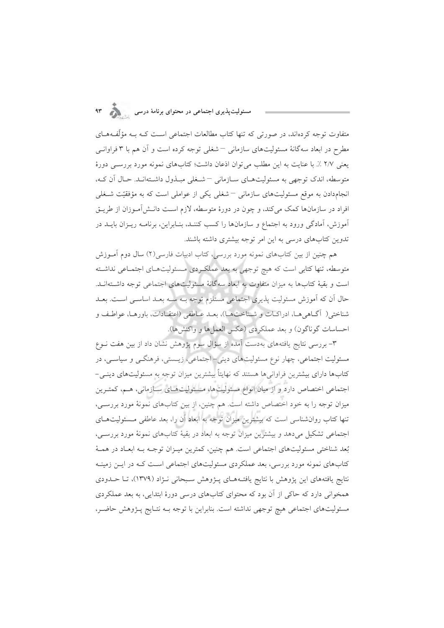# مسئولیتپذیری اجتماعی در محتوای برنامهٔ درسی مستقل به ۹۳

متفاوت توجه کردهاند، در صورتی که تنها کتاب مطالعات اجتماعی است کـه بـه مؤلَّفـههــای مطرح در ابعاد سه گانهٔ مسئولیتهای سازمانی – شغلی توجه کرده است و آن هم با ۳ فراوانـی يعني ٢/٧ ٪. با عنايت به اين مطلب مي توان اذعان داشت؛ كتابهاي نمونه مورد بررسـي دورة متوسطه، اندک توجهی به مسئولیتهای سازمانی – شخلی مبلدول داشتهانید. حیال آن کیه، انجامدادن به موقع مسئولیتهای سازمانی – شغلی یکی از عواملی است که به مؤفقیّت شـغلی افراد در سازمانها کمک میکند، و چون در دورهٔ متوسطه، لازم است دانـش[مـوزان از طریـق آموزش، آمادگی ورود به اجتماع و سازمانها را کسب کننـد، بنـابراین، برنامــه ریــزان بایــد در تدوین کتابهای درسی به این امر توجه بیشتری داشته باشند.

هم چنین از بین کتابهای نمونه مورد بررسی، کتاب ادبیات فارسی(۲) سال دوم آمــوزش متوسطه، تنها کتابی است که هیچ توجهی به بعد عملکردی مسئولیتهای اجتماعی نداشته است و بقیهٔ کتابها به میزان متفاوت به ابعاد سهگانهٔ مسئولیتهای اجتماعی توجه داشـتهانــد. حال اَن که اَموزش مسئولیت پذیری اجتماعی مستلزم توجه بــه ســه بعــد اساســی اســت. بعــد شناختی( آگـاهیمـا، ادراكـات و شـناختـهـا)، بعـد عـاطفی (اعتقـادات، باورهـا، عواطـف و احساسات گوناگون) و بعد عملکردی (عکس العمل ها و واکنش ها).

۳- بررسی نتایج یافتههای بهدست آمده از سؤال سوم پژوهش نشان داد از بین هفت نــوع مسئولیت اجتماعی، چهار نوع مسئولیتهای دینی- اجتماعی، زیـستی، فرهنگــی و سیاســی، در کتابها دارای بیشترین فراوانیها هستند که نهایتاً بیشترین میزان توجه به مسئولیتهای دینــی– اجتماعی اختصاص دارد و از میان انواع مسئولیتها، مـسئولیتهـای سـازمانی، هـم، کمتـرین میزان توجه را به خود اختصاص داشته است. هم چنین، از بین کتابهای نمونهٔ مورد بررسـی، تنها کتاب روان شناسی است که بیشترین میزان توجه به ابعاد آن را، بعد عاطفی مسئولیتهـای اجتماعی تشکیل میدهد و بیشترین میزان توجه به ابعاد در بقیهٔ کتابهای نمونهٔ مورد بررسـی، بُعد شناختی مسئولیتهای اجتماعی است. هم چنین، کمترین میـزان توجـه بـه ابعـاد در همـهٔ کتابهای نمونه مورد بررسی، بعد عملکردی مسئولیتهای اجتماعی است کـه در ایـن زمینـه نتایج یافتههای این پژوهش با نتایج یافتـههـای پــژوهش سـبحانی نـژاد (۱۳۷۹)، تــا حــدودی همخوانی دارد که حاکی از آن بود که محتوای کتابهای درسی دورهٔ ابتدایی، به بعد عملکردی مسئولیتهای اجتماعی هیچ توجهی نداشته است. بنابراین با توجه بـه نتـایج پـژوهش حاضـر،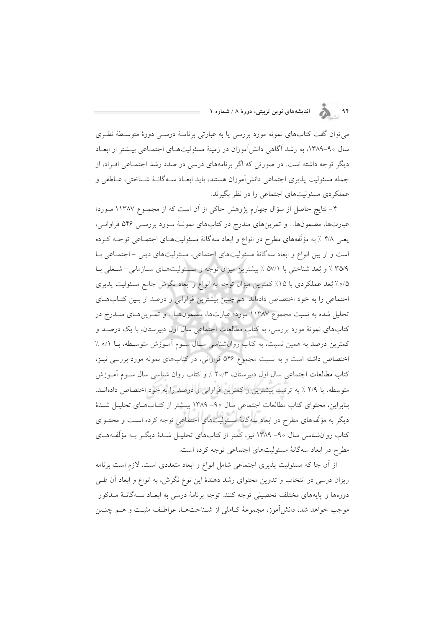۹۴ هـ الله المديشههای نوین تربیتی، دورهٔ ۸ / شماره ۱

می توان گفت کتابهای نمونه مورد بررسی یا به عبارتی برنامـهٔ درســی دورهٔ متوسـطهٔ نظـری سال ۹۰–۱۳۸۹، به رشد آگاهی دانشآموزان در زمینهٔ مسئولیتهـای اجتمـاعی بیــشتر از ابعـاد دیگر توجه داشته است. در صورتی که اگر برنامههای درسی در صدد رشد اجتمـاعی افـراد، از جمله مسئوليت يذيري اجتماعي دانش آموزان هستند، بايد ابعـاد سـه گانــهٔ شــناختي، عــاطفي و عملکردی مسئولیتهای اجتماعی را در نظر بگیرند.

۴- نتایج حاصل از سؤال چهارم پژوهش حاکی از آن است که از مجمـوع ۱۱۳۸۷ مـورد؛ عبارتها، مضمونها... وتمرينهاي مندرج در كتابهاي نمونـهٔ مـورد بررسـي ۵۴۶ فراوانـي، یعنی ۴/۸ ٪ به مؤلّفههای مطرح در انواع و ابعاد سهگانهٔ مسئولیتهـای اجتمـاعی توجـه کــرده است و از بین انواع و ابعاد سه گانهٔ مسئولیتهای اجتماعی، مسئولیتهای دینی - اجتماعی بـا ٣٥/٩٪ و بُعد شناختی با ٥٧/١٪ بیشترین میزان توجه و مسئولیتهای سازمانی–شغلی با ۰/۵٪ بُعد عملکردی با ۱۵٪ کمترین میزان توجه به انواع و ابعاد نگرش جامع مسئولیت پذیری اجتماعی را به خود اختصاص دادهاند. هم چنین بیشترین فراوانی و درصد از بین کتـابهـای تحلیل شده به نسبت مجموع ۱۱۳۸۷ مورد؛ عبارتها، مضمونها... و تمـرینهـای منـدرج در کتابهای نمونهٔ مورد بررسی، به کتاب مطالعات اجتماعی سال اول دبیرستان، با یک درصـد و كمترين درصد به همين نسبت، به كتاب روانشناسي سـال سـوم آمـوزش متوسـطه، بـا ٠/٥ ٪ اختصاص داشته است و به نسبت مجموع ۵۴۶ فراوانی، در کتابهای نمونه مورد بررسی نیـز، كتاب مطالعات اجتماعي سال اول دبيرستان، ٢٥/٣ ٪ و كتاب روان شناسي سال سـوم أمـوزش متوسطه، با ۲/۹ ٪ به ترتیب بیشترین و کمترین فراوانی و درصد را به خود اختصاص دادهانــد. بنابراين، محتواي كتاب مطالعات اجتماعي سال ٩٠- ١٣٨٩ بيــشتر از كتــابهــاي تحليــل شــدهٔ دیگر به مؤلّفههای مطرح در ابعاد سهگانهٔ مسئولیتهای اجتماعی توجه کرده اسـت و محتــوای کتاب روانشناسی سال ۹۰– ۱۳۸۹ نیز، کمتر از کتابهای تحلیـل شـدهٔ دیگـر بـه مؤلّفـههـای مطرح در ابعاد سهگانهٔ مسئولیتهای اجتماعی توجه کرده است.

از آن جا که مسئولیت پذیری اجتماعی شامل انواع و ابعاد متعددی است، لازم است برنامه ریزان درسی در انتخاب و تدوین محتوای رشد دهندهٔ این نوع نگرش، به انواع و ابعاد آن طبی دورهها و پایههای مختلف تحصیلی توجه کنند. توجه برنامهٔ درسی به ابعـاد ســهگانــهٔ مــذکور موجب خواهد شد، دانش آموز، مجموعهٔ کـاملی از شـناختهـا، عواطـف مثبـت و هــم چنــین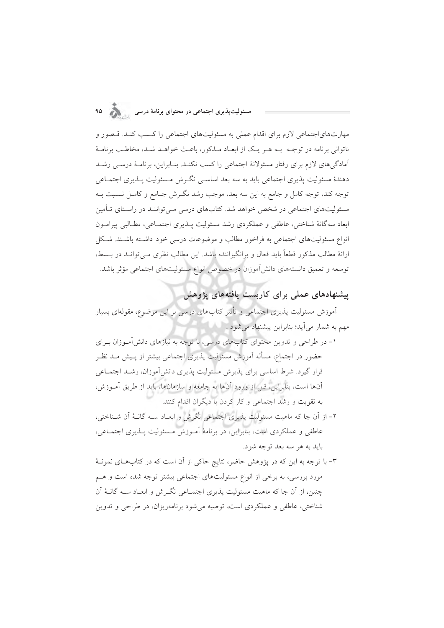# .<br>مسئولیتپذیری اجتماعی در محتوای برنامهٔ درسی مستقولیتپذیری ا

مهارتهای|جتماعی لازم برای اقدام عملی به مسئولیتهای اجتماعی را کسب کنـد. قـصور و ناتوانی برنامه در توجـه بـه هـر یـک از ابعـاد مـذکور، باعـث خواهـد شـد، مخاطـب برنامـهٔ آمادگی های لازم برای رفتار مسئولانهٔ اجتماعی را کسب نکنـد. بنـابراین، برنامـهٔ درسـی رشـد دهندهٔ مسئولیت پذیری اجتماعی باید به سه بعد اساسی نگرش مـسئولیت پـذیری اجتمـاعی توجه كند، توجه كامل و جامع به اين سه بعد، موجب رشد نگـرش جـامع و كامـل نــسبت بــه مسئولیتهای اجتماعی در شخص خواهد شد. کتابهای درسی مے تواننـد در راسـتای تـأمین ابعاد سه گانهٔ شناختی، عاطفی و عملکردی رشد مسئولیت پــذیری اجتمــاعی، مطــالبی پیرامــون انواع مسئولیتهای اجتماعی به فراخور مطالب و موضوعات درسی خود داشته باشـند. شـكل ارائهٔ مطالب مذکور قطعاً باید فعال و برانگیزاننده باشد. این مطالب نظری مـی توانـد در بــسط، توسعه و تعمیق دانستههای دانش آموزان در خصوص انواع مسئولیتهای اجتماعی مؤثر باشد.

## پیشنهادهای عملی برای کاربست یافتههای پژوهش

۔<br>اَموزش مسئولیت پذیری اجتماعی و تأثیر کتابهای درسی بر این موضوع، مقولهای بسیار مهم به شمار مي آيد؛ بنابراين پيشنهاد مي شود : ۱۰۰۰۰

۱– در طراحی و تدوین محتوای کتابهای درسی، با توجه به نیازهای دانشآموزان بـرای حضور در اجتماع، مسأله آموزش مسئوليت يذيري اجتماعي بيشتر از پـيش مــد نظـر قرار گیرد. شرط اساسی برای پذیرش مسئولیت پذیری دانش آموزان، رشـد اجتمــاعی آنها است، بنابراین، قبل از ورود آنها به جامعه و سازمانها، باید از طریق آمـوزش، به تقویت و رشد اجتماعی و کار کردن با دیگران اقدام کنند.

۲– از آن جا که ماهیت مسئولیت پذیری اجتماعی نگرش و ابعـاد ســه گانــهٔ آن شــناختی، عاطفی و عملکردی است، بنابراین، در برنامهٔ آمـوزش مـسئولیت پــذیری اجتمــاعی، بايد به هر سه بعد توجه شود.

۳- با توجه به این که در پژوهش حاضر، نتایج حاکی از آن است که در کتابهای نمونـهٔ مورد بررسی، به برخی از انواع مسئولیتهای اجتماعی بیشتر توجه شده است و هــم چنین، از آن جا که ماهیت مسئولیت پذیری اجتمــاعی نگــرش و ابعــاد ســه گانــهٔ آن شناختی، عاطفی و عملکردی است، توصیه می شود برنامهریزان، در طراحی و تدوین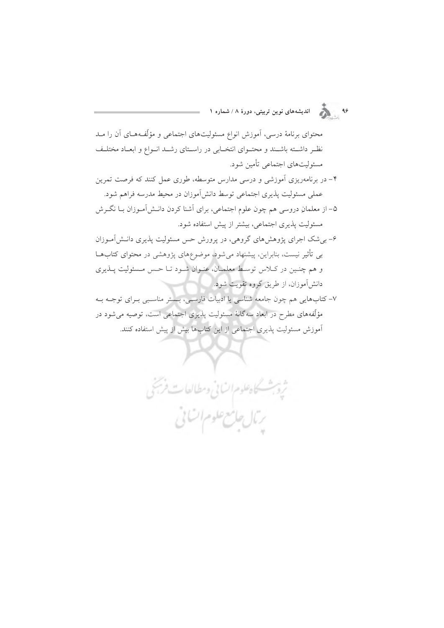۹۶<br>۹۶ ـ د محمد اندیشههای نوین تربیتی، دورهٔ ۸ / شماره ۱

محتوای برنامهٔ درسی، آموزش انواع مسئولیتهای اجتماعی و مؤلّفههـای آن را مــد نظـر داشــته باشــند و محتــواي انتخــابي در راســتاي رشــد انــواع و ابعــاد مختلــف مسئوليتهاي اجتماعي تأمين شود.

- ۴– در برنامهریزی آموزشی و درسی مدارس متوسطه، طوری عمل کنند که فرصت تمرین عملی مسئولیت پذیری اجتماعی توسط دانشآموزان در محیط مدرسه فراهم شود.
- ۵– از معلمانِ دروسی هم چون علوم اجتماعی، برای آشنا کردن دانـش[مـوزان بــا نگــرش مسئولیت پذیری اجتماعی، بیشتر از پیش استفاده شود.
- ۶– بی شک اجرای پژوهشهای گروهی، در پرورش حس مسئولیت پذیری دانـشآمـوزان بی تأثیر نیست، بنابراین، پیشنهاد میشود، موضوعهای پژوهشی در محتوای کتابهـا و هم چنـین در کـلاس توسـط معلمـان، عنـوان شـود تـا حـس مـسئولیت پــذیری دانش آموزان، از طریق گروه تقویت شود.
- ۷– کتابهایی هم چون جامعه شناسی یا ادبیات فارسـی، بـستر مناسـبی بـرای توجـه بـه مؤلَّفههای مطرح در ابعاد سهگانهٔ مسئولیت پذیری اجتماعی است، توصیه می شود در آموزش مسئوليت پذيري اجتماعي از اين كتابها بيش از پيش استفاده كنند.

ثروبث كاهطوم انساني ومطالعات فريخي

ربال جامع علوم اتنائى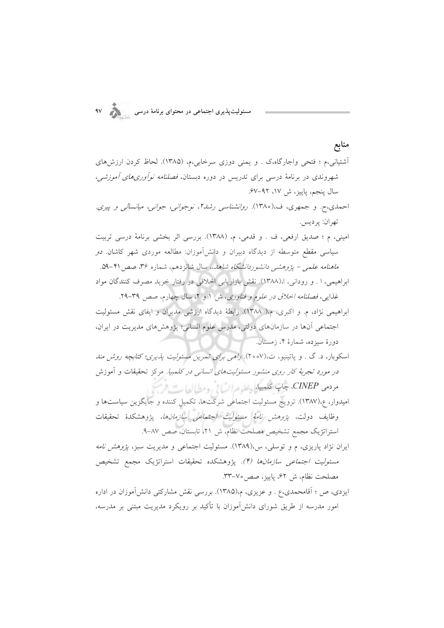مسئولیتپذیری اجتماعی در محتوای برنامهٔ درسی

## أشتياني،م ؛ فتحي واجارگاه،ک . و يمني دوزي سرخابي،م، (١٣٨۵). لحاظ کردن ارزشهاي شهروندی در برنامهٔ درسی برای تدریس در دوره دبستان، *فصلنامه نوآوریهای آموزشی*، سال ينجم، ياييز، ش ١٧، ٩٢–۶۷. احمدی،ح. و جمهری، ف،(١٣٨٥). روانشناسی رشدا، نوجوانی، جوانبی، میانسالی و پیری. تهران: پرديس. امینی، م ؛ صدیق ارفعی، ف . و قدمی، م، (١٣٨٨). بررسی اثر بخشی برنامهٔ درسی تربیت سیاسی مقطع متوسطه از دیدگاه دبیران و دانش آموزان: مطالعه موردی شهر کاشان. *دو* ماهنامه علمی – یژوهشمی *دانشوردانشگاه شاهد*.، سال شانزدهم، شماره ۳۶. صص ۴۱-۵۹. ابراهیمی، ا . و رودانی، ا،(۱۳۸۸). نقش بازاریابی اخلاقی در رفتار خرید مصرف کنندگان مواد غذایی، فصلنامه اخلاق در علوم و فناوری، ش ١ و ٢، سال چهارم، صص ٣٩-٢٩. ابراهیمی نژاد، م. و اکبری، م،( ۱۳۸۸). رابطهٔ دیدگاه ارزشی مدیران و ایفای نقش مسئولیت اجتماعی آنها در سازمانهای دولتی، مدرس علوم انسانی؛ یژوهشهای مدیریت در ایران،

دورهٔ سیزده، شمارهٔ ۴، زمستان. اسکوبار، د. گ . و پاتینیو، ت.(۲۰۰۷). *راهی برای تمرین مسئولیت پذیری؛ کتابچه روش مند* در *مورد تجربهٔ کار روی منشور مسئولیتهای انسانی در کل*مبی*ا. م*رکز تحقیقات و آموزش

مردمي CINEP، جاپ كلمهيا. علوم السالي ومطالعات فر

منابع

- امیدوار، ع،(۱۳۸۷). ترویج مسئولیت اجتماعی شرکتها، تکمیل کننده و جایگزین سیاستها و وظايف دولت، *پژوهش نامهٔ مسئوليت اجتماعي سازمانها*، پژوهشکدهٔ تحقيقات استراتژیک مجمع تشخیص مصلحت نظام، ش ٢١، تابستان، صص ٨٧-٩.
- ایران نژاد پاریزی، م و توسلی، س،(۱۳۸۹). مسئولیت اجتماعی و مدیریت سبز، *پژوهش نامه مسئولیت اجتماعی سازمانها (۴).* یژوهشکده تحقیقات استراتژیک مجمع تشخیص مصلحت نظام، ش ۶۲، پاییز، صص٥٧–٣٣.
- ایزدی، ص ؛ آقامحمدی،ع . و عزیزی، م،(۱۳۸۵). بررسی نقش مشارکتی دانش آموزان در اداره امور مدرسه از طریق شورای دانشآموزان با تأکید بر رویکرد مدیریت مبتنی بر مدرسه،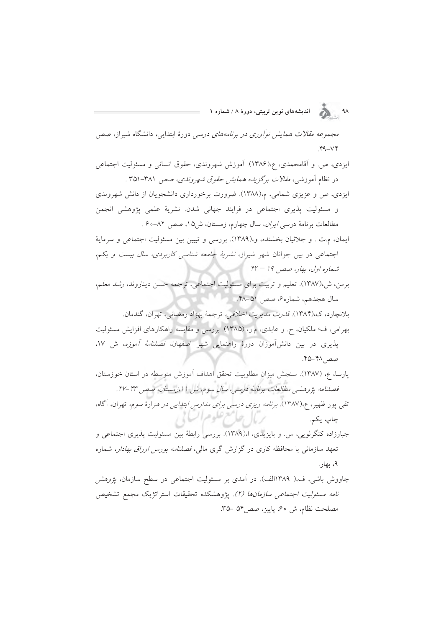۹۸ هـ انديشههای نوين تربيتی، دورهٔ ۸ / شماره ۱

مجم*وعه مقالات همایش نوآوری در برنامههای درسی* دورهٔ ابتدایی، دانشگاه شیراز، صص  $Y^4 - V^*$ 

ایزدی، ص. و آقامحمدی، ع،(۱۳۸۶). آموزش شهروندی، حقوق انسانی و مسئولیت اجتماعی در نظام آموزشی، *مقالات برگزیده همایش حقوق شهروندی*، صص ۳۸۱–۳۵۱ .

ایزدی، ص و عزیزی شمامی، م،(۱۳۸۸). ضرورت برخورداری دانشجویان از دانش شهروندی و مسئولیت پذیری اجتماعی در فرایند جهانی شدن. نشریهٔ علمی پژوهشی انجمن مطالعات برنامهٔ درسی *ایران*، سال چهارم، زمستان، ش۱۵، صص ۸۲-۶۰.

ايمان، م.ت . و جلائيان بخشنده، و،(١٣٨٩). بررسي و تبيين بين مسئوليت اجتماعي و سرماية اجتماعی در بین جوانان شهر شیراز، *نشریهٔ جامعه شناسی کاربردی، سال بیست و یکم*، شماره اول، بھار، صص 14 – ۴۲

- برمن، ش،(۱۳۸۷). تعلیم و تربیت برای مسئولیت اجتماعی، ترجمه حسن دیناروند، ر*شد معل*م، سال هجدهم، شماره¢، صص ۵۱–۴۸.
- بلانچارد، ک،(۱۳۸۴). ق*درت مديريت اخلاقي،* ترجمهٔ بهزاد رمضاني، تهران، گندمان. بهرامی، ف؛ ملکیان، ح. و عابدی، م.ر، (۱۳۸۵). بررسی و مقایسه راهکارهای افزایش مسئولیت پذیری در بین دانشآموزان دورهٔ راهنمایی شهر اصفهان، *فصلنامهٔ آموزه*، ش ۱۷، صص ۴۸-۴۵.
- پارسا، ع، (۱۳۸۷). سنجش میزانِ مطلوبیت تحقق اهداف آموزش متوسطه در استان خوزستان، فصلنامه پژوهشی مطالعات برنامهٔ درسی، سال سوم، ش ۱۱،زمستان، صصر ۴۳-۲۷.
- تقی پور ظهیر، ۶٫(۱۳۸۷). برنامه ریزی درسی برای م*دارس ابتدایی در هز*ارهٔ سوم، تهران، آگاه، رمال جامع علوم السابي چاپ يکم.

جبارزاده کنگرلویی، س و بایزیدی، ا،(۱۳۸۹). بررسی رابطهٔ بین مسئولیت پذیری اجتماعی و تعهد سازمانی با محافظه کاری در گزارش گری مال*ی، فصلنامه بورس اوراق بهادار*، شماره ۹، بهار .

چاووش باشی، ف،( ۱۳۸۹الف). در آمدی بر مسئولیت اجتماعی در سطح سازمان، *یژوهش*ر *نامه مسئوليت اجتماعي سازمانها (٢).* يژوهشكده تحقيقات استراتژيک مجمع تشخيص مصلحت نظام، ش ۶۰، پاییز، صص۵۴ –۳۵.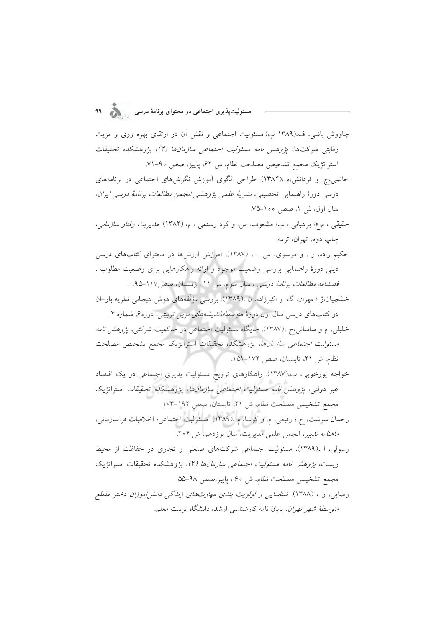چاووش باشی، ف،(۱۳۸۹ ب).مسئولیت اجتماعی و نقش آن در ارتقای بهره وری و مزیت رقابتی شرکتها، *پژوهش نامه مسئولیت اجتماعی سازمانها (۴)*، پژوهشکده تحقیقات استراتژیک مجمع تشخیص مصلحت نظام، ش ۶۲، پاییز، صص ۹۰-۷۱.

حاتمی،ج. و فردانش،ه ،(۱۳۸۴). طراحی الگوی آموزش نگرشهای اجتماعی در برنامههای درسی دورهٔ راهنمایی تحصیلی، *نشریهٔ علمی پژوهشی انجمن مطالعات برنامهٔ درسی ایران*، سال اول، ش ۱، صص ۱۰۰–۷۵.

حقیقی ، م.ع؛ برهبانی ، ب؛ مشعوف، س. و کرد رستمی ، م، (١٣٨٢). *مدیریت رفتار سازمانی،* چاپ دوم، تهران، ترمه.

حکیم زاده، ر . و موسوی، س ا ، (۱۳۸۷). آموزش ارزشها در محتوای کتابهای درسی دینی دورهٔ راهنمایی بررسی وضعیت موجود و ارائه راهکارهایی برای وضعیت مطلوب . فصلنامه مطالعات برنامهٔ درسی ، سال سوم، ش ۱۱ ، زمستان، صص۱۱۷-۹۵. .

خشچیان،ژ ؛ مهران، گ. و اکبرزاده، ن ،(۱۳۸۹). بررسی مؤلّفههای هوش هیجانی نظریه بار–ان در کتابهای درسی سال اول دورهٔ متوسطه،*اندیشههای نوین تربیتی، دو*ره¢ شماره ۴.

خلیلی، م و ساسانی،ح ،(۱۳۸۷). جایگاه مسئولیت اجتماعی در حاکمیت شرکتی، *پژوهش نامه مسئوليت اجتماعي سازمانها،* يژوهشكده تحقيقات استراتژيك مجمع تشخيص مصلحت نظام، ش ٢١، تابستان، صص ١٧٢-١۵١.

خواجه پورخویی، ب،(۱۳۸۷). راهکارهای ترویج مسئولیت پذیری اجتماعی در یک اقتصاد غير دولتي، *پژوهش نامه مسئوليت اجتماعي سازمانها*، پژوهشكده تحقيقات استراتژيك مجمع تشخيص مصلحت نظام، ش ٢١، تابستان، صص ١٩٢–١٧٣.

رحمان سرشت، ح ؛ رفیعی، م. و کوشا، م ،(۱۳۸۹). مسئولیت اجتماعی؛ اخلاقیات فراسازمانی، م*اهنامه تدبیر،* انجمن علمی مدیریت، سال نوزدهم، ش ۲۰۴.

رسولی، ا ،(۱۳۸۹). مسئولیت اجتماعی شرکتهای صنعتی و تجاری در حفاظت از محیط زيست، *پژوهش نامه مسئوليت اجتماعي سازمانها (٢)*، پژوهشكده تحقيقات استراتژيک مجمع تشخيص مصلحت نظام، ش ۶۰، پاييز،صص ۹۸-۵۵.

رضایی، ز ، (۱۳۸۸). *شناسایی و اولویت بندی مهارتهای زندگی دانش آموزان دخت*ر م*قطع متوسطهٔ شهر تهران،* پایان نامه کارشناسی ارشد، دانشگاه تربیت معلم.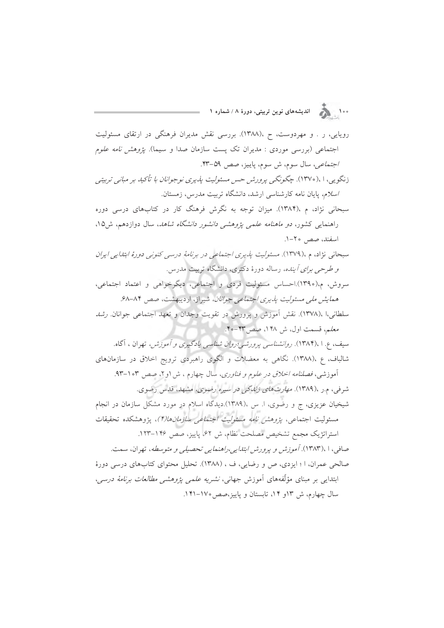ه ۱۰<br>۱۰۰ هـ الله المدیشههای نوین تربیتی، دورهٔ ۸ / شماره ۱

رویایی، ر . و مهردوست، ح ،(۱۳۸۸). بررسی نقش مدیران فرهنگی در ارتقای مسئولیت اجتماعی (بررسی موردی : مدیران تک پست سازمان صدا و سیما). *پژوهش نامه علوم* /جتماعی، سال سوم، ش سوم، پاییز، صص ۵۹-۴۳.

زنگویه، ۱،(۱۳۷۰). چگونگبی پرورشر حسر مسئولیت پذیری نوجوانان با تأکید بر مبانبی تربیتبی اسلام، پایان نامه کارشناسی ارشد، دانشگاه تربیت مدرس، زمستان.

سبحانی نژاد، م ،(۱۳۸۴). میزان توجه به نگرش فرهنگ کار در کتابهای درسی دوره راهنمایی کشور، *دو ماهنامه علمی پژوهشی دانشور دانشگاه شاهد*، سال دوازدهم، ش۱۵. اسفند، صص ۲۰-۱.

سبحانی نژاد، م ،(۱۳۷۹). مسئولیت پذیری اجتماعی در برنامهٔ درسی کنونی دورهٔ ابتدایی ایران *و طرحی برای آینده، رساله دورهٔ دکتری، دانشگاه تربیت مدرس.* 

سروش، م،(١٣٩٠).احساس مسئوليت فردي و اجتماعي، ديگرخواهي و اعتماد اجتماعي، همایش ملی مسئولیت پذیری اجتماعی جوانان، شیراز، اردیبهشت، صص ۸۴-۶۸.

سلطانی،ا ،(۱۳۷۸). نقش آموزش و پرورش در تقویت وجدان و تعهد اجتماعی جوانان. *رشد* معلم، قسمت اول، ش ۱۴۸، صص۳۳-۴۰.

سيف، ع. ۱ ،(۱۳۸۴). ر*وانشناسي پرورشي؛روان شناسي يادگيري و آموزش،* تهران ، آگاه. شالباف، ع ،(۱۳۸۸). نگاهی به معضلات و الگوی راهبردی ترویج اخلاق در سازمانهای

آموزشی، فص*لنامه اخلاق در علوم و فناوری*، سال چهارم ، ش ۱و۲، صص ۱۰۳-۹۳. شرفی، م.ر ،(۱۳۸۹). *مهارت های زندگی در سیره رضوی،* مشهد، قدس رضوی. شیخیان عزیزی، ج و رضوی، ا. س ،(۱۳۸۹).دیدگاه اسلام در مورد مشکل سازمان در انجام

مسئوليت اجتماعي، *پژوهش نامه مسئوليت اجتماعي سازمانها(۴)*، پژوهشكده تحقيقات استراتژیک مجمع تشخیص مصلحت نظام، ش ۶۲، پاییز، صص ۱۴۶–۱۲۳.

صافی، ۱ ،۱۳۸۳). آموزش و پرورش ابتدایی،راهنمایی تحصیلی و متوسطه، تهران، سمت. صالحی عمران، ا ؛ ایزدی، ص و رضایی، ف ، (١٣٨٨). تحلیل محتوای کتابهای درسی دورهٔ ابتدای<sub>بی</sub> بر مبنای مؤلّفههای آموزش جهانی، *نشریه علمی پژوهشی مطالعات برنامهٔ درسی*، سال چهارم، ش ۱۳و ۱۴، تابستان و پاییز،صص ۱۷۰–۱۴۱.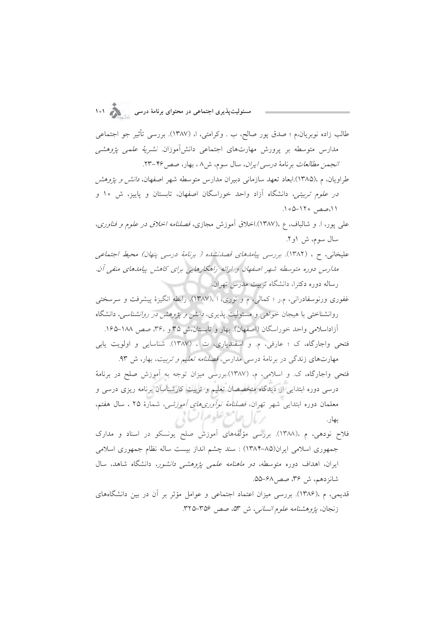طالب زاده نوبريان،م ؛ صدق يور صالح، ب . وكرامتي، ا، (١٣٨٧). بررسي تأثير جو اجتماعي مدارس متوسطه بر پرورش مهارتهای اجتماعی دانشآموزان. *نشریهٔ علمی پژوهشی* انجمن مطالعات برنامة درسي ايران، سال سوم، ش٨، بهار، صص ٢٤-٢٣.

طراویان، م ،(۱۳۸۵).ابعاد تعهد سازمانی دبیران مدارس متوسطه شهر اصفهان، *دانش و یژوهش*ر در *علوم تربیتی،* دانشگاه آزاد واحد خوراسگان اصفهان، تابستان و پاییز، ش ۱۰ و ١١،صص ١٢٠-١٠۵.

علمي پور، ا. و شالباف، ع ،(۱۳۸۷).اخلاق آموزش مجازي، *فصلنامه اخلاق در علوم و فناوري*، سال سوم، ش ۱و۲.

علیخانی، ح ، (۱۳۸۲). بررسی پی*امدهای قصدنشده ( برنامهٔ درسی پنهان) محیط اجتماعی* مدارس دوره متوسطه شهر اصفهان و ارائه راهکارهایی برای کاهش پیامدهای منفی آن. رساله دوره دکترا، دانشگاه تربیت مدرس تهران.

غفوری ورنوسفادرانی، م.ر ؛ کمالی، م و نوری، ا ،(۱۳۸۷). رابطه انگیزهٔ پیشرفت و سرسختی روانشناختی با هیجان خواهی و مسئولیت پذیری، *دانش و پژوهش در روانشناسی*، دانشگاه آزاداسلامی واحد خوراسگان (اصفهان). بهار و تابستان،ش ۳۵ و ۳۶، صص ۱۸۸-۱۶۵.

فتحی واجارگاه، ک ؛ عارفی، م. و اسفندیاری، ت ، (١٣٨٧). شناسایی و اولویت یابی مهارتهای زندگی در برنامهٔ درسی مدارس، *فصلنامه تعلیم و تربیت*، بهار، ش ۹۳.

فتحی واجارگاه، ک. و اسلامی، م، (۱۳۸۷).بررسی میزان توجه به آموزش صلح در برنامهٔ درسی دوره ابتدایی از دیدگاه متخصصان تعلیم و تربیت کارشناسان برنامه ریزی درسی و معلمان دوره ابتدایی شهر تهران، *فصلنامهٔ نوآوریهای آموزشی*، شمارهٔ ۲۵ ، سال هفتم، رمال حاسع علوم السابي بهار.

- فلاح نودهی، م ۱۳۸۸). بررسی مؤلَّفههای اَموزش صلح یونسکو در اسناد و مدارک جمهوري اسلامي ايران(٨۵-١٣٨۴) : سند چشم انداز بيست ساله نظام جمهوري اسلامي ایران، اهداف دوره متوسطه، *دو ماهنامه علمی پژوهشی دانشور،* دانشگاه شاهد، سال شانزدهم، ش ۳۶، صص۱۶۸–۵۵.
- قدیمی، م ،(۱۳۸۶). بررسی میزان اعتماد اجتماعی و عوامل مؤثر بر آن در بین دانشگاههای زنجان، *پژوهشنامه علوم انسانی،* ش ۵۳. صص ۳۵۶–۳۲۵.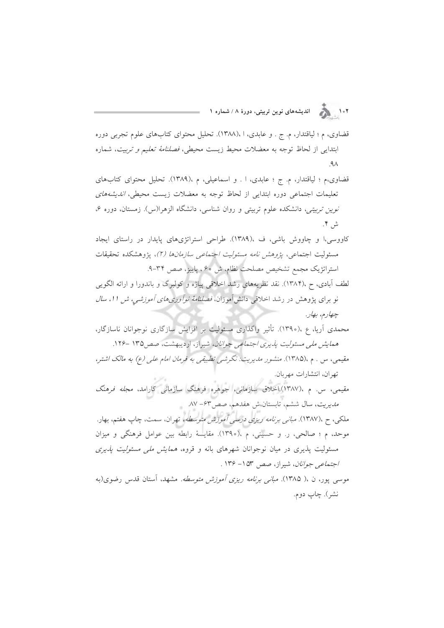۱۰۲<br>۱۰۲ هـ الله اندیشههای نوین تربیتی، دورهٔ ۸ / شماره ۱

- قضاوي، م ؛ لياقتدار، م. ج . و عابدي، ١، (١٣٨٨). تحليل محتواي كتابهاي علوم تجربي دوره ابتدایی از لحاظ توجه به معضلات محیط زیست محیطی، *فصلنامهٔ تعلیم و تربیت*، شماره  $\mathcal{A}$
- قضاوي،م ؛ لياقتدار، م. ج ؛ عابدي، ا . و اسماعيلي، م ،(١٣٨٩). تحليل محتواي كتابهاي تعلیمات اجتماعی دوره ابتدایی از لحاظ توجه به معضلات زیست محیطی، *اندیشههای نوین تربیتی،* دانشکده علوم تربیتی و روان شناسی، دانشگاه الزهرا(س). زمستان، دوره ۶، ش ۴.
- کاووسی،ا و چاووش باشی، ف ،(۱۳۸۹). طراحی استراتژیهای پایدار در راستای ایجاد مسئولیت اجتماعی، *پژوهش نامه مسئولیت اجتماعی سازمانها (۲)*، پژوهشکده تحقیقات استراتژیک مجمع تشخیص مصلحت نظام، ش ۶۰، پاییز، صص ۳۴-۹.
- لطف آبادی، ح ،(۱۳۸۴). نقد نظریههای رشد اخلاقی پیاژه و کولبرگ و باندورا و ارائه الگویی نو برای پژوهش در رشد اخلاقی دانشآموزان، *فصلنامهٔ نوآوریهای آموزشی، ش ۱۱، سال* چهارم، بهار.
- محمدی اَریا، ع ،(١٣٩٠). تأثیر واگذاری مسئولیت بر افزایش سازگاری نوجوانان ناسازگار، همایش ملی مسئولیت یذیری اجتماعی جوانان، شیراز، اردیبهشت، صص۱۳۵ -۱۲۶.
- مقیمی، س . م ،(۱۳۸۵). منشور مدیریت: نگرشی تطبیقی به فرمان امام علی (ع) به مالک اشتر، تهران، انتشارات مهربان.
- مقیمی، س. م ،(۱۳۸۷).اخلاق سازمانی، جوهره فرهنگ سازمان<sub>ی</sub> کارامد، *مجله فرهنگ* مديريت، سال ششم، تابستان،ش هفدهم، صص ۶۳- ۸۷.
- ملکی، ح ،(۱۳۸۷). *مبانی برنامه ریزی درسی آموزش متوسطه،* تهران، سمت، چاپ هفتم، بهار. موحد، م ؛ صالحی، ر. و حسینی، م ،(١٣٩٥). مقایسهٔ رابطه بین عوامل فرهنگی و میزان مسئولیت پذیری در میان نوجوانان شهرهای بانه و قروه، *همایش ملی مسئولیت پذیری* /جتم*اعی جوانان*، شیراز، صص ۵۳– ۱۳۶ .
- موسی یور، ن ،( ۱۳۸۵). *مبانی برنامه ریزی آموزش متوسطه.* مشهد، آستان قدس رضوی(به نشر). چاپ دوم.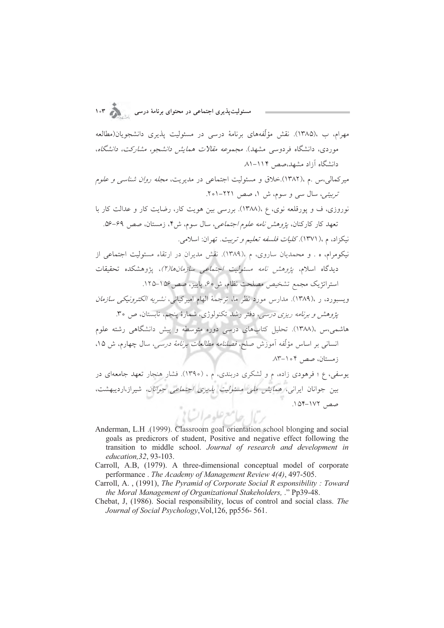.<br>مسئولیتپذیری اجتماعی در محتوای برنامهٔ درسی

مهرام، ب ١٣٨۵). نقش مؤلَّفههای برنامهٔ درسی در مسئولیت پذیری دانشجویان(مطالعه موردی، دانشگاه فردوسی مشهد). *مجموعه مقالات همایش دانشجو، مشارکت، دانشگاه*، دانشگاه آزاد مشهد،صص ۱۱۴–۸۱.

میرکھالی،س .م ،(۱۳۸۲).خلاق و مسئولیت اجتماعی در مدیریت، *مجله روان شناسی و علو*م تربیتی، سال سی و سوم، ش ۱، صص ۲۲۱-۲۰۱.

نوروزی، ف و پورقلعه نوی، ع ،(۱۳۸۸). بررسی بین هویت کار، رضایت کار و عدالت کار با تعهد كار كاركنان، *يژوهش نامه علوم اجتماعي*، سال سوم، ش۴، زمستان، صص ۶۹-۵۶. نيكزاد، م ،( ١٣٧١). *كليات فلسفه تعليم و تربيت.* تهران: اسلامي.

نیکومرام، ه . و محمدیان ساروی، م ،(۱۳۸۹). نقش مدیران در ارتقاء مسئولیت اجتماعی از ديدگاه اسلام، *پژوهش نامه مسئوليت اجتماعي سازمانها(٢)*، پژوهشكده تحقيقات استراتژیک مجمع تشخیص مصلحت نظام، ش٥٠، یاییز، صص ١٥٤-١٢٥.

ویسبورد، ر ،(۱۳۸۹). مدارس مورد نظر ما، ترجمهٔ الهام امیرکیانی، *نشریه الکترونیکی سازمان* .<br>يژوهش و برنامه ريزي درسي، دفتر رشد تكنولوژي، شمارهٔ ينجم، تابستان، ص ٣٥.

هاشمی،س ،(۱۳۸۸). تحلیل کتابهای درسی دوره متوسطه و پیش دانشگاهی رشته علوم انسانی بر اساس مؤلّفه آموزش صلح، *فصلنامه مطالعات برنامهٔ درسی،* سال چهارم، ش ۱۵. زمستان، صص ۱۰۴–۸۳.

یوسفی، ع؛ فرهودی زاده، م و لشکری دربندی، م ، (١٣٩٥). فشار هنجار تعهد جامعهای در بین جوانان ایرانی، *همایش ملی مسئولیت پذیری اجتماعی جوانان،* شیراز،اردیبهشت، صص ١٧٢-١٧٢. بالسح اسع علوم اتبالا

- Anderman, L.H. (1999). Classroom goal orientation school blonging and social goals as predictors of student, Positive and negative effect following the transition to middle school. Journal of research and development in education, 32, 93-103.
- Carroll, A.B, (1979). A three-dimensional conceptual model of corporate performance. The Academy of Management Review 4(4), 497-505.
- Carroll, A., (1991), The Pyramid of Corporate Social R esponsibility: Toward the Moral Management of Organizational Stakeholders, ." Pp39-48.
- Chebat, J, (1986). Social responsibility, locus of control and social class. The Journal of Social Psychology, Vol. 126, pp556-561.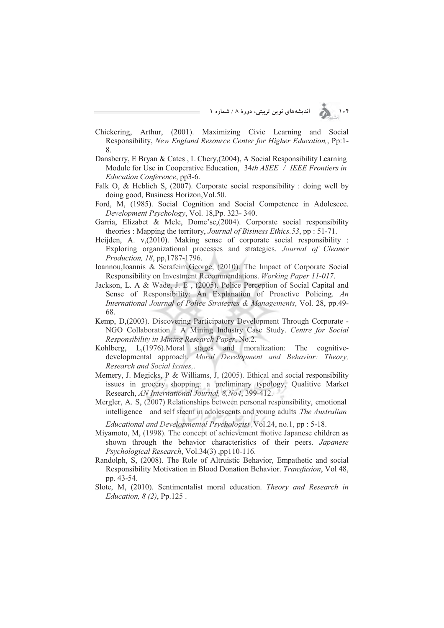۱۰۴ **) از این** الله ای نوین تربیتی، دورهٔ ۸ / شماره ۱

- Chickering, Arthur, (2001). Maximizing Civic Learning and Social Responsibility, *New England Resource Center for Higher Education,*, Pp:1- 8.
- Dansberry, E Bryan & Cates , L Chery,(2004), A Social Responsibility Learning Module for Use in Cooperative Education, 34*th ASEE / IEEE Frontiers in Education Conference*, pp3-6.
- Falk O, & Heblich S, (2007). Corporate social responsibility : doing well by doing good, Business Horizon,Vol.50.
- Ford, M, (1985). Social Cognition and Social Competence in Adolesece. *Development Psychology*, Vol. 18,Pp. 323- 340.
- Garria, Elizabet & Mele, Dome'sc,(2004). Corporate social responsibility theories : Mapping the territory, *Journal of Bisiness Ethics.53*, pp : 51-71.
- Heijden, A. v,(2010). Making sense of corporate social responsibility : Exploring organizational processes and strategies. *Journal of Cleaner Production, 18*, pp,1787-1796.
- Ioannou,Ioannis & Serafeim,George, (2010). The Impact of Corporate Social Responsibility on Investment Recommendations. *Working Paper 11-017*.
- Jackson, L. A & Wade, J. E , (2005). Police Perception of Social Capital and Sense of Responsibility: An Explanation of Proactive Policing. *An International Journal of Police Strategies & Managements*, Vol. 28, pp.49- 68.
- Kemp, D,(2003). Discovering Participatory Development Through Corporate NGO Collaboration : A Mining Industry Case Study. *Centre for Social Responsibility in Mining Research Paper*, No.2.
- Kohlberg, L,(1976).Moral stages and moralization: The cognitivedevelopmental approach. *Moral Development and Behavior: Theory, Research and Social Issues,*.
- Memery, J. Megicks, P & Williams, J, (2005). Ethical and social responsibility issues in grocery shopping: a preliminary typology, Qualitive Market Research, *AN International Journal, 8,No4*, 399-412.
- Mergler, A. S, (2007) Relationships between personal responsibility, emotional intelligence and self steem in adolescents and young adults .*The Australian*

*Educational and Developmental Psychologist ,*Vol.24, no.1, pp : 5-18.

- Miyamoto, M, (1998). The concept of achievement motive Japanese children as shown through the behavior characteristics of their peers. *Japanese Psychological Research*, Vol.34(3) ,pp110-116.
- Randolph, S, (2008). The Role of Altruistic Behavior, Empathetic and social Responsibility Motivation in Blood Donation Behavior. *Transfusion*, Vol 48, pp. 43-54.
- Slote, M, (2010). Sentimentalist moral education. *Theory and Research in Education, 8 (2)*, Pp.125 .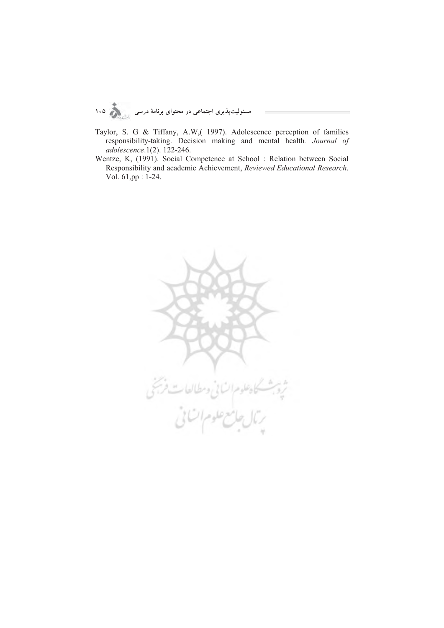

- Taylor, S. G & Tiffany, A.W,( 1997). Adolescence perception of families responsibility-taking. Decision making and mental health*. Journal of adolescence*.1(2). 122-246.
- Wentze, K, (1991). Social Competence at School : Relation between Social Responsibility and academic Achievement, *Reviewed Educational Research*. Vol. 61,pp : 1-24.